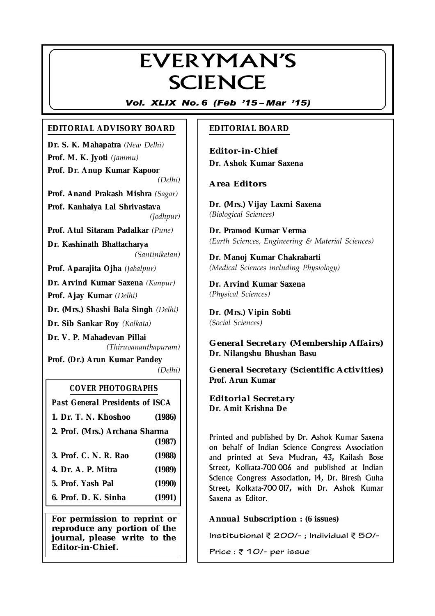# $1$ EVERYMAN'S **SCIENCE**

12345678901234567890123456789012123456789012345678901234567890121234567890123456789012345678 12345678901234567890123456789012123456789012345678901234567890121234567890123456789012345678

### *Vol. XLIX No. 6 (Feb '15 – Mar '15)*

#### **EDITORIAL ADVISORY BOARD**

**Dr. S. K. Mahapatra** *(New Delhi)* **Prof. M. K. Jyoti** *(Jammu)* **Prof. Dr. Anup Kumar Kapoor** *(Delhi)*

**Prof. Anand Prakash Mishra** *(Sagar)* **Prof. Kanhaiya Lal Shrivastava** *(Jodhpur)*

**Prof. Atul Sitaram Padalkar** *(Pune)*

**Dr. Kashinath Bhattacharya** *(Santiniketan)*

**Prof. Aparajita Ojha** *(Jabalpur)*

**Dr. Arvind Kumar Saxena** *(Kanpur)*

**Prof. Ajay Kumar** *(Delhi)*

**Dr. (Mrs.) Shashi Bala Singh** *(Delhi)*

**Dr. Sib Sankar Roy** *(Kolkata)*

**Dr. V. P. Mahadevan Pillai** *(Thiruvananthapuram)*

**Prof. (Dr.) Arun Kumar Pandey** *(Delhi)*

### **COVER PHOTOGRAPHS**

*Past General Presidents of ISCA*

- **1. Dr. T. N. Khoshoo (1986)**
- **2. Prof. (Mrs.) Archana Sharma (1987)**
- **3. Prof. C. N. R. Rao (1988)**
- **4. Dr. A. P. Mitra (1989)**
- **5. Prof. Yash Pal (1990)**

**6. Prof. D. K. Sinha (1991)**

**For permission to reprint or reproduce any portion of the journal, please write to the Editor-in-Chief.**

### **EDITORIAL BOARD**

*Editor-in-Chief* **Dr. Ashok Kumar Saxena**

### *Area Editors*

**Dr. (Mrs.) Vijay Laxmi Saxena** *(Biological Sciences)*

**Dr. Pramod Kumar Verma** *(Earth Sciences, Engineering & Material Sciences)*

**Dr. Manoj Kumar Chakrabarti** *(Medical Sciences including Physiology)*

**Dr. Arvind Kumar Saxena** *(Physical Sciences)*

**Dr. (Mrs.) Vipin Sobti** *(Social Sciences)*

*General Secretary (Membership Affairs)* **Dr. Nilangshu Bhushan Basu**

*General Secretary (Scientific Activities)* **Prof. Arun Kumar**

*Editorial Secretary* **Dr. Amit Krishna De**

Printed and published by Dr. Ashok Kumar Saxena on behalf of Indian Science Congress Association and printed at Seva Mudran, 43, Kailash Bose Street, Kolkata-700 006 and published at Indian Science Congress Association, 14, Dr. Biresh Guha Street, Kolkata-700 017, with Dr. Ashok Kumar Saxena as Editor.

*Annual Subscription :* **(6 issues)**

**Institutional 200/- ; Individual 50/-**

345 **Price : 10/- per issue**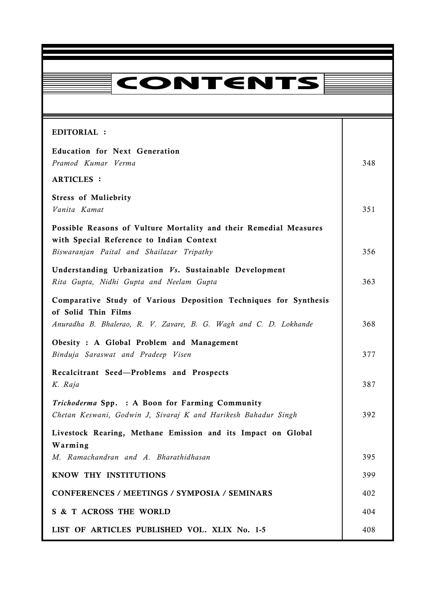# **CONTENTS**

Ĕ

12345678901234567890123456789012123456789012345678901234567890121234567890123456789012345678 12345678901234567890123456789012123456789012345678901234567890121234567890123456789012345678 1 8 12345678901234567890123456789012345678901234567890123456789012345678901234567890123456789012345678901234567890<br>12345678901234567890123456789012345678901234567890123456789012345678901234567890123456789012345678901234567890 12345678901234567890123456789012123456789012345678901234567890121234567890123456789012345678

Everyman's Science Everyman's Science Vol. XLIX No. 6 Feb. '15 — March. — '15

≣

| <b>EDITORIAL:</b>                                                                                                                                            |     |
|--------------------------------------------------------------------------------------------------------------------------------------------------------------|-----|
| <b>Education for Next Generation</b><br>Pramod Kumar Verma                                                                                                   | 348 |
| <b>ARTICLES :</b>                                                                                                                                            |     |
| <b>Stress of Muliebrity</b><br>Vanita Kamat                                                                                                                  | 351 |
| Possible Reasons of Vulture Mortality and their Remedial Measures                                                                                            |     |
| with Special Reference to Indian Context<br>Biswaranjan Paital and Shailazar Tripathy                                                                        | 356 |
| Understanding Urbanization Vs. Sustainable Development                                                                                                       |     |
| Rita Gupta, Nidhi Gupta and Neelam Gupta                                                                                                                     | 363 |
| Comparative Study of Various Deposition Techniques for Synthesis<br>of Solid Thin Films<br>Anuradha B. Bhalerao, R. V. Zavare, B. G. Wagh and C. D. Lokhande | 368 |
| Obesity: A Global Problem and Management                                                                                                                     |     |
| Binduja Saraswat and Pradeep Visen                                                                                                                           | 377 |
| Recalcitrant Seed-Problems and Prospects                                                                                                                     |     |
| K. Raja                                                                                                                                                      | 387 |
| Trichoderma Spp. : A Boon for Farming Community                                                                                                              |     |
| Chetan Keswani, Godwin J, Sivaraj K and Harikesh Bahadur Singh                                                                                               | 392 |
| Livestock Rearing, Methane Emission and its Impact on Global<br>Warming                                                                                      |     |
| M. Ramachandran and A. Bharathidhasan                                                                                                                        | 395 |
| KNOW THY INSTITUTIONS                                                                                                                                        | 399 |
| <b>CONFERENCES / MEETINGS / SYMPOSIA / SEMINARS</b>                                                                                                          | 402 |
| S & T ACROSS THE WORLD                                                                                                                                       | 404 |
| LIST OF ARTICLES PUBLISHED VOL. XLIX No. 1-5                                                                                                                 | 408 |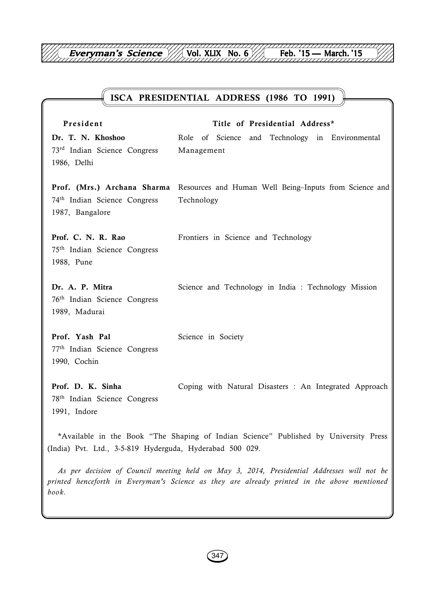#### 1234567890123456789012345678901234567890123456789012345678901234567890123456789012345678901234567890 **Everyman's Science**  $\frac{1}{2}$  Vol. XLIX No. 6  $\frac{1}{2}$  Feb. '15 — March.'15  $\frac{1}{2}$

12345678901234567890123456789012123456789012345678901234567890121234567890123456789012345678

### **ISCA PRESIDENTIAL ADDRESS (1986 TO 1991)**

| President                                                                     | Title of Presidential Address*                                                                   |
|-------------------------------------------------------------------------------|--------------------------------------------------------------------------------------------------|
| Dr. T. N. Khoshoo<br>73 <sup>rd</sup> Indian Science Congress<br>1986, Delhi  | Role of Science and Technology in Environmental<br>Management                                    |
| 74 <sup>th</sup> Indian Science Congress<br>1987, Bangalore                   | Prof. (Mrs.) Archana Sharma Resources and Human Well Being-Inputs from Science and<br>Technology |
| Prof. C. N. R. Rao<br>75 <sup>th</sup> Indian Science Congress<br>1988, Pune  | Frontiers in Science and Technology                                                              |
| Dr. A. P. Mitra<br>76 <sup>th</sup> Indian Science Congress<br>1989, Madurai  | Science and Technology in India : Technology Mission                                             |
| Prof. Yash Pal<br>77 <sup>th</sup> Indian Science Congress<br>1990, Cochin    | Science in Society                                                                               |
| Prof. D. K. Sinha<br>78 <sup>th</sup> Indian Science Congress<br>1991, Indore | Coping with Natural Disasters : An Integrated Approach                                           |
| (India) Pvt. Ltd., 3-5-819 Hyderguda, Hyderabad 500 029.                      | *Available in the Book "The Shaping of Indian Science" Published by University Press             |

*As per decision of Council meeting held on May 3, 2014, Presidential Addresses will not be printed henceforth in Everyman's Science as they are already printed in the above mentioned book.*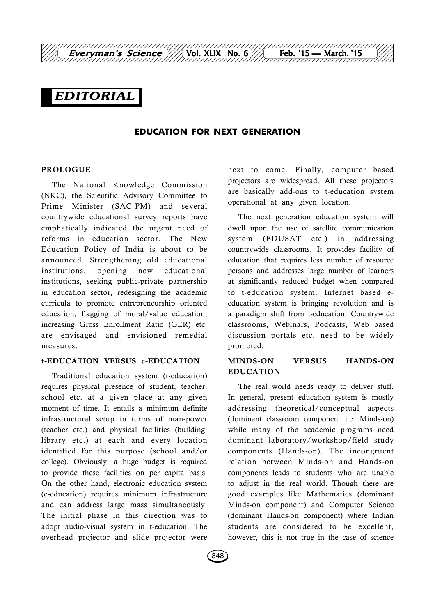#### 12345678901234567890123456789012123456789012345678901234567890121234567890123456789012345678 12345678901234567890123456789012123456789012345678901234567890121234567890123456789012345678 WA Everyman's Science  $\mathbb{V}/\mathbb{A}$  Vol. XLIX No. 6  $\mathbb{V}/\mathbb{A}$  Feb. '15 — March. '15  $\mathbb{V}/\mathbb{A}$ 12345678901234567890123456789012123456789012345678901234567890121234567890123456789012345678

# *EDITORIAL*

#### **EDUCATION FOR NEXT GENERATION**

#### **PROLOGUE**

The National Knowledge Commission (NKC), the Scientific Advisory Committee to Prime Minister (SAC-PM) and several countrywide educational survey reports have emphatically indicated the urgent need of reforms in education sector. The New Education Policy of India is about to be announced. Strengthening old educational institutions, opening new educational institutions, seeking public-private partnership in education sector, redesigning the academic curricula to promote entrepreneurship oriented education, flagging of moral/value education, increasing Gross Enrollment Ratio (GER) etc. are envisaged and envisioned remedial measures.

#### **t-EDUCATION VERSUS e-EDUCATION**

Traditional education system (t-education) requires physical presence of student, teacher, school etc. at a given place at any given moment of time. It entails a minimum definite infrastructural setup in terms of man-power (teacher etc.) and physical facilities (building, library etc.) at each and every location identified for this purpose (school and/or college). Obviously, a huge budget is required to provide these facilities on per capita basis. On the other hand, electronic education system (e-education) requires minimum infrastructure and can address large mass simultaneously. The initial phase in this direction was to adopt audio-visual system in t-education. The overhead projector and slide projector were next to come. Finally, computer based projectors are widespread. All these projectors are basically add-ons to t-education system operational at any given location.

The next generation education system will dwell upon the use of satellite communication system (EDUSAT etc.) in addressing countrywide classrooms. It provides facility of education that requires less number of resource persons and addresses large number of learners at significantly reduced budget when compared to t-education system. Internet based eeducation system is bringing revolution and is a paradigm shift from t-education. Countrywide classrooms, Webinars, Podcasts, Web based discussion portals etc. need to be widely promoted.

#### **MINDS-ON VERSUS HANDS-ON EDUCATION**

The real world needs ready to deliver stuff. In general, present education system is mostly addressing theoretical/conceptual aspects (dominant classroom component i.e. Minds-on) while many of the academic programs need dominant laboratory/workshop/field study components (Hands-on). The incongruent relation between Minds-on and Hands-on components leads to students who are unable to adjust in the real world. Though there are good examples like Mathematics (dominant Minds-on component) and Computer Science (dominant Hands-on component) where Indian students are considered to be excellent, however, this is not true in the case of science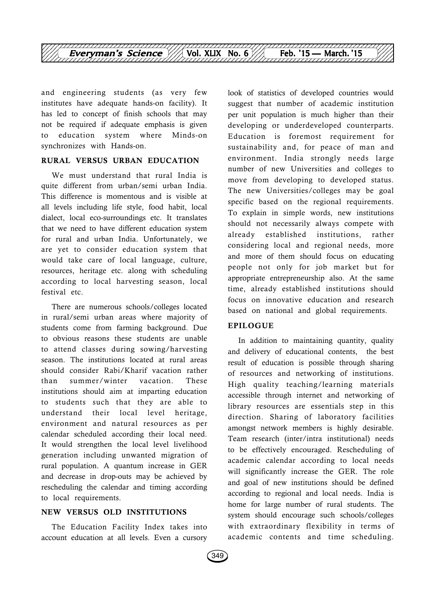

and engineering students (as very few institutes have adequate hands-on facility). It has led to concept of finish schools that may not be required if adequate emphasis is given to education system where Minds-on synchronizes with Hands-on.

#### **RURAL VERSUS URBAN EDUCATION**

We must understand that rural India is quite different from urban/semi urban India. This difference is momentous and is visible at all levels including life style, food habit, local dialect, local eco-surroundings etc. It translates that we need to have different education system for rural and urban India. Unfortunately, we are yet to consider education system that would take care of local language, culture, resources, heritage etc. along with scheduling according to local harvesting season, local festival etc.

There are numerous schools/colleges located in rural/semi urban areas where majority of students come from farming background. Due to obvious reasons these students are unable to attend classes during sowing/harvesting season. The institutions located at rural areas should consider Rabi/Kharif vacation rather than summer/winter vacation. These institutions should aim at imparting education to students such that they are able to understand their local level heritage, environment and natural resources as per calendar scheduled according their local need. It would strengthen the local level livelihood generation including unwanted migration of rural population. A quantum increase in GER and decrease in drop-outs may be achieved by rescheduling the calendar and timing according to local requirements.

#### **NEW VERSUS OLD INSTITUTIONS**

The Education Facility Index takes into account education at all levels. Even a cursory look of statistics of developed countries would suggest that number of academic institution per unit population is much higher than their developing or underdeveloped counterparts. Education is foremost requirement for sustainability and, for peace of man and environment. India strongly needs large number of new Universities and colleges to move from developing to developed status. The new Universities/colleges may be goal specific based on the regional requirements. To explain in simple words, new institutions should not necessarily always compete with already established institutions, rather considering local and regional needs, more and more of them should focus on educating people not only for job market but for appropriate entrepreneurship also. At the same time, already established institutions should focus on innovative education and research based on national and global requirements.

#### **EPILOGUE**

In addition to maintaining quantity, quality and delivery of educational contents, the best result of education is possible through sharing of resources and networking of institutions. High quality teaching/learning materials accessible through internet and networking of library resources are essentials step in this direction. Sharing of laboratory facilities amongst network members is highly desirable. Team research (inter/intra institutional) needs to be effectively encouraged. Rescheduling of academic calendar according to local needs will significantly increase the GER. The role and goal of new institutions should be defined according to regional and local needs. India is home for large number of rural students. The system should encourage such schools/colleges with extraordinary flexibility in terms of academic contents and time scheduling.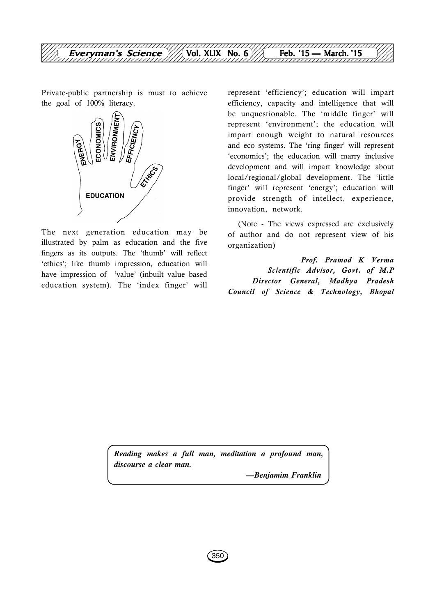

Private-public partnership is must to achieve the goal of 100% literacy.



The next generation education may be illustrated by palm as education and the five fingers as its outputs. The 'thumb' will reflect 'ethics'; like thumb impression, education will have impression of 'value' (inbuilt value based education system). The 'index finger' will

represent 'efficiency'; education will impart efficiency, capacity and intelligence that will be unquestionable. The 'middle finger' will represent 'environment'; the education will impart enough weight to natural resources and eco systems. The 'ring finger' will represent 'economics'; the education will marry inclusive development and will impart knowledge about local/regional/global development. The 'little finger' will represent 'energy'; education will provide strength of intellect, experience, innovation, network.

(Note - The views expressed are exclusively of author and do not represent view of his organization)

*Prof. Pramod K Verma Scientific Advisor, Govt. of M.P Director General, Madhya Pradesh Council of Science & Technology, Bhopal*

*Reading makes a full man, meditation a profound man, discourse a clear man.*

*—Benjamim Franklin*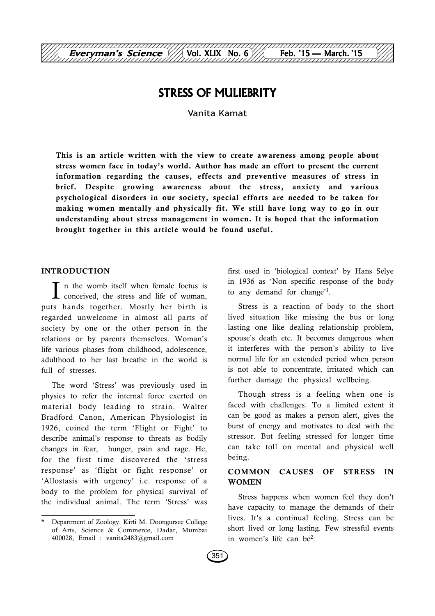## STRESS OF MULIEBRITY

12345678901234567890123456789012123456789012345678901234567890121234567890123456789012345678 12345678901234567890123456789012123456789012345678901234567890121234567890123456789012345678 Which Everyman's Science  $\mathbb{V}/\mathbb{A}$  Vol. XLIX No. 6  $\mathbb{V}/\mathbb{A}$  Feb. '15 — March.'15  $\mathbb{V}/\mathbb{A}$ 

Vanita Kamat

**This is an article written with the view to create awareness among people about stress women face in today's world. Author has made an effort to present the current information regarding the causes, effects and preventive measures of stress in brief. Despite growing awareness about the stress, anxiety and various psychological disorders in our society, special efforts are needed to be taken for making women mentally and physically fit. We still have long way to go in our understanding about stress management in women. It is hoped that the information brought together in this article would be found useful.**

#### **INTRODUCTION**

In the womb itself when female foetus is conceived, the stress and life of woman, puts hands together. Mostly her birth is regarded unwelcome in almost all parts of society by one or the other person in the relations or by parents themselves. Woman's life various phases from childhood, adolescence, adulthood to her last breathe in the world is full of stresses.

The word 'Stress' was previously used in physics to refer the internal force exerted on material body leading to strain. Walter Bradford Canon, American Physiologist in 1926, coined the term 'Flight or Fight' to describe animal's response to threats as bodily changes in fear, hunger, pain and rage. He, for the first time discovered the 'stress response' as 'flight or fight response' or 'Allostasis with urgency' i.e. response of a body to the problem for physical survival of the individual animal. The term 'Stress' was

first used in 'biological context' by Hans Selye in 1936 as 'Non specific response of the body to any demand for change'1.

<del>...</del><br>777777777777

Stress is a reaction of body to the short lived situation like missing the bus or long lasting one like dealing relationship problem, spouse's death etc. It becomes dangerous when it interferes with the person's ability to live normal life for an extended period when person is not able to concentrate, irritated which can further damage the physical wellbeing.

Though stress is a feeling when one is faced with challenges. To a limited extent it can be good as makes a person alert, gives the burst of energy and motivates to deal with the stressor. But feeling stressed for longer time can take toll on mental and physical well being.

#### **COMMON CAUSES OF STRESS IN WOMEN**

Stress happens when women feel they don't have capacity to manage the demands of their lives. It's a continual feeling. Stress can be short lived or long lasting. Few stressful events in women's life can be<sup>2</sup>:

Department of Zoology, Kirti M. Doongursee College of Arts, Science & Commerce, Dadar, Mumbai 400028, Email : vanita2483@gmail.com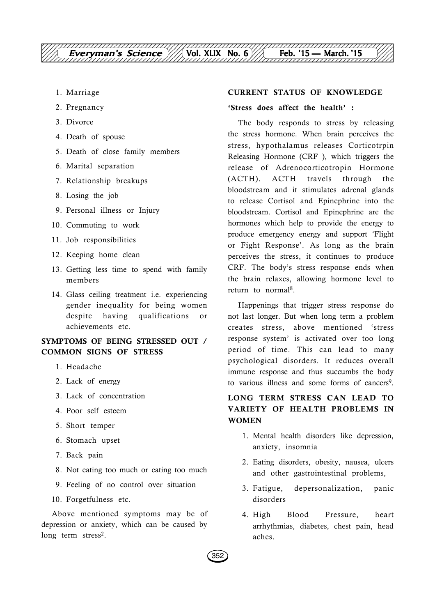#### 12345678901234567890123456789012123456789012345678901234567890121234567890123456789012345678 12345678901234567890123456789012123456789012345678901234567890121234567890123456789012345678 WA Everyman's Science  $\mathbb{V}/\mathbb{A}$  Vol. XLIX No. 6  $\mathbb{V}/\mathbb{A}$  Feb. '15 — March. '15  $\mathbb{V}/\mathbb{A}$ <u>55. 15 march</u>

- 1. Marriage
- 2. Pregnancy
- 3. Divorce
- 4. Death of spouse
- 5. Death of close family members
- 6. Marital separation
- 7. Relationship breakups
- 8. Losing the job
- 9. Personal illness or Injury
- 10. Commuting to work
- 11. Job responsibilities
- 12. Keeping home clean
- 13. Getting less time to spend with family members
- 14. Glass ceiling treatment i.e. experiencing gender inequality for being women despite having qualifications or achievements etc.

#### **SYMPTOMS OF BEING STRESSED OUT / COMMON SIGNS OF STRESS**

- 1. Headache
- 2. Lack of energy
- 3. Lack of concentration
- 4. Poor self esteem
- 5. Short temper
- 6. Stomach upset
- 7. Back pain
- 8. Not eating too much or eating too much
- 9. Feeling of no control over situation
- 10. Forgetfulness etc.

Above mentioned symptoms may be of depression or anxiety, which can be caused by long term stress<sup>2</sup>.

#### **CURRENT STATUS OF KNOWLEDGE**

#### **'Stress does affect the health' :**

The body responds to stress by releasing the stress hormone. When brain perceives the stress, hypothalamus releases Corticotrpin Releasing Hormone (CRF ), which triggers the release of Adrenocorticotropin Hormone (ACTH). ACTH travels through the bloodstream and it stimulates adrenal glands to release Cortisol and Epinephrine into the bloodstream. Cortisol and Epinephrine are the hormones which help to provide the energy to produce emergency energy and support 'Flight or Fight Response'. As long as the brain perceives the stress, it continues to produce CRF. The body's stress response ends when the brain relaxes, allowing hormone level to return to normal8.

Happenings that trigger stress response do not last longer. But when long term a problem creates stress, above mentioned 'stress response system' is activated over too long period of time. This can lead to many psychological disorders. It reduces overall immune response and thus succumbs the body to various illness and some forms of cancers<sup>9</sup>.

### **LONG TERM STRESS CAN LEAD TO VARIETY OF HEALTH PROBLEMS IN WOMEN**

- 1. Mental health disorders like depression, anxiety, insomnia
- 2. Eating disorders, obesity, nausea, ulcers and other gastrointestinal problems,
- 3. Fatigue, depersonalization, panic disorders
- 4. High Blood Pressure, heart arrhythmias, diabetes, chest pain, head aches.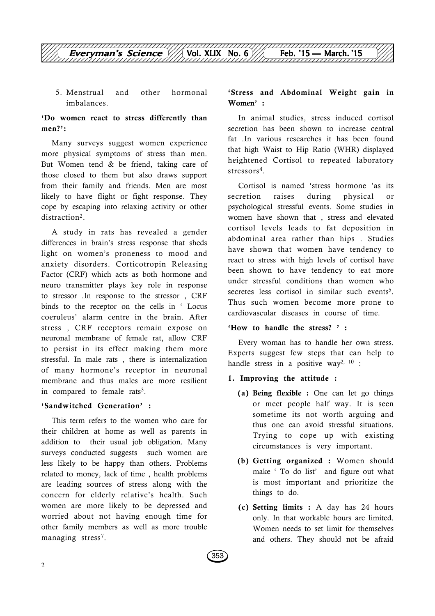

5. Menstrual and other hormonal imbalances.

#### **'Do women react to stress differently than men?':**

Many surveys suggest women experience more physical symptoms of stress than men. But Women tend & be friend, taking care of those closed to them but also draws support from their family and friends. Men are most likely to have flight or fight response. They cope by escaping into relaxing activity or other distraction<sup>2</sup>.

A study in rats has revealed a gender differences in brain's stress response that sheds light on women's proneness to mood and anxiety disorders. Corticotropin Releasing Factor (CRF) which acts as both hormone and neuro transmitter plays key role in response to stressor .In response to the stressor , CRF binds to the receptor on the cells in ' Locus coeruleus' alarm centre in the brain. After stress , CRF receptors remain expose on neuronal membrane of female rat, allow CRF to persist in its effect making them more stressful. In male rats , there is internalization of many hormone's receptor in neuronal membrane and thus males are more resilient in compared to female rats<sup>3</sup>.

#### **'Sandwitched Generation' :**

This term refers to the women who care for their children at home as well as parents in addition to their usual job obligation. Many surveys conducted suggests such women are less likely to be happy than others. Problems related to money, lack of time , health problems are leading sources of stress along with the concern for elderly relative's health. Such women are more likely to be depressed and worried about not having enough time for other family members as well as more trouble managing stress<sup>7</sup>.

#### **'Stress and Abdominal Weight gain in Women' :**

In animal studies, stress induced cortisol secretion has been shown to increase central fat .In various researches it has been found that high Waist to Hip Ratio (WHR) displayed heightened Cortisol to repeated laboratory stressors4.

Cortisol is named 'stress hormone 'as its secretion raises during physical or psychological stressful events. Some studies in women have shown that , stress and elevated cortisol levels leads to fat deposition in abdominal area rather than hips . Studies have shown that women have tendency to react to stress with high levels of cortisol have been shown to have tendency to eat more under stressful conditions than women who secretes less cortisol in similar such events<sup>5</sup>. Thus such women become more prone to cardiovascular diseases in course of time.

#### **'How to handle the stress? ' :**

Every woman has to handle her own stress. Experts suggest few steps that can help to handle stress in a positive way<sup>2, 10</sup> :

#### **1. Improving the attitude :**

- **(a) Being flexible :** One can let go things or meet people half way. It is seen sometime its not worth arguing and thus one can avoid stressful situations. Trying to cope up with existing circumstances is very important.
- **(b) Getting organized :** Women should make ' To do list' and figure out what is most important and prioritize the things to do.
- **(c) Setting limits :** A day has 24 hours only. In that workable hours are limited. Women needs to set limit for themselves and others. They should not be afraid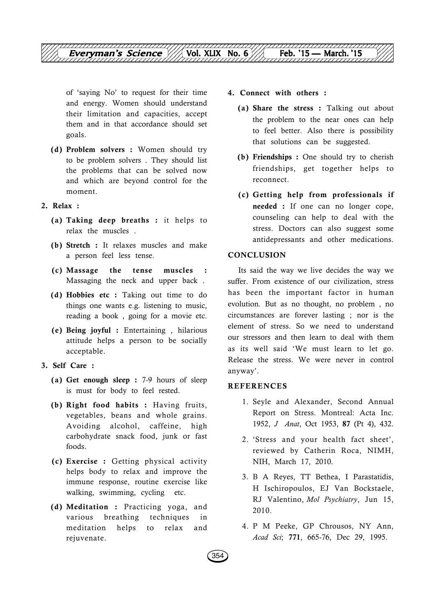#### 12345678901234567890123456789012123456789012345678901234567890121234567890123456789012345678 12345678901234567890123456789012123456789012345678901234567890121234567890123456789012345678 WA Everyman's Science  $\mathbb{V}/\mathbb{A}$  Vol. XLIX No. 6  $\mathbb{V}/\mathbb{A}$  Feb. '15 — March. '15  $\mathbb{V}/\mathbb{A}$ 56. <u>12</u><br>7777777777777777

of 'saying No' to request for their time and energy. Women should understand their limitation and capacities, accept them and in that accordance should set goals.

- **(d) Problem solvers :** Women should try to be problem solvers . They should list the problems that can be solved now and which are beyond control for the moment.
- **2. Relax :**
	- **(a) Taking deep breaths :** it helps to relax the muscles .
	- **(b) Stretch :** It relaxes muscles and make a person feel less tense.
	- **(c) Massage the tense muscles :** Massaging the neck and upper back .
	- **(d) Hobbies etc :** Taking out time to do things one wants e.g. listening to music, reading a book , going for a movie etc.
	- **(e) Being joyful :** Entertaining , hilarious attitude helps a person to be socially acceptable.
- **3. Self Care :**
	- **(a) Get enough sleep :** 7-9 hours of sleep is must for body to feel rested.
	- **(b) Right food habits :** Having fruits, vegetables, beans and whole grains. Avoiding alcohol, caffeine, high carbohydrate snack food, junk or fast foods.
	- **(c) Exercise :** Getting physical activity helps body to relax and improve the immune response, routine exercise like walking, swimming, cycling etc.
	- **(d) Meditation :** Practicing yoga, and various breathing techniques in meditation helps to relax and rejuvenate.

#### **4. Connect with others :**

- **(a) Share the stress :** Talking out about the problem to the near ones can help to feel better. Also there is possibility that solutions can be suggested.
- **(b) Friendships :** One should try to cherish friendships, get together helps to reconnect.
- **(c) Getting help from professionals if needed :** If one can no longer cope, counseling can help to deal with the stress. Doctors can also suggest some antidepressants and other medications.

#### **CONCLUSION**

Its said the way we live decides the way we suffer. From existence of our civilization, stress has been the important factor in human evolution. But as no thought, no problem , no circumstances are forever lasting ; nor is the element of stress. So we need to understand our stressors and then learn to deal with them as its well said 'We must learn to let go. Release the stress. We were never in control anyway'.

#### **REFERENCES**

- 1. Seyle and Alexander, Second Annual Report on Stress. Montreal: Acta Inc. 1952, *J Anat*, Oct 1953, **87** (Pt 4), 432.
- 2. 'Stress and your health fact sheet', reviewed by Catherin Roca, NIMH, NIH, March 17, 2010.
- 3. B A Reyes, TT Bethea, I Parastatidis, H Ischiropoulos, EJ Van Bockstaele, RJ Valentino, *Mol Psychiatry*, Jun 15, 2010.
- 4. P M Peeke, GP Chrousos, NY Ann, *Acad Sci*; **771**, 665-76, Dec 29, 1995.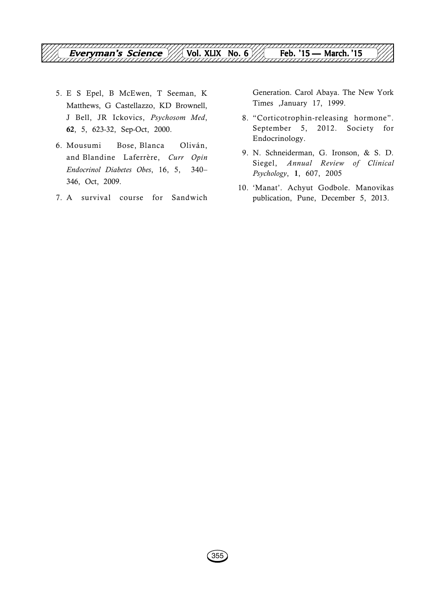

- 5. E S Epel, B McEwen, T Seeman, K Matthews, G Castellazzo, KD Brownell, J Bell, JR Ickovics, *Psychosom Med*, **62**, 5, 623-32, Sep-Oct, 2000.
- 6. Mousumi Bose, Blanca Oliván, and Blandine Laferrère, *Curr Opin Endocrinol Diabetes Obes*, 16, 5, 340– 346, Oct, 2009.
- 7. A survival course for Sandwich

Generation. Carol Abaya. The New York Times ,January 17, 1999.

- 8. "Corticotrophin-releasing hormone". September 5, 2012. Society for Endocrinology.
- 9. N. Schneiderman, G. Ironson, & S. D. Siegel, *Annual Review of Clinical Psychology*, **1**, 607, 2005
- 10. 'Manat'. Achyut Godbole. Manovikas publication, Pune, December 5, 2013.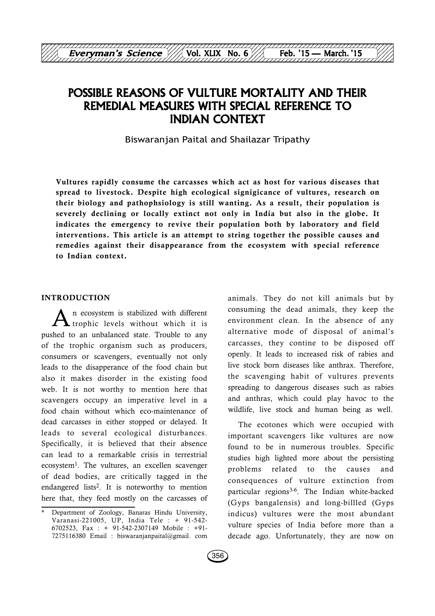12345678901234567890123456789012123456789012345678901234567890121234567890123456789012345678 12345678901234567890123456789012123456789012345678901234567890121234567890123456789012345678 WA Everyman's Science  $\mathbb{V}/\mathbb{A}$  Vol. XLIX No. 6  $\mathbb{V}/\mathbb{A}$  Feb. '15 — March. '15  $\mathbb{V}/\mathbb{A}$ 

Biswaranjan Paital and Shailazar Tripathy

INDIAN CONTEXT

**Vultures rapidly consume the carcasses which act as host for various diseases that spread to livestock. Despite high ecological signigicance of vultures, research on their biology and pathophsiology is still wanting. As a result, their population is severely declining or locally extinct not only in India but also in the globe. It indicates the emergency to revive their population both by laboratory and field interventions. This article is an attempt to string together the possible causes and remedies against their disappearance from the ecosystem with special reference to Indian context.**

#### **INTRODUCTION**

 $\mathbf A$  n ecosystem is stabilized with different trophic levels without which it is pushed to an unbalanced state. Trouble to any of the trophic organism such as producers, consumers or scavengers, eventually not only leads to the disapperance of the food chain but also it makes disorder in the existing food web. It is not worthy to mention here that scavengers occupy an imperative level in a food chain without which eco-maintenance of dead carcasses in either stopped or delayed. It leads to several ecological disturbances. Specifically, it is believed that their absence can lead to a remarkable crisis in terrestrial ecosystem1. The vultures, an excellen scavenger of dead bodies, are critically tagged in the endangered lists2. It is noteworthy to mention here that, they feed mostly on the carcasses of animals. They do not kill animals but by consuming the dead animals, they keep the environment clean. In the absence of any alternative mode of disposal of animal's carcasses, they contine to be disposed off openly. It leads to increased risk of rabies and live stock born diseases like anthrax. Therefore, the scavenging habit of vultures prevents spreading to dangerous diseases such as rabies and anthras, which could play havoc to the wildlife, live stock and human being as well.

12345678901234567890123456789012123456789012345678901234567890121234567890123456789012345678

The ecotones which were occupied with important scavengers like vultures are now found to be in numerous troubles. Specific studies high lighted more about the persisting problems related to the causes and consequences of vulture extinction from particular regions<sup>3-6</sup>. The Indian white-backed (Gyps bangalensis) and long-billled (Gyps indicus) vultures were the most abundant vulture species of India before more than a decade ago. Unfortunately, they are now on

Department of Zoology, Banaras Hindu University, Varanasi-221005, UP, India Tele : + 91-542- 6702523, Fax : + 91-542-2307149 Mobile : +91- 7275116380 Email : biswaranjanpaital@gmail. com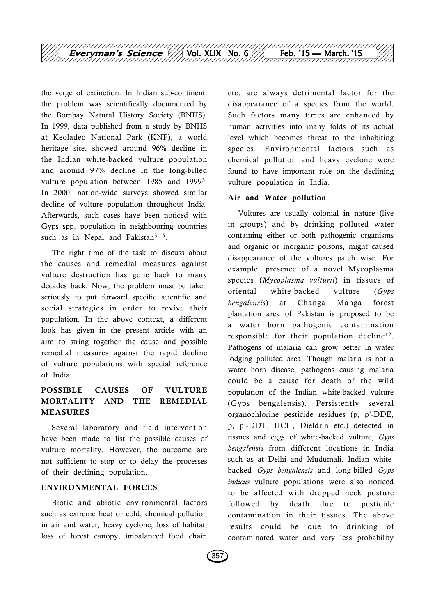

the verge of extinction. In Indian sub-continent, the problem was scientifically documented by the Bombay Natural History Society (BNHS). In 1999, data published from a study by BNHS at Keoladeo National Park (KNP), a world heritage site, showed around 96% decline in the Indian white-backed vulture population and around 97% decline in the long-billed vulture population between 1985 and 19993. In 2000, nation-wide surveys showed similar decline of vulture population throughout India. Afterwards, such cases have been noticed with Gyps spp. population in neighbouring countries such as in Nepal and Pakistan<sup>3, 5</sup>.

The right time of the task to discuss about the causes and remedial measures against vulture destruction has gone back to many decades back. Now, the problem must be taken seriously to put forward specific scientific and social strategies in order to revive their population. In the above context, a different look has given in the present article with an aim to string together the cause and possible remedial measures against the rapid decline of vulture populations with special reference of India.

### **POSSIBLE CAUSES OF VULTURE MORTALITY AND THE REMEDIAL MEASURES**

Several laboratory and field intervention have been made to list the possible causes of vulture mortality. However, the outcome are not sufficient to stop or to delay the processes of their declining population.

#### **ENVIRONMENTAL FORCES**

Biotic and abiotic environmental factors such as extreme heat or cold, chemical pollution in air and water, heavy cyclone, loss of habitat, loss of forest canopy, imbalanced food chain etc. are always detrimental factor for the disappearance of a species from the world. Such factors many times are enhanced by human activities into many folds of its actual level which becomes threat to the inhabiting species. Environmental factors such as chemical pollution and heavy cyclone were found to have important role on the declining vulture population in India.

#### **Air and Water pollution**

Vultures are usually colonial in nature (live in groups) and by drinking polluted water containing either or both pathogenic organisms and organic or inorganic poisons, might caused disappearance of the vultures patch wise. For example, presence of a novel Mycoplasma species (*Mycoplasma vulturii*) in tissues of oriental white-backed vulture (*Gyps bengalensis*) at Changa Manga forest plantation area of Pakistan is proposed to be a water born pathogenic contamination responsible for their population decline<sup>12</sup>. Pathogens of malaria can grow better in water lodging polluted area. Though malaria is not a water born disease, pathogens causing malaria could be a cause for death of the wild population of the Indian white-backed vulture (Gyps bengalensis). Persistently several organochlorine pesticide residues (p, p'-DDE, p, p'-DDT, HCH, Dieldrin etc.) detected in tissues and eggs of white-backed vulture, *Gyps bengalensis* from different locations in India such as at Delhi and Mudumali. Indian whitebacked *Gyps bengalensis* and long-billed *Gyps indicus* vulture populations were also noticed to be affected with dropped neck posture followed by death due to pesticide contamination in their tissues. The above results could be due to drinking of contaminated water and very less probability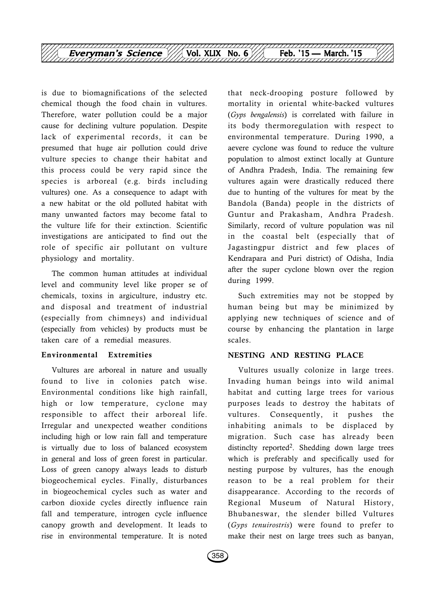

is due to biomagnifications of the selected chemical though the food chain in vultures. Therefore, water pollution could be a major cause for declining vulture population. Despite lack of experimental records, it can be presumed that huge air pollution could drive vulture species to change their habitat and this process could be very rapid since the species is arboreal (e.g. birds including vultures) one. As a consequence to adapt with a new habitat or the old polluted habitat with many unwanted factors may become fatal to the vulture life for their extinction. Scientific investigations are anticipated to find out the role of specific air pollutant on vulture physiology and mortality.

The common human attitudes at individual level and community level like proper se of chemicals, toxins in argiculture, industry etc. and disposal and treatment of industrial (especially from chimneys) and individual (especially from vehicles) by products must be taken care of a remedial measures.

#### **Environmental Extremities**

Vultures are arboreal in nature and usually found to live in colonies patch wise. Environmental conditions like high rainfall, high or low temperature, cyclone may responsible to affect their arboreal life. Irregular and unexpected weather conditions including high or low rain fall and temperature is virtually due to loss of balanced ecosystem in general and loss of green forest in particular. Loss of green canopy always leads to disturb biogeochemical eycles. Finally, disturbances in biogeochemical cycles such as water and carbon dioxide cycles directly influence rain fall and temperature, introgen cycle influence canopy growth and development. It leads to rise in environmental temperature. It is noted that neck-drooping posture followed by mortality in oriental white-backed vultures (*Gyps bengalensis*) is correlated with failure in its body thermoregulation with respect to environmental temperature. During 1990, a aevere cyclone was found to reduce the vulture population to almost extinct locally at Gunture of Andhra Pradesh, India. The remaining few vultures again were drastically reduced there due to hunting of the vultures for meat by the Bandola (Banda) people in the districts of Guntur and Prakasham, Andhra Pradesh. Similarly, record of vulture population was nil in the coastal belt (especially that of Jagastingpur district and few places of Kendrapara and Puri district) of Odisha, India after the super cyclone blown over the region during 1999.

Such extremities may not be stopped by human being but may be minimized by applying new techniques of science and of course by enhancing the plantation in large scales.

#### **NESTING AND RESTING PLACE**

Vultures usually colonize in large trees. Invading human beings into wild animal habitat and cutting large trees for various purposes leads to destroy the habitats of vultures. Consequently, it pushes the inhabiting animals to be displaced by migration. Such case has already been distinclty reported<sup>2</sup>. Shedding down large trees which is preferably and specifically used for nesting purpose by vultures, has the enough reason to be a real problem for their disappearance. According to the records of Regional Museum of Natural History, Bhubaneswar, the slender billed Vultures (*Gyps tenuirostris*) were found to prefer to make their nest on large trees such as banyan,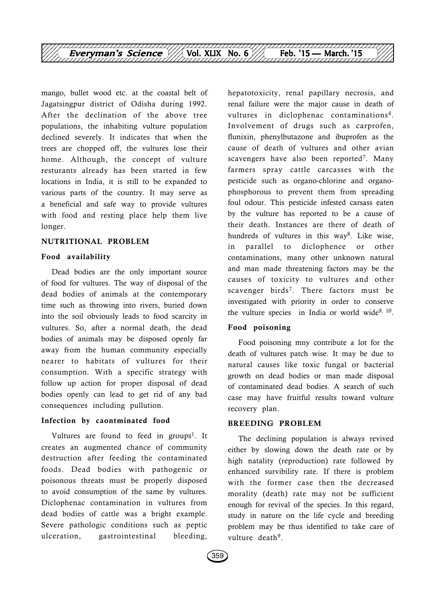

mango, bullet wood etc. at the coastal belt of Jagatsingpur district of Odisha during 1992. After the declination of the above tree populations, the inhabiting vulture population declined severely. It indicates that when the trees are chopped off, the vultures lose their home. Although, the concept of vulture resturants already has been started in few locations in India, it is still to be expanded to various parts of the country. It may serve as a beneficial and safe way to provide vultures with food and resting place help them live longer.

#### **NUTRITIONAL PROBLEM**

#### **Food availability**

Dead bodies are the only important source of food for vultures. The way of disposal of the dead bodies of animals at the contemporary time such as throwing into rivers, buried down into the soil obviously leads to food scarcity in vultures. So, after a normal death, the dead bodies of animals may be disposed openly far away from the human community especially nearer to habitats of vultures for their consumption. With a specific strategy with follow up action for proper disposal of dead bodies openly can lead to get rid of any bad consequences including pullution.

#### **Infection by caontminated food**

Vultures are found to feed in groups<sup>1</sup>. It creates an augmented chance of community destruction after feeding the contaminated foods. Dead bodies with pathogenic or poisonous threats must be properly disposed to avoid consumption of the same by vultures. Diclophenac contamination in vultures from dead bodies of cattle was a bright example. Severe pathologic conditions such as peptic ulceration, gastrointestinal bleeding,

hepatotoxicity, renal papillary necrosis, and renal failure were the major cause in death of vultures in diclophenac contaminations4. Involvement of drugs such as carprofen, flunixin, phenylbutazone and ibuprofen as the cause of death of vultures and other avian scavengers have also been reported<sup>7</sup>. Many farmers spray cattle carcasses with the pesticide such as organo-chlorine and organophosphorous to prevent them from spreading foul odour. This pesticide infested carsass eaten by the vulture has reported to be a cause of their death. Instances are there of death of hundreds of vultures in this way<sup>8</sup>. Like wise, in parallel to diclophence or other contaminations, many other unknown natural and man made threatening factors may be the causes of toxicity to vultures and other scavenger birds<sup>7</sup>. There factors must be investigated with priority in order to conserve the vulture species in India or world wide<sup>9, 10</sup>.

#### **Food poisoning**

Food poisoning mny contribute a lot for the death of vultures patch wise. It may be due to natural causes like toxic fungal or bacterial growth on dead bodies or man made disposal of contaminated dead bodies. A search of such case may have fruitful results toward vulture recovery plan.

#### **BREEDING PROBLEM**

The declining population is always revived either by slowing down the death rate or by high natality (reproduction) rate followed by enhanced survibility rate. If there is problem with the former case then the decreased morality (death) rate may not be sufficient enough for revival of the species. In this regard, study in nature on the life cycle and breeding problem may be thus identified to take care of vulture death<sup>9</sup>.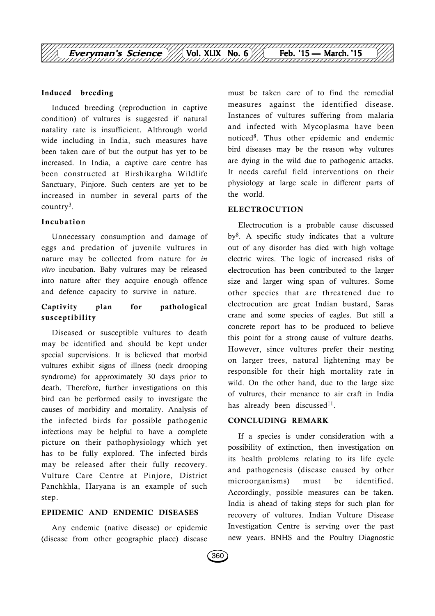

#### **Induced breeding**

Induced breeding (reproduction in captive condition) of vultures is suggested if natural natality rate is insufficient. Althrough world wide including in India, such measures have been taken care of but the output has yet to be increased. In India, a captive care centre has been constructed at Birshikargha Wildlife Sanctuary, Pinjore. Such centers are yet to be increased in number in several parts of the  $countrv<sup>3</sup>$ .

#### **Incubation**

Unnecessary consumption and damage of eggs and predation of juvenile vultures in nature may be collected from nature for *in vitro* incubation. Baby vultures may be released into nature after they acquire enough offence and defence capacity to survive in nature.

#### **Captivity plan for pathological susceptibility**

Diseased or susceptible vultures to death may be identified and should be kept under special supervisions. It is believed that morbid vultures exhibit signs of illness (neck drooping syndrome) for approximately 30 days prior to death. Therefore, further investigations on this bird can be performed easily to investigate the causes of morbidity and mortality. Analysis of the infected birds for possible pathogenic infections may be helpful to have a complete picture on their pathophysiology which yet has to be fully explored. The infected birds may be released after their fully recovery. Vulture Care Centre at Pinjore, District Panchkhla, Haryana is an example of such step.

#### **EPIDEMIC AND ENDEMIC DISEASES**

Any endemic (native disease) or epidemic (disease from other geographic place) disease

must be taken care of to find the remedial measures against the identified disease. Instances of vultures suffering from malaria and infected with Mycoplasma have been noticed8. Thus other epidemic and endemic bird diseases may be the reason why vultures are dying in the wild due to pathogenic attacks. It needs careful field interventions on their physiology at large scale in different parts of the world.

#### **ELECTROCUTION**

Electrocution is a probable cause discussed by8. A specific study indicates that a vulture out of any disorder has died with high voltage electric wires. The logic of increased risks of electrocution has been contributed to the larger size and larger wing span of vultures. Some other species that are threatened due to electrocution are great Indian bustard, Saras crane and some species of eagles. But still a concrete report has to be produced to believe this point for a strong cause of vulture deaths. However, since vultures prefer their nesting on larger trees, natural lightening may be responsible for their high mortality rate in wild. On the other hand, due to the large size of vultures, their menance to air craft in India has already been discussed<sup>11</sup>.

#### **CONCLUDING REMARK**

If a species is under consideration with a possibility of extinction, then investigation on its health problems relating to its life cycle and pathogenesis (disease caused by other microorganisms) must be identified. Accordingly, possible measures can be taken. India is ahead of taking steps for such plan for recovery of vultures. Indian Vulture Disease Investigation Centre is serving over the past new years. BNHS and the Poultry Diagnostic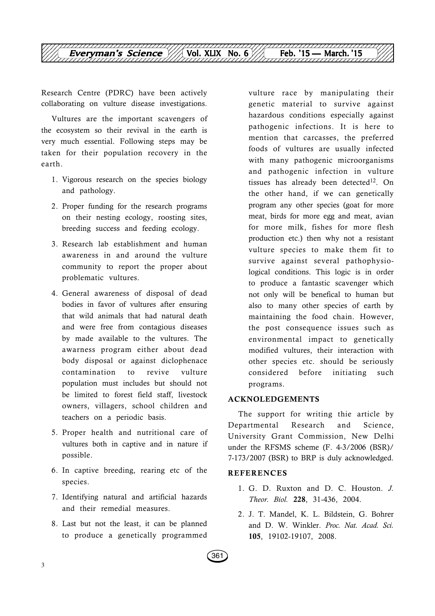

Research Centre (PDRC) have been actively collaborating on vulture disease investigations.

Vultures are the important scavengers of the ecosystem so their revival in the earth is very much essential. Following steps may be taken for their population recovery in the earth.

- 1. Vigorous research on the species biology and pathology.
- 2. Proper funding for the research programs on their nesting ecology, roosting sites, breeding success and feeding ecology.
- 3. Research lab establishment and human awareness in and around the vulture community to report the proper about problematic vultures.
- 4. General awareness of disposal of dead bodies in favor of vultures after ensuring that wild animals that had natural death and were free from contagious diseases by made available to the vultures. The awarness program either about dead body disposal or against diclophenace contamination to revive vulture population must includes but should not be limited to forest field staff, livestock owners, villagers, school children and teachers on a periodic basis.
- 5. Proper health and nutritional care of vultures both in captive and in nature if possible.
- 6. In captive breeding, rearing etc of the species.
- 7. Identifying natural and artificial hazards and their remedial measures.
- 8. Last but not the least, it can be planned to produce a genetically programmed

vulture race by manipulating their genetic material to survive against hazardous conditions especially against pathogenic infections. It is here to mention that carcasses, the preferred foods of vultures are usually infected with many pathogenic microorganisms and pathogenic infection in vulture tissues has already been detected<sup>12</sup>. On the other hand, if we can genetically program any other species (goat for more meat, birds for more egg and meat, avian for more milk, fishes for more flesh production etc.) then why not a resistant vulture species to make them fit to survive against several pathophysiological conditions. This logic is in order to produce a fantastic scavenger which not only will be benefical to human but also to many other species of earth by maintaining the food chain. However, the post consequence issues such as environmental impact to genetically modified vultures, their interaction with other species etc. should be seriously considered before initiating such programs.

#### **ACKNOLEDGEMENTS**

The support for writing thie article by Departmental Research and Science, University Grant Commission, New Delhi under the RFSMS scheme (F. 4-3/2006 (BSR)/ 7-173/2007 (BSR) to BRP is duly acknowledged.

#### **REFERENCES**

- 1. G. D. Ruxton and D. C. Houston. *J. Theor. Biol.* **228**, 31-436, 2004.
- 2. J. T. Mandel, K. L. Bildstein, G. Bohrer and D. W. Winkler. *Proc. Nat. Acad. Sci.* **105**, 19102-19107, 2008.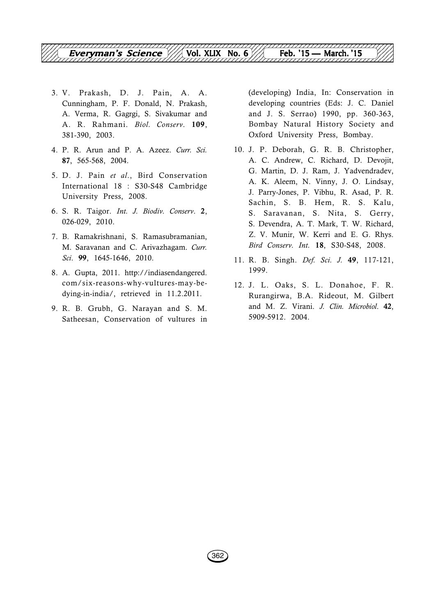

- 3. V. Prakash, D. J. Pain, A. A. Cunningham, P. F. Donald, N. Prakash, A. Verma, R. Gagrgi, S. Sivakumar and A. R. Rahmani. *Biol. Conserv*. **109**, 381-390, 2003.
- 4. P. R. Arun and P. A. Azeez. *Curr. Sci.* **87**, 565-568, 2004.
- 5. D. J. Pain *et al*., Bird Conservation International 18 : S30-S48 Cambridge University Press, 2008.
- 6. S. R. Taigor. *Int. J. Biodiv. Conserv*. **2**, 026-029, 2010.
- 7. B. Ramakrishnani, S. Ramasubramanian, M. Saravanan and C. Arivazhagam. *Curr. Sci*. **99**, 1645-1646, 2010.
- 8. A. Gupta, 2011. http://indiasendangered. com/six-reasons-why-vultures-may-bedying-in-india/, retrieved in 11.2.2011.
- 9. R. B. Grubh, G. Narayan and S. M. Satheesan, Conservation of vultures in

(developing) India, In: Conservation in developing countries (Eds: J. C. Daniel and J. S. Serrao) 1990, pp. 360-363, Bombay Natural History Society and Oxford University Press, Bombay.

- 10. J. P. Deborah, G. R. B. Christopher, A. C. Andrew, C. Richard, D. Devojit, G. Martin, D. J. Ram, J. Yadvendradev, A. K. Aleem, N. Vinny, J. O. Lindsay, J. Parry-Jones, P. Vibhu, R. Asad, P. R. Sachin, S. B. Hem, R. S. Kalu, S. Saravanan, S. Nita, S. Gerry, S. Devendra, A. T. Mark, T. W. Richard, Z. V. Munir, W. Kerri and E. G. Rhys. *Bird Conserv. Int.* **18**, S30-S48, 2008.
- 11. R. B. Singh. *Def. Sci. J.* **49**, 117-121, 1999.
- 12. J. L. Oaks, S. L. Donahoe, F. R. Rurangirwa, B.A. Rideout, M. Gilbert and M. Z. Virani. *J. Clin. Microbiol*. **42**, 5909-5912. 2004.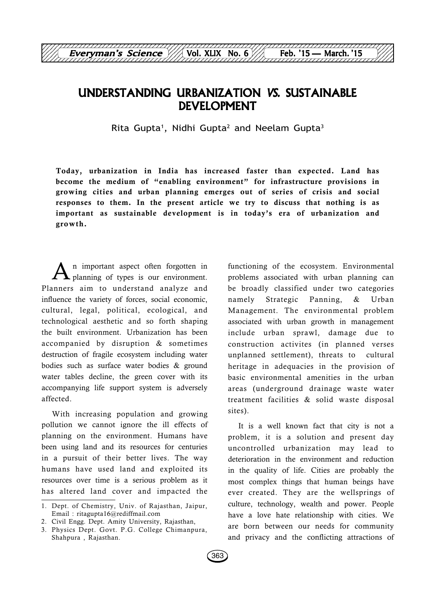# UNDERSTANDING URBANIZATION *VS.* SUSTAINABLE DEVELOPMENT

12345678901234567890123456789012123456789012345678901234567890121234567890123456789012345678 12345678901234567890123456789012123456789012345678901234567890121234567890123456789012345678 Which Everyman's Science  $\mathbb{V}/\mathbb{A}$  Vol. XLIX No. 6  $\mathbb{V}/\mathbb{A}$  Feb. '15 — March.'15  $\mathbb{V}/\mathbb{A}$ 

Rita Gupta<sup>1</sup>, Nidhi Gupta<sup>2</sup> and Neelam Gupta<sup>3</sup>

**Today, urbanization in India has increased faster than expected. Land has become the medium of "enabling environment" for infrastructure provisions in growing cities and urban planning emerges out of series of crisis and social responses to them. In the present article we try to discuss that nothing is as important as sustainable development is in today's era of urbanization and growth.**

 $A$ <sup>n</sup> important aspect often forgotten in planning of types is our environment. Planners aim to understand analyze and influence the variety of forces, social economic, cultural, legal, political, ecological, and technological aesthetic and so forth shaping the built environment. Urbanization has been accompanied by disruption & sometimes destruction of fragile ecosystem including water bodies such as surface water bodies & ground water tables decline, the green cover with its accompanying life support system is adversely affected.

With increasing population and growing pollution we cannot ignore the ill effects of planning on the environment. Humans have been using land and its resources for centuries in a pursuit of their better lives. The way humans have used land and exploited its resources over time is a serious problem as it has altered land cover and impacted the functioning of the ecosystem. Environmental problems associated with urban planning can be broadly classified under two categories namely Strategic Panning, & Urban Management. The environmental problem associated with urban growth in management include urban sprawl, damage due to construction activites (in planned verses unplanned settlement), threats to cultural heritage in adequacies in the provision of basic environmental amenities in the urban areas (underground drainage waste water treatment facilities & solid waste disposal sites).

12345678901234567890123456789012123456789012345678901234567890121234567890123456789012345678

It is a well known fact that city is not a problem, it is a solution and present day uncontrolled urbanization may lead to deterioration in the environment and reduction in the quality of life. Cities are probably the most complex things that human beings have ever created. They are the wellsprings of culture, technology, wealth and power. People have a love hate relationship with cities. We are born between our needs for community and privacy and the conflicting attractions of

<sup>1.</sup> Dept. of Chemistry, Univ. of Rajasthan, Jaipur, Email : ritagupta16@rediffmail.com

<sup>2.</sup> Civil Engg. Dept. Amity University, Rajasthan,

<sup>3.</sup> Physics Dept. Govt. P.G. College Chimanpura, Shahpura , Rajasthan.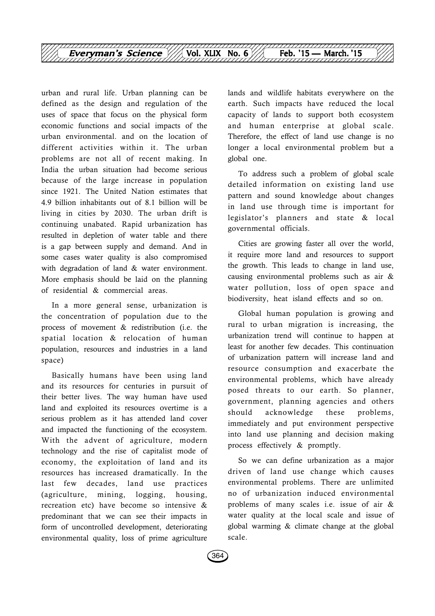

urban and rural life. Urban planning can be defined as the design and regulation of the uses of space that focus on the physical form economic functions and social impacts of the urban environmental. and on the location of different activities within it. The urban problems are not all of recent making. In India the urban situation had become serious because of the large increase in population since 1921. The United Nation estimates that 4.9 billion inhabitants out of 8.1 billion will be living in cities by 2030. The urban drift is continuing unabated. Rapid urbanization has resulted in depletion of water table and there is a gap between supply and demand. And in some cases water quality is also compromised with degradation of land & water environment. More emphasis should be laid on the planning of residential & commercial areas.

In a more general sense, urbanization is the concentration of population due to the process of movement & redistribution (i.e. the spatial location & relocation of human population, resources and industries in a land space)

Basically humans have been using land and its resources for centuries in pursuit of their better lives. The way human have used land and exploited its resources overtime is a serious problem as it has attended land cover and impacted the functioning of the ecosystem. With the advent of agriculture, modern technology and the rise of capitalist mode of economy, the exploitation of land and its resources has increased dramatically. In the last few decades, land use practices (agriculture, mining, logging, housing, recreation etc) have become so intensive & predominant that we can see their impacts in form of uncontrolled development, deteriorating environmental quality, loss of prime agriculture

lands and wildlife habitats everywhere on the earth. Such impacts have reduced the local capacity of lands to support both ecosystem and human enterprise at global scale. Therefore, the effect of land use change is no longer a local environmental problem but a global one.

To address such a problem of global scale detailed information on existing land use pattern and sound knowledge about changes in land use through time is important for legislator's planners and state & local governmental officials.

Cities are growing faster all over the world, it require more land and resources to support the growth. This leads to change in land use, causing environmental problems such as air & water pollution, loss of open space and biodiversity, heat island effects and so on.

Global human population is growing and rural to urban migration is increasing, the urbanization trend will continue to happen at least for another few decades. This continuation of urbanization pattern will increase land and resource consumption and exacerbate the environmental problems, which have already posed threats to our earth. So planner, government, planning agencies and others should acknowledge these problems, immediately and put environment perspective into land use planning and decision making process effectively & promptly.

So we can define urbanization as a major driven of land use change which causes environmental problems. There are unlimited no of urbanization induced environmental problems of many scales i.e. issue of air & water quality at the local scale and issue of global warming & climate change at the global scale.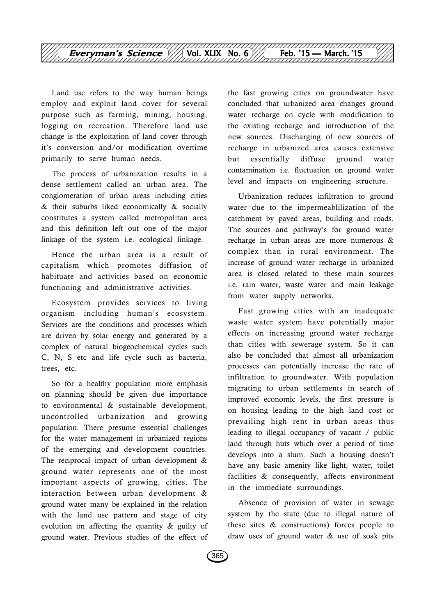

Land use refers to the way human beings employ and exploit land cover for several purpose such as farming, mining, housing, logging on recreation. Therefore land use change is the exploitation of land cover through it's conversion and/or modification overtime primarily to serve human needs.

The process of urbanization results in a dense settlement called an urban area. The conglomeration of urban areas including cities & their suburbs liked economically & socially constitutes a system called metropolitan area and this definition left out one of the major linkage of the system i.e. ecological linkage.

Hence the urban area is a result of capitalism which promotes diffusion of habituate and activities based on economic functioning and administrative activities.

Ecosystem provides services to living organism including human's ecosystem. Services are the conditions and processes which are driven by solar energy and generated by a complex of natural biogeochemical cycles such C, N, S etc and life cycle such as bacteria, trees, etc.

So for a healthy population more emphasis on planning should be given due importance to environmental & sustainable development, uncontrolled urbanization and growing population. There presume essential challenges for the water management in urbanized regions of the emerging and development countries. The reciprocal impact of urban development & ground water represents one of the most important aspects of growing, cities. The interaction between urban development & ground water many be explained in the relation with the land use pattern and stage of city evolution on affecting the quantity & guilty of ground water. Previous studies of the effect of the fast growing cities on groundwater have concluded that urbanized area changes ground water recharge on cycle with modification to the existing recharge and introduction of the new sources. Discharging of new sources of recharge in urbanized area causes extensive but essentially diffuse ground water contamination i.e. fluctuation on ground water level and impacts on engineering structure.

Urbanization reduces infiltration to ground water due to the impermeablilization of the catchment by paved areas, building and roads. The sources and pathway's for ground water recharge in urban areas are more numerous & complex than in rural environment. The increase of ground water recharge in urbanized area is closed related to these main sources i.e. rain water, waste water and main leakage from water supply networks.

Fast growing cities with an inadequate waste water system have potentially major effects on increasing ground water recharge than cities with sewerage system. So it can also be concluded that almost all urbanization processes can potentially increase the rate of infiltration to groundwater. With population migrating to urban settlements in search of improved economic levels, the first pressure is on housing leading to the high land cost or prevailing high rent in urban areas thus leading to illegal occupancy of vacant / public land through huts which over a period of time develops into a slum. Such a housing doesn't have any basic amenity like light, water, toilet facilities & consequently, affects environment in the immediate surroundings.

Absence of provision of water in sewage system by the state (due to illegal nature of these sites & constructions) forces people to draw uses of ground water & use of soak pits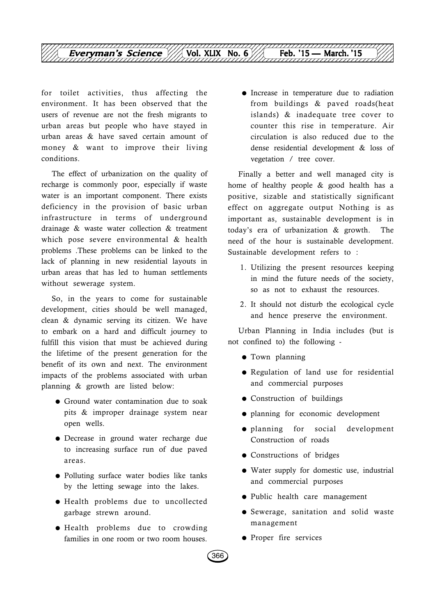

for toilet activities, thus affecting the environment. It has been observed that the users of revenue are not the fresh migrants to urban areas but people who have stayed in urban areas & have saved certain amount of money & want to improve their living conditions.

The effect of urbanization on the quality of recharge is commonly poor, especially if waste water is an important component. There exists deficiency in the provision of basic urban infrastructure in terms of underground drainage & waste water collection & treatment which pose severe environmental & health problems .These problems can be linked to the lack of planning in new residential layouts in urban areas that has led to human settlements without sewerage system.

So, in the years to come for sustainable development, cities should be well managed, clean & dynamic serving its citizen. We have to embark on a hard and difficult journey to fulfill this vision that must be achieved during the lifetime of the present generation for the benefit of its own and next. The environment impacts of the problems associated with urban planning & growth are listed below:

- Ground water contamination due to soak pits & improper drainage system near open wells.
- Decrease in ground water recharge due to increasing surface run of due paved areas.
- Polluting surface water bodies like tanks by the letting sewage into the lakes.
- Health problems due to uncollected garbage strewn around.
- Health problems due to crowding families in one room or two room houses.

● Increase in temperature due to radiation from buildings & paved roads(heat islands) & inadequate tree cover to counter this rise in temperature. Air circulation is also reduced due to the dense residential development & loss of vegetation / tree cover.

Finally a better and well managed city is home of healthy people & good health has a positive, sizable and statistically significant effect on aggregate output Nothing is as important as, sustainable development is in today's era of urbanization & growth. The need of the hour is sustainable development. Sustainable development refers to :

- 1. Utilizing the present resources keeping in mind the future needs of the society, so as not to exhaust the resources.
- 2. It should not disturb the ecological cycle and hence preserve the environment.

Urban Planning in India includes (but is not confined to) the following -

- Town planning
- Regulation of land use for residential and commercial purposes
- Construction of buildings
- planning for economic development
- planning for social development Construction of roads
- Constructions of bridges
- Water supply for domestic use, industrial and commercial purposes
- Public health care management
- Sewerage, sanitation and solid waste management
- Proper fire services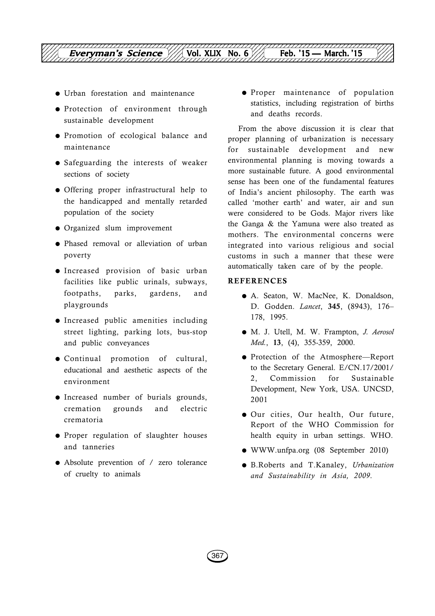12345678901234567890123456789012123456789012345678901234567890121234567890123456789012345678 12345678901234567890123456789012123456789012345678901234567890121234567890123456789012345678 Which Everyman's Science  $\mathbb{V}/\mathbb{A}$  Vol. XLIX No. 6  $\mathbb{V}/\mathbb{A}$  Feb. '15 — March.'15  $\mathbb{V}/\mathbb{A}$ <del>--------------</del>---

- Urban forestation and maintenance
- Protection of environment through sustainable development
- Promotion of ecological balance and maintenance
- Safeguarding the interests of weaker sections of society
- Offering proper infrastructural help to the handicapped and mentally retarded population of the society
- Organized slum improvement
- Phased removal or alleviation of urban poverty
- Increased provision of basic urban facilities like public urinals, subways, footpaths, parks, gardens, and playgrounds
- Increased public amenities including street lighting, parking lots, bus-stop and public conveyances
- Continual promotion of cultural, educational and aesthetic aspects of the environment
- Increased number of burials grounds, cremation grounds and electric crematoria
- Proper regulation of slaughter houses and tanneries
- Absolute prevention of / zero tolerance of cruelty to animals

● Proper maintenance of population statistics, including registration of births and deaths records.

From the above discussion it is clear that proper planning of urbanization is necessary for sustainable development and new environmental planning is moving towards a more sustainable future. A good environmental sense has been one of the fundamental features of India's ancient philosophy. The earth was called 'mother earth' and water, air and sun were considered to be Gods. Major rivers like the Ganga & the Yamuna were also treated as mothers. The environmental concerns were integrated into various religious and social customs in such a manner that these were automatically taken care of by the people.

#### **REFERENCES**

- A. Seaton, W. MacNee, K. Donaldson, D. Godden. *Lancet*, **345**, (8943), 176– 178, 1995.
- M. J. Utell, M. W. Frampton, *J. Aerosol Med.*, **13**, (4), 355-359, 2000.
- Protection of the Atmosphere—Report to the Secretary General. E/CN.17/2001/ 2, Commission for Sustainable Development, New York, USA. UNCSD, 2001
- Our cities, Our health, Our future, Report of the WHO Commission for health equity in urban settings. WHO.
- WWW.unfpa.org (08 September 2010)
- B.Roberts and T.Kanaley, *Urbanization and Sustainability in Asia, 2009*.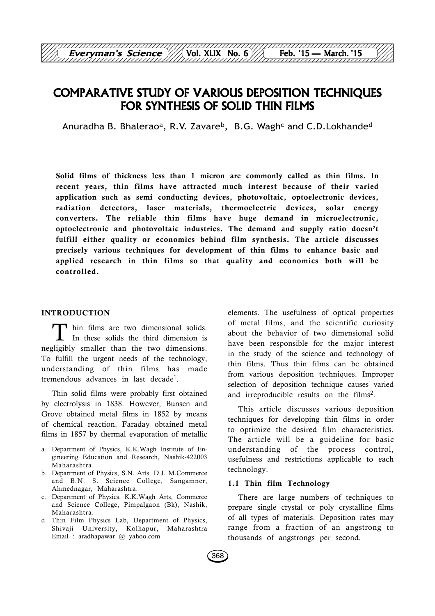# COMPARATIVE STUDY OF VARIOUS DEPOSITION TECHNIQUES

FOR SYNTHESIS OF SOLID THIN FILMS

12345678901234567890123456789012123456789012345678901234567890121234567890123456789012345678 12345678901234567890123456789012123456789012345678901234567890121234567890123456789012345678 WA Everyman's Science  $\mathbb{V}/\mathbb{A}$  Vol. XLIX No. 6  $\mathbb{V}/\mathbb{A}$  Feb. '15 — March. '15  $\mathbb{V}/\mathbb{A}$ 1234567890123456789012345678901234567890123456789012345678901234567890123456789012345678901234567890<br>12345678901234567890123456789012345678901234567890123456789012345678901234567890123456789012345678901234567890

Anuradha B. Bhalerao<sup>a</sup>, R.V. Zavare<sup>b</sup>, B.G. Wagh<sup>c</sup> and C.D.Lokhande<sup>d</sup>

**Solid films of thickness less than 1 micron are commonly called as thin films. In recent years, thin films have attracted much interest because of their varied application such as semi conducting devices, photovoltaic, optoelectronic devices, radiation detectors, laser materials, thermoelectric devices, solar energy converters. The reliable thin films have huge demand in microelectronic, optoelectronic and photovoltaic industries. The demand and supply ratio doesn't fulfill either quality or economics behind film synthesis. The article discusses precisely various techniques for development of thin films to enhance basic and applied research in thin films so that quality and economics both will be controlled.**

#### **INTRODUCTION**

T hin films are two dimensional solids. In these solids the third dimension is negligibly smaller than the two dimensions. To fulfill the urgent needs of the technology, understanding of thin films has made tremendous advances in last decade1.

Thin solid films were probably first obtained by electrolysis in 1838. However, Bunsen and Grove obtained metal films in 1852 by means of chemical reaction. Faraday obtained metal films in 1857 by thermal evaporation of metallic

- b. Department of Physics, S.N. Arts, D.J. M.Commerce and B.N. S. Science College, Sangamner, Ahmednagar, Maharashtra.
- c. Department of Physics, K.K.Wagh Arts, Commerce and Science College, Pimpalgaon (Bk), Nashik, Maharashtra.
- d. Thin Film Physics Lab, Department of Physics, Shivaji University, Kolhapur, Maharashtra Email : aradhapawar @ yahoo.com

elements. The usefulness of optical properties of metal films, and the scientific curiosity about the behavior of two dimensional solid have been responsible for the major interest in the study of the science and technology of thin films. Thus thin films can be obtained from various deposition techniques. Improper selection of deposition technique causes varied and irreproducible results on the films2.

This article discusses various deposition techniques for developing thin films in order to optimize the desired film characteristics. The article will be a guideline for basic understanding of the process control, usefulness and restrictions applicable to each technology.

#### **1.1 Thin film Technology**

There are large numbers of techniques to prepare single crystal or poly crystalline films of all types of materials. Deposition rates may range from a fraction of an angstrong to thousands of angstrongs per second.

a. Department of Physics, K.K.Wagh Institute of Engineering Education and Research, Nashik-422003 Maharashtra.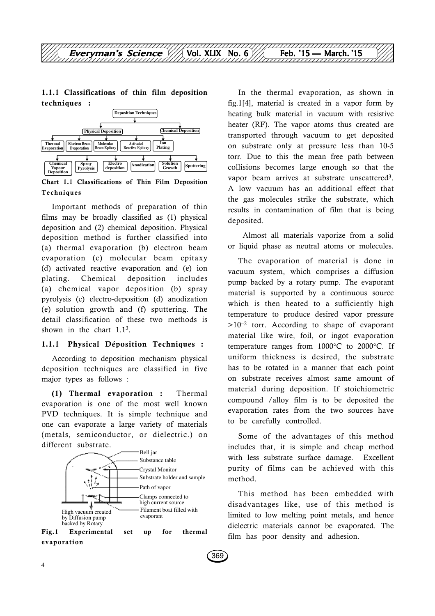

369

**1.1.1 Classifications of thin film deposition techniques :**



**Chart 1.1 Classifications of Thin Film Deposition Techniques**

Important methods of preparation of thin films may be broadly classified as (1) physical deposition and (2) chemical deposition. Physical deposition method is further classified into (a) thermal evaporation (b) electron beam evaporation (c) molecular beam epitaxy (d) activated reactive evaporation and (e) ion plating. Chemical deposition includes (a) chemical vapor deposition (b) spray pyrolysis (c) electro-deposition (d) anodization (e) solution growth and (f) sputtering. The detail classification of these two methods is shown in the chart 1.13.

#### **1.1.1 Physical Déposition Techniques :**

According to deposition mechanism physical deposition techniques are classified in five major types as follows :

**(1) Thermal evaporation :** Thermal evaporation is one of the most well known PVD techniques. It is simple technique and one can evaporate a large variety of materials (metals, semiconductor, or dielectric.) on different substrate.



In the thermal evaporation, as shown in fig.1[4], material is created in a vapor form by heating bulk material in vacuum with resistive heater (RF). The vapor atoms thus created are transported through vacuum to get deposited on substrate only at pressure less than 10-5 torr. Due to this the mean free path between collisions becomes large enough so that the vapor beam arrives at substrate unscattered<sup>3</sup>. A low vacuum has an additional effect that the gas molecules strike the substrate, which results in contamination of film that is being deposited.

 Almost all materials vaporize from a solid or liquid phase as neutral atoms or molecules.

The evaporation of material is done in vacuum system, which comprises a diffusion pump backed by a rotary pump. The evaporant material is supported by a continuous source which is then heated to a sufficiently high temperature to produce desired vapor pressure  $>10^{-2}$  torr. According to shape of evaporant material like wire, foil, or ingot evaporation temperature ranges from 1000°C to 2000°C. If uniform thickness is desired, the substrate has to be rotated in a manner that each point on substrate receives almost same amount of material during deposition. If stoichiometric compound /alloy film is to be deposited the evaporation rates from the two sources have to be carefully controlled.

Some of the advantages of this method includes that, it is simple and cheap method with less substrate surface damage. Excellent purity of films can be achieved with this method.

This method has been embedded with disadvantages like, use of this method is limited to low melting point metals, and hence dielectric materials cannot be evaporated. The film has poor density and adhesion.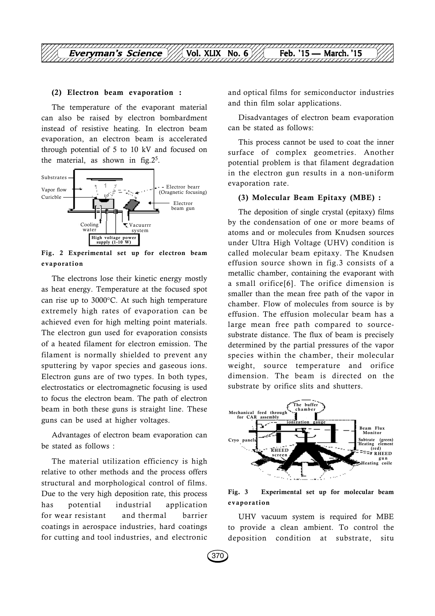

#### **(2) Electron beam evaporation :**

The temperature of the evaporant material can also be raised by electron bombardment instead of resistive heating. In electron beam evaporation, an electron beam is accelerated through potential of 5 to 10 kV and focused on the material, as shown in fig.  $2^5$ .



**Fig. 2 Experimental set up for electron beam evaporation**

The electrons lose their kinetic energy mostly as heat energy. Temperature at the focused spot can rise up to 3000°C. At such high temperature extremely high rates of evaporation can be achieved even for high melting point materials. The electron gun used for evaporation consists of a heated filament for electron emission. The filament is normally shielded to prevent any sputtering by vapor species and gaseous ions. Electron guns are of two types. In both types, electrostatics or electromagnetic focusing is used to focus the electron beam. The path of electron beam in both these guns is straight line. These guns can be used at higher voltages.

Advantages of electron beam evaporation can be stated as follows :

The material utilization efficiency is high relative to other methods and the process offers structural and morphological control of films. Due to the very high deposition rate, this process has potential industrial application for wear resistant and thermal barrier coatings in aerospace industries, hard coatings for cutting and tool industries, and electronic

and optical films for semiconductor industries and thin film solar applications.

Disadvantages of electron beam evaporation can be stated as follows:

This process cannot be used to coat the inner surface of complex geometries. Another potential problem is that filament degradation in the electron gun results in a non-uniform evaporation rate.

#### **(3) Molecular Beam Epitaxy (MBE) :**

The deposition of single crystal (epitaxy) films by the condensation of one or more beams of atoms and or molecules from Knudsen sources under Ultra High Voltage (UHV) condition is called molecular beam epitaxy. The Knudsen effusion source shown in fig.3 consists of a metallic chamber, containing the evaporant with a small orifice[6]. The orifice dimension is smaller than the mean free path of the vapor in chamber. Flow of molecules from source is by effusion. The effusion molecular beam has a large mean free path compared to sourcesubstrate distance. The flux of beam is precisely determined by the partial pressures of the vapor species within the chamber, their molecular weight, source temperature and orifice dimension. The beam is directed on the substrate by orifice slits and shutters.



**Fig. 3 Experimental set up for molecular beam evaporation**

UHV vacuum system is required for MBE to provide a clean ambient. To control the deposition condition at substrate, situ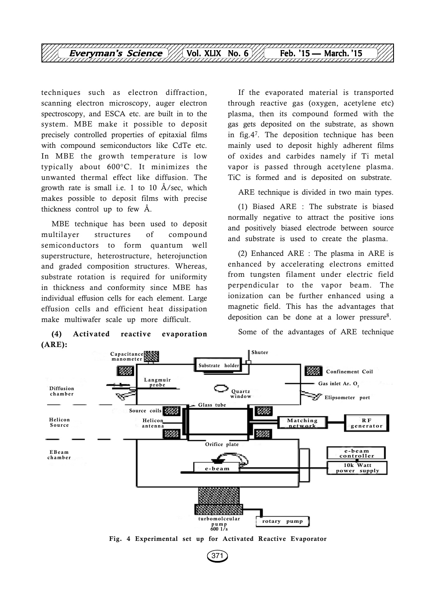

techniques such as electron diffraction, scanning electron microscopy, auger electron spectroscopy, and ESCA etc. are built in to the system. MBE make it possible to deposit precisely controlled properties of epitaxial films with compound semiconductors like CdTe etc. In MBE the growth temperature is low typically about 600°C. It minimizes the unwanted thermal effect like diffusion. The growth rate is small i.e. 1 to 10 Å/sec, which makes possible to deposit films with precise thickness control up to few Å.

MBE technique has been used to deposit multilayer structures of compound semiconductors to form quantum well superstructure, heterostructure, heterojunction and graded composition structures. Whereas, substrate rotation is required for uniformity in thickness and conformity since MBE has individual effusion cells for each element. Large effusion cells and efficient heat dissipation make multiwafer scale up more difficult.

If the evaporated material is transported through reactive gas (oxygen, acetylene etc) plasma, then its compound formed with the gas gets deposited on the substrate, as shown in fig.47. The deposition technique has been mainly used to deposit highly adherent films of oxides and carbides namely if Ti metal vapor is passed through acetylene plasma. TiC is formed and is deposited on substrate.

ARE technique is divided in two main types.

(1) Biased ARE : The substrate is biased normally negative to attract the positive ions and positively biased electrode between source and substrate is used to create the plasma.

(2) Enhanced ARE : The plasma in ARE is enhanced by accelerating electrons emitted from tungsten filament under electric field perpendicular to the vapor beam. The ionization can be further enhanced using a magnetic field. This has the advantages that deposition can be done at a lower pressure8.

#### **(4) Activated reactive evaporation (ARE):**

Some of the advantages of ARE technique



**Fig. 4 Experimental set up for Activated Reactive Evaporator**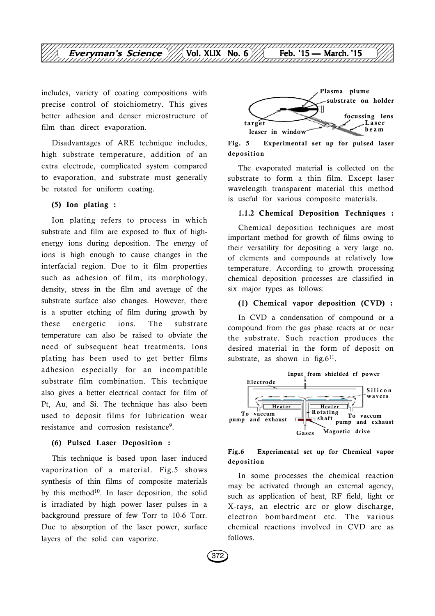

includes, variety of coating compositions with precise control of stoichiometry. This gives better adhesion and denser microstructure of film than direct evaporation.

Disadvantages of ARE technique includes, high substrate temperature, addition of an extra electrode, complicated system compared to evaporation, and substrate must generally be rotated for uniform coating.

#### **(5) Ion plating :**

Ion plating refers to process in which substrate and film are exposed to flux of highenergy ions during deposition. The energy of ions is high enough to cause changes in the interfacial region. Due to it film properties such as adhesion of film, its morphology, density, stress in the film and average of the substrate surface also changes. However, there is a sputter etching of film during growth by these energetic ions. The substrate temperature can also be raised to obviate the need of subsequent heat treatments. Ions plating has been used to get better films adhesion especially for an incompatible substrate film combination. This technique also gives a better electrical contact for film of Pt, Au, and Si. The technique has also been used to deposit films for lubrication wear resistance and corrosion resistance9.

#### **(6) Pulsed Laser Deposition :**

This technique is based upon laser induced vaporization of a material. Fig.5 shows synthesis of thin films of composite materials by this method<sup>10</sup>. In laser deposition, the solid is irradiated by high power laser pulses in a background pressure of few Torr to 10-6 Torr. Due to absorption of the laser power, surface layers of the solid can vaporize.



**Fig. 5 Experimental set up for pulsed laser deposition**

The evaporated material is collected on the substrate to form a thin film. Except laser wavelength transparent material this method is useful for various composite materials.

#### **1.1.2 Chemical Deposition Techniques :**

Chemical deposition techniques are most important method for growth of films owing to their versatility for depositing a very large no. of elements and compounds at relatively low temperature. According to growth processing chemical deposition processes are classified in six major types as follows:

#### **(1) Chemical vapor deposition (CVD) :**

In CVD a condensation of compound or a compound from the gas phase reacts at or near the substrate. Such reaction produces the desired material in the form of deposit on substrate, as shown in fig.6 $^{11}$ .



#### **Fig.6 Experimental set up for Chemical vapor deposition**

In some processes the chemical reaction may be activated through an external agency, such as application of heat, RF field, light or X-rays, an electric arc or glow discharge, electron bombardment etc. The various chemical reactions involved in CVD are as follows.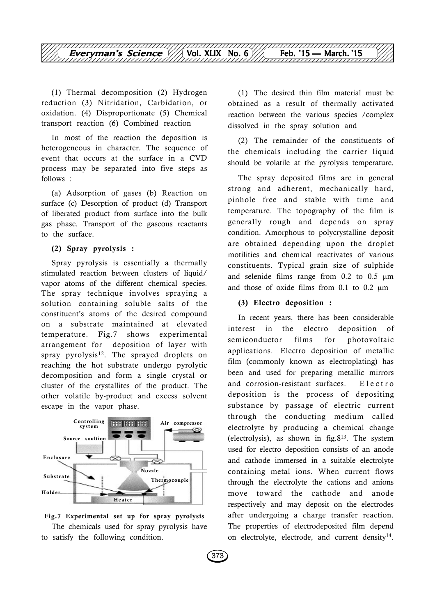

(1) Thermal decomposition (2) Hydrogen reduction (3) Nitridation, Carbidation, or oxidation. (4) Disproportionate (5) Chemical transport reaction (6) Combined reaction

In most of the reaction the deposition is heterogeneous in character. The sequence of event that occurs at the surface in a CVD process may be separated into five steps as follows :

(a) Adsorption of gases (b) Reaction on surface (c) Desorption of product (d) Transport of liberated product from surface into the bulk gas phase. Transport of the gaseous reactants to the surface.

#### **(2) Spray pyrolysis :**

Spray pyrolysis is essentially a thermally stimulated reaction between clusters of liquid/ vapor atoms of the different chemical species. The spray technique involves spraying a solution containing soluble salts of the constituent's atoms of the desired compound on a substrate maintained at elevated temperature. Fig.7 shows experimental arrangement for deposition of layer with spray pyrolysis<sup>12</sup>. The sprayed droplets on reaching the hot substrate undergo pyrolytic decomposition and form a single crystal or cluster of the crystallites of the product. The other volatile by-product and excess solvent escape in the vapor phase.



#### **Fig.7 Experimental set up for spray pyrolysis** The chemicals used for spray pyrolysis have to satisfy the following condition.

(1) The desired thin film material must be obtained as a result of thermally activated reaction between the various species /complex dissolved in the spray solution and

(2) The remainder of the constituents of the chemicals including the carrier liquid should be volatile at the pyrolysis temperature.

The spray deposited films are in general strong and adherent, mechanically hard, pinhole free and stable with time and temperature. The topography of the film is generally rough and depends on spray condition. Amorphous to polycrystalline deposit are obtained depending upon the droplet motilities and chemical reactivates of various constituents. Typical grain size of sulphide and selenide films range from 0.2 to 0.5 μm and those of oxide films from 0.1 to 0.2 μm

#### **(3) Electro deposition :**

In recent years, there has been considerable interest in the electro deposition of semiconductor films for photovoltaic applications. Electro deposition of metallic film (commonly known as electroplating) has been and used for preparing metallic mirrors and corrosion-resistant surfaces. Electro deposition is the process of depositing substance by passage of electric current through the conducting medium called electrolyte by producing a chemical change (electrolysis), as shown in fig. $8^{13}$ . The system used for electro deposition consists of an anode and cathode immersed in a suitable electrolyte containing metal ions. When current flows through the electrolyte the cations and anions move toward the cathode and anode respectively and may deposit on the electrodes after undergoing a charge transfer reaction. The properties of electrodeposited film depend on electrolyte, electrode, and current density<sup>14</sup>.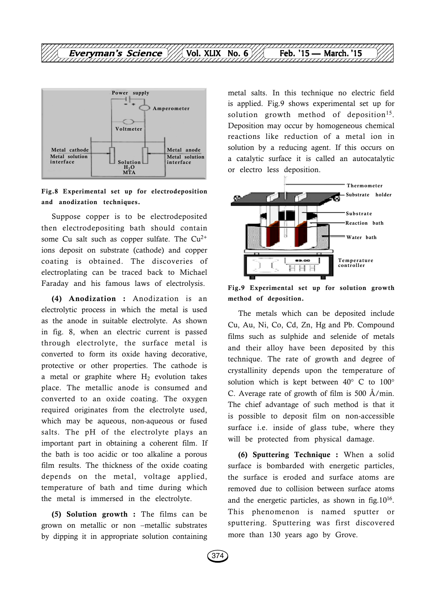



**Fig.8 Experimental set up for electrodeposition and anodization techniques.**

Suppose copper is to be electrodeposited then electrodepositing bath should contain some Cu salt such as copper sulfate. The  $Cu^{2+}$ ions deposit on substrate (cathode) and copper coating is obtained. The discoveries of electroplating can be traced back to Michael Faraday and his famous laws of electrolysis.

**(4) Anodization :** Anodization is an electrolytic process in which the metal is used as the anode in suitable electrolyte. As shown in fig. 8, when an electric current is passed through electrolyte, the surface metal is converted to form its oxide having decorative, protective or other properties. The cathode is a metal or graphite where  $H<sub>2</sub>$  evolution takes place. The metallic anode is consumed and converted to an oxide coating. The oxygen required originates from the electrolyte used, which may be aqueous, non-aqueous or fused salts. The pH of the electrolyte plays an important part in obtaining a coherent film. If the bath is too acidic or too alkaline a porous film results. The thickness of the oxide coating depends on the metal, voltage applied, temperature of bath and time during which the metal is immersed in the electrolyte.

**(5) Solution growth :** The films can be grown on metallic or non –metallic substrates by dipping it in appropriate solution containing metal salts. In this technique no electric field is applied. Fig.9 shows experimental set up for solution growth method of deposition<sup>15</sup>. Deposition may occur by homogeneous chemical reactions like reduction of a metal ion in solution by a reducing agent. If this occurs on a catalytic surface it is called an autocatalytic or electro less deposition.



**Fig.9 Experimental set up for solution growth method of deposition.**

The metals which can be deposited include Cu, Au, Ni, Co, Cd, Zn, Hg and Pb. Compound films such as sulphide and selenide of metals and their alloy have been deposited by this technique. The rate of growth and degree of crystallinity depends upon the temperature of solution which is kept between 40° C to 100° C. Average rate of growth of film is 500 Å/min. The chief advantage of such method is that it is possible to deposit film on non-accessible surface i.e. inside of glass tube, where they will be protected from physical damage.

**(6) Sputtering Technique :** When a solid surface is bombarded with energetic particles, the surface is eroded and surface atoms are removed due to collision between surface atoms and the energetic particles, as shown in fig.1016. This phenomenon is named sputter or sputtering. Sputtering was first discovered more than 130 years ago by Grove.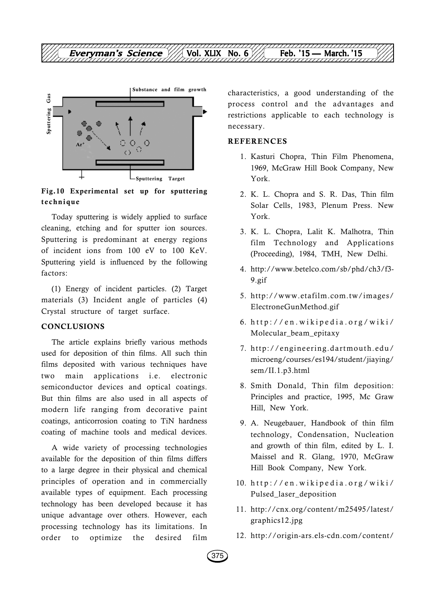



**Fig.10 Experimental set up for sputtering technique**

Today sputtering is widely applied to surface cleaning, etching and for sputter ion sources. Sputtering is predominant at energy regions of incident ions from 100 eV to 100 KeV. Sputtering yield is influenced by the following factors:

(1) Energy of incident particles. (2) Target materials (3) Incident angle of particles (4) Crystal structure of target surface.

#### **CONCLUSIONS**

The article explains briefly various methods used for deposition of thin films. All such thin films deposited with various techniques have two main applications i.e. electronic semiconductor devices and optical coatings. But thin films are also used in all aspects of modern life ranging from decorative paint coatings, anticorrosion coating to TiN hardness coating of machine tools and medical devices.

A wide variety of processing technologies available for the deposition of thin films differs to a large degree in their physical and chemical principles of operation and in commercially available types of equipment. Each processing technology has been developed because it has unique advantage over others. However, each processing technology has its limitations. In order to optimize the desired film

characteristics, a good understanding of the process control and the advantages and restrictions applicable to each technology is necessary.

#### **REFERENCES**

- 1. Kasturi Chopra, Thin Film Phenomena, 1969, McGraw Hill Book Company, New York.
- 2. K. L. Chopra and S. R. Das, Thin film Solar Cells, 1983, Plenum Press. New York.
- 3. K. L. Chopra, Lalit K. Malhotra, Thin film Technology and Applications (Proceeding), 1984, TMH, New Delhi.
- 4. http://www.betelco.com/sb/phd/ch3/f3- 9.gif
- 5. http://www.etafilm.com.tw/images/ ElectroneGunMethod.gif
- 6. http://en.wikipedia.org/wiki/ Molecular\_beam\_epitaxy
- 7. http://engineering.dartmouth.edu/ microeng/courses/es194/student/jiaying/ sem/II.1.p3.html
- 8. Smith Donald, Thin film deposition: Principles and practice, 1995, Mc Graw Hill, New York.
- 9. A. Neugebauer, Handbook of thin film technology, Condensation, Nucleation and growth of thin film, edited by L. I. Maissel and R. Glang, 1970, McGraw Hill Book Company, New York.
- 10. http://en.wikipedia.org/wiki/ Pulsed laser deposition
- 11. http://cnx.org/content/m25495/latest/ graphics12.jpg
- 12. http://origin-ars.els-cdn.com/content/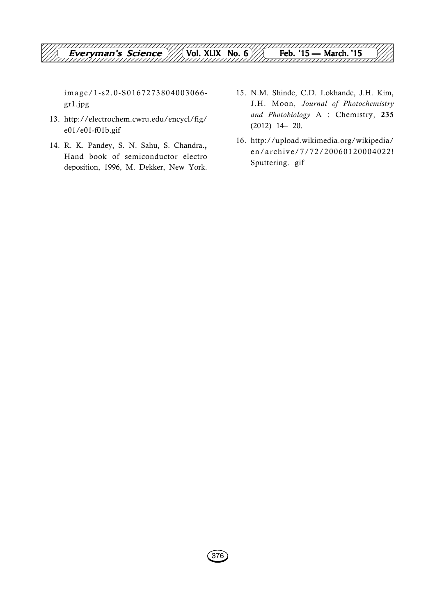

image/1-s2.0-S0167273804003066 gr1.jpg

- 13. http://electrochem.cwru.edu/encycl/fig/ e01/e01-f01b.gif
- 14. R. K. Pandey, S. N. Sahu, S. Chandra.**,** Hand book of semiconductor electro deposition, 1996, M. Dekker, New York.
- 15. N.M. Shinde, C.D. Lokhande, J.H. Kim, J.H. Moon, *Journal of Photochemistry and Photobiology* A : Chemistry, **235** (2012) 14– 20.
- 16. http://upload.wikimedia.org/wikipedia/ en/archive/7/72/20060120004022! Sputtering. gif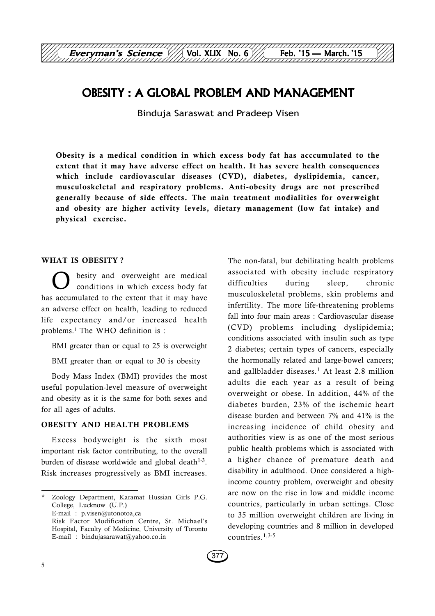# OBESITY : A GLOBAL PROBLEM AND MANAGEMENT

12345678901234567890123456789012123456789012345678901234567890121234567890123456789012345678 12345678901234567890123456789012123456789012345678901234567890121234567890123456789012345678 Which Everyman's Science  $\mathbb{V}/\mathbb{A}$  Vol. XLIX No. 6  $\mathbb{V}/\mathbb{A}$  Feb. '15 — March.'15  $\mathbb{V}/\mathbb{A}$ 

Binduja Saraswat and Pradeep Visen

**Obesity is a medical condition in which excess body fat has acccumulated to the extent that it may have adverse effect on health. It has severe health consequences which include cardiovascular diseases (CVD), diabetes, dyslipidemia, cancer, musculoskeletal and respiratory problems. Anti-obesity drugs are not prescribed generally because of side effects. The main treatment modialities for overweight and obesity are higher activity levels, dietary management (low fat intake) and physical exercise.**

#### **WHAT IS OBESITY ?**

besity and overweight are medical conditions in which excess body fat has accumulated to the extent that it may have an adverse effect on health, leading to reduced life expectancy and/or increased health problems.1 The WHO definition is :

BMI greater than or equal to 25 is overweight

BMI greater than or equal to 30 is obesity

Body Mass Index (BMI) provides the most useful population-level measure of overweight and obesity as it is the same for both sexes and for all ages of adults.

#### **OBESITY AND HEALTH PROBLEMS**

Excess bodyweight is the sixth most important risk factor contributing, to the overall burden of disease worldwide and global death $1-3$ . Risk increases progressively as BMI increases. The non-fatal, but debilitating health problems associated with obesity include respiratory difficulties during sleep, chronic musculoskeletal problems, skin problems and infertility. The more life-threatening problems fall into four main areas : Cardiovascular disease (CVD) problems including dyslipidemia; conditions associated with insulin such as type 2 diabetes; certain types of cancers, especially the hormonally related and large-bowel cancers; and gallbladder diseases.<sup>1</sup> At least 2.8 million adults die each year as a result of being overweight or obese. In addition, 44% of the diabetes burden, 23% of the ischemic heart disease burden and between 7% and 41% is the increasing incidence of child obesity and authorities view is as one of the most serious public health problems which is associated with a higher chance of premature death and disability in adulthood. Once considered a highincome country problem, overweight and obesity are now on the rise in low and middle income countries, particularly in urban settings. Close to 35 million overweight children are living in developing countries and 8 million in developed countries.1,3-5

<del>-------------------</del>----

Zoology Department, Karamat Hussian Girls P.G. College, Lucknow (U.P.) E-mail : p.visen@utonotoa,ca

Risk Factor Modification Centre, St. Michael's Hospital, Faculty of Medicine, University of Toronto E-mail : bindujasarawat@yahoo.co.in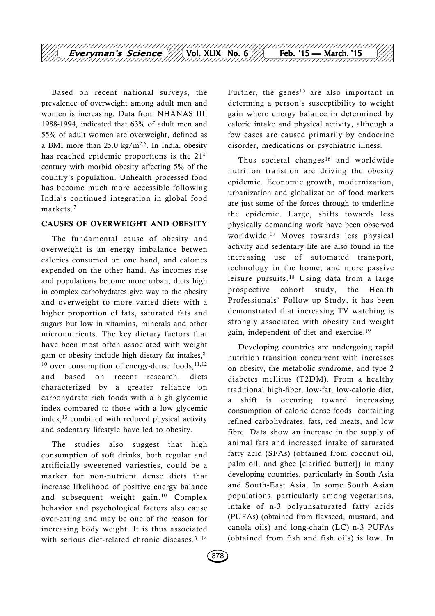

Based on recent national surveys, the prevalence of overweight among adult men and women is increasing. Data from NHANAS III, 1988-1994, indicated that 63% of adult men and 55% of adult women are overweight, defined as a BMI more than  $25.0 \text{ kg/m}^{2,6}$ . In India, obesity has reached epidemic proportions is the 21st century with morbid obesity affecting 5% of the country's population. Unhealth processed food has become much more accessible following India's continued integration in global food markets.7

#### **CAUSES OF OVERWEIGHT AND OBESITY**

The fundamental cause of obesity and overweight is an energy imbalance betwen calories consumed on one hand, and calories expended on the other hand. As incomes rise and populations become more urban, diets high in complex carbohydrates give way to the obesity and overweight to more varied diets with a higher proportion of fats, saturated fats and sugars but low in vitamins, minerals and other micronutrients. The key dietary factors that have been most often associated with weight gain or obesity include high dietary fat intakes, <sup>8-</sup>  $10$  over consumption of energy-dense foods,  $11,12$ and based on recent research, diets characterized by a greater reliance on carbohydrate rich foods with a high glycemic index compared to those with a low glycemic index,13 combined with reduced physical activity and sedentary lifestyle have led to obesity.

The studies also suggest that high consumption of soft drinks, both regular and artificially sweetened variesties, could be a marker for non-nutrient dense diets that increase likelihood of positive energy balance and subsequent weight gain.<sup>10</sup> Complex behavior and psychological factors also cause over-eating and may be one of the reason for increasing body weight. It is thus associated with serious diet-related chronic diseases.<sup>3, 14</sup>

Further, the genes<sup>15</sup> are also important in determing a person's susceptibility to weight gain where energy balance in determined by calorie intake and physical activity, although a few cases are caused primarily by endocrine disorder, medications or psychiatric illness.

Thus societal changes<sup>16</sup> and worldwide nutrition transtion are driving the obesity epidemic. Economic growth, modernization, urbanization and globalization of food markets are just some of the forces through to underline the epidemic. Large, shifts towards less physically demanding work have been observed worldwide.17 Moves towards less physical activity and sedentary life are also found in the increasing use of automated transport, technology in the home, and more passive leisure pursuits.18 Using data from a large prospective cohort study, the Health Professionals' Follow-up Study, it has been demonstrated that increasing TV watching is strongly associated with obesity and weight gain, independent of diet and exercise.19

Developing countries are undergoing rapid nutrition transition concurrent with increases on obesity, the metabolic syndrome, and type 2 diabetes mellitus (T2DM). From a healthy traditional high-fiber, low-fat, low-calorie diet, a shift is occuring toward increasing consumption of calorie dense foods containing refined carbohydrates, fats, red meats, and low fibre. Data show an increase in the supply of animal fats and increased intake of saturated fatty acid (SFAs) (obtained from coconut oil, palm oil, and ghee [clarified butter]) in many developing countries, particularly in South Asia and South-East Asia. In some South Asian populations, particularly among vegetarians, intake of n-3 polyunsaturated fatty acids (PUFAs) (obtained from flaxseed, mustard, and canola oils) and long-chain (LC) n-3 PUFAs (obtained from fish and fish oils) is low. In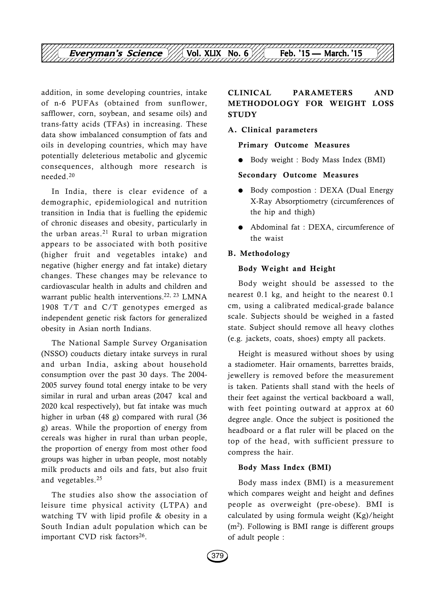#### 12345678901234567890123456789012123456789012345678901234567890121234567890123456789012345678 12345678901234567890123456789012123456789012345678901234567890121234567890123456789012345678 Which Everyman's Science  $\mathbb{V}/\mathbb{A}$  Vol. XLIX No. 6  $\mathbb{V}/\mathbb{A}$  Feb. '15 — March.'15  $\mathbb{V}/\mathbb{A}$ <del>-------------</del>---

addition, in some developing countries, intake of n-6 PUFAs (obtained from sunflower, safflower, corn, soybean, and sesame oils) and trans-fatty acids (TFAs) in increasing. These data show imbalanced consumption of fats and oils in developing countries, which may have potentially deleterious metabolic and glycemic consequences, although more research is needed.20

In India, there is clear evidence of a demographic, epidemiological and nutrition transition in India that is fuelling the epidemic of chronic diseases and obesity, particularly in the urban areas.<sup>21</sup> Rural to urban migration appears to be associated with both positive (higher fruit and vegetables intake) and negative (higher energy and fat intake) dietary changes. These changes may be relevance to cardiovascular health in adults and children and warrant public health interventions.<sup>22, 23</sup> LMNA 1908 T/T and C/T genotypes emerged as independent genetic risk factors for generalized obesity in Asian north Indians.

The National Sample Survey Organisation (NSSO) couducts dietary intake surveys in rural and urban India, asking about household consumption over the past 30 days. The 2004- 2005 survey found total energy intake to be very similar in rural and urban areas (2047 kcal and 2020 kcal respectively), but fat intake was much higher in urban (48 g) compared with rural (36 g) areas. While the proportion of energy from cereals was higher in rural than urban people, the proportion of energy from most other food groups was higher in urban people, most notably milk products and oils and fats, but also fruit and vegetables.25

The studies also show the association of leisure time physical activity (LTPA) and watching TV with lipid profile & obesity in a South Indian adult population which can be important CVD risk factors<sup>26</sup>.

### **CLINICAL PARAMETERS AND METHODOLOGY FOR WEIGHT LOSS STUDY**

#### **A. Clinical parameters**

#### **Primary Outcome Measures**

● Body weight : Body Mass Index (BMI)

#### **Secondary Outcome Measures**

- Body compostion : DEXA (Dual Energy X-Ray Absorptiometry (circumferences of the hip and thigh)
- Abdominal fat : DEXA, circumference of the waist

#### **B. Methodology**

#### **Body Weight and Height**

Body weight should be assessed to the nearest 0.1 kg, and height to the nearest 0.1 cm, using a calibrated medical-grade balance scale. Subjects should be weighed in a fasted state. Subject should remove all heavy clothes (e.g. jackets, coats, shoes) empty all packets.

Height is measured without shoes by using a stadiometer. Hair ornaments, barrettes braids, jewellery is removed before the measurement is taken. Patients shall stand with the heels of their feet against the vertical backboard a wall, with feet pointing outward at approx at 60 degree angle. Once the subject is positioned the headboard or a flat ruler will be placed on the top of the head, with sufficient pressure to compress the hair.

#### **Body Mass Index (BMI)**

Body mass index (BMI) is a measurement which compares weight and height and defines people as overweight (pre-obese). BMI is calculated by using formula weight (Kg)/height  $(m<sup>2</sup>)$ . Following is BMI range is different groups of adult people :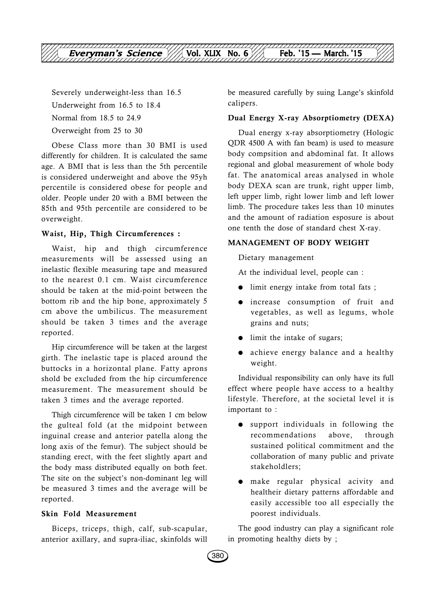

Severely underweight-less than 16.5

Underweight from 16.5 to 18.4

Normal from 18.5 to 24.9

Overweight from 25 to 30

Obese Class more than 30 BMI is used differently for children. It is calculated the same age. A BMI that is less than the 5th percentile is considered underweight and above the 95yh percentile is considered obese for people and older. People under 20 with a BMI between the 85th and 95th percentile are considered to be overweight.

#### **Waist, Hip, Thigh Circumferences :**

Waist, hip and thigh circumference measurements will be assessed using an inelastic flexible measuring tape and measured to the nearest 0.1 cm. Waist circumference should be taken at the mid-point between the bottom rib and the hip bone, approximately 5 cm above the umbilicus. The measurement should be taken 3 times and the average reported.

Hip circumference will be taken at the largest girth. The inelastic tape is placed around the buttocks in a horizontal plane. Fatty aprons shold be excluded from the hip circumference measurement. The measurement should be taken 3 times and the average reported.

Thigh circumference will be taken 1 cm below the gulteal fold (at the midpoint between inguinal crease and anterior patella along the long axis of the femur). The subject should be standing erect, with the feet slightly apart and the body mass distributed equally on both feet. The site on the subject's non-dominant leg will be measured 3 times and the average will be reported.

#### **Skin Fold Measurement**

Biceps, triceps, thigh, calf, sub-scapular, anterior axillary, and supra-iliac, skinfolds will be measured carefully by suing Lange's skinfold calipers.

### **Dual Energy X-ray Absorptiometry (DEXA)**

Dual energy x-ray absorptiometry (Hologic QDR 4500 A with fan beam) is used to measure body compsition and abdominal fat. It allows regional and global measurement of whole body fat. The anatomical areas analysed in whole body DEXA scan are trunk, right upper limb, left upper limb, right lower limb and left lower limb. The procedure takes less than 10 minutes and the amount of radiation esposure is about one tenth the dose of standard chest X-ray.

#### **MANAGEMENT OF BODY WEIGHT**

Dietary management

At the individual level, people can :

- limit energy intake from total fats;
- increase consumption of fruit and vegetables, as well as legums, whole grains and nuts;
- limit the intake of sugars;
- achieve energy balance and a healthy weight.

Individual responsibility can only have its full effect where people have access to a healthy lifestyle. Therefore, at the societal level it is important to :

- support individuals in following the recommendations above, through sustained political commitment and the collaboration of many public and private stakeholdlers;
- make regular physical acivity and healtheir dietary patterns affordable and easily accessible too all especially the poorest individuals.

The good industry can play a significant role in promoting healthy diets by ;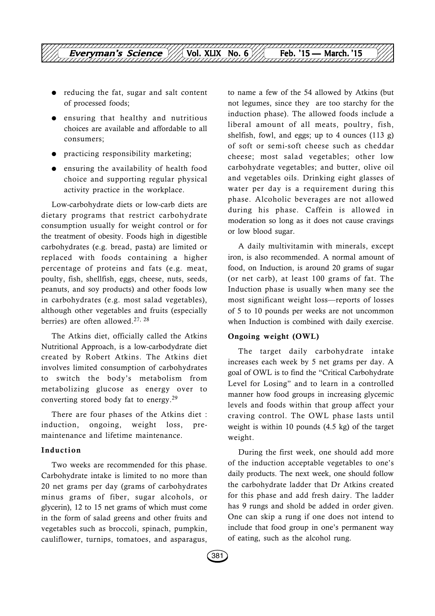

- reducing the fat, sugar and salt content of processed foods;
- ensuring that healthy and nutritious choices are available and affordable to all consumers;
- practicing responsibility marketing;
- ensuring the availability of health food choice and supporting regular physical activity practice in the workplace.

Low-carbohydrate diets or low-carb diets are dietary programs that restrict carbohydrate consumption usually for weight control or for the treatment of obesity. Foods high in digestible carbohydrates (e.g. bread, pasta) are limited or replaced with foods containing a higher percentage of proteins and fats (e.g. meat, poulty, fish, shellfish, eggs, cheese, nuts, seeds, peanuts, and soy products) and other foods low in carbohydrates (e.g. most salad vegetables), although other vegetables and fruits (especially berries) are often allowed.27, 28

The Atkins diet, officially called the Atkins Nutritional Approach, is a low-carbodydrate diet created by Robert Atkins. The Atkins diet involves limited consumption of carbohydrates to switch the body's metabolism from metabolizing glucose as energy over to converting stored body fat to energy.29

There are four phases of the Atkins diet : induction, ongoing, weight loss, premaintenance and lifetime maintenance.

#### **Induction**

Two weeks are recommended for this phase. Carbohydrate intake is limited to no more than 20 net grams per day (grams of carbohydrates minus grams of fiber, sugar alcohols, or glycerin), 12 to 15 net grams of which must come in the form of salad greens and other fruits and vegetables such as broccoli, spinach, pumpkin, cauliflower, turnips, tomatoes, and asparagus,

to name a few of the 54 allowed by Atkins (but not legumes, since they are too starchy for the induction phase). The allowed foods include a liberal amount of all meats, poultry, fish, shelfish, fowl, and eggs; up to 4 ounces  $(113 \text{ g})$ of soft or semi-soft cheese such as cheddar cheese; most salad vegetables; other low carbohydrate vegetables; and butter, olive oil and vegetables oils. Drinking eight glasses of water per day is a requirement during this phase. Alcoholic beverages are not allowed during his phase. Caffein is allowed in moderation so long as it does not cause cravings or low blood sugar.

A daily multivitamin with minerals, except iron, is also recommended. A normal amount of food, on Induction, is around 20 grams of sugar (or net carb), at least 100 grams of fat. The Induction phase is usually when many see the most significant weight loss—reports of losses of 5 to 10 pounds per weeks are not uncommon when Induction is combined with daily exercise.

#### **Ongoing weight (OWL)**

The target daily carbohydrate intake increases each week by 5 net grams per day. A goal of OWL is to find the "Critical Carbohydrate Level for Losing" and to learn in a controlled manner how food groups in increasing glycemic levels and foods within that group affect your craving control. The OWL phase lasts until weight is within 10 pounds (4.5 kg) of the target weight.

During the first week, one should add more of the induction acceptable vegetables to one's daily products. The next week, one should follow the carbohydrate ladder that Dr Atkins created for this phase and add fresh dairy. The ladder has 9 rungs and shold be added in order given. One can skip a rung if one does not intend to include that food group in one's permanent way of eating, such as the alcohol rung.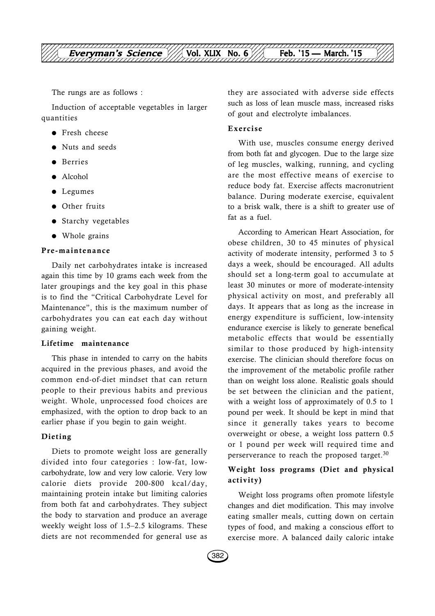

The rungs are as follows :

Induction of acceptable vegetables in larger quantities

- Fresh cheese
- Nuts and seeds
- Berries
- Alcohol
- Legumes
- Other fruits
- Starchy vegetables
- Whole grains

#### **Pre-maintenance**

Daily net carbohydrates intake is increased again this time by 10 grams each week from the later groupings and the key goal in this phase is to find the "Critical Carbohydrate Level for Maintenance", this is the maximum number of carbohydrates you can eat each day without gaining weight.

#### **Lifetime maintenance**

This phase in intended to carry on the habits acquired in the previous phases, and avoid the common end-of-diet mindset that can return people to their previous habits and previous weight. Whole, unprocessed food choices are emphasized, with the option to drop back to an earlier phase if you begin to gain weight.

#### **Dieting**

Diets to promote weight loss are generally divided into four categories : low-fat, lowcarbohydrate, low and very low calorie. Very low calorie diets provide 200-800 kcal/day, maintaining protein intake but limiting calories from both fat and carbohydrates. They subject the body to starvation and produce an average weekly weight loss of 1.5–2.5 kilograms. These diets are not recommended for general use as

they are associated with adverse side effects such as loss of lean muscle mass, increased risks of gout and electrolyte imbalances.

#### **Exercise**

With use, muscles consume energy derived from both fat and glycogen. Due to the large size of leg muscles, walking, running, and cycling are the most effective means of exercise to reduce body fat. Exercise affects macronutrient balance. During moderate exercise, equivalent to a brisk walk, there is a shift to greater use of fat as a fuel.

According to American Heart Association, for obese children, 30 to 45 minutes of physical activity of moderate intensity, performed 3 to 5 days a week, should be encouraged. All adults should set a long-term goal to accumulate at least 30 minutes or more of moderate-intensity physical activity on most, and preferably all days. It appears that as long as the increase in energy expenditure is sufficient, low-intensity endurance exercise is likely to generate benefical metabolic effects that would be essentially similar to those produced by high-intensity exercise. The clinician should therefore focus on the improvement of the metabolic profile rather than on weight loss alone. Realistic goals should be set between the clinician and the patient, with a weight loss of approximately of 0.5 to 1 pound per week. It should be kept in mind that since it generally takes years to become overweight or obese, a weight loss pattern 0.5 or 1 pound per week will required time and perserverance to reach the proposed target.30

#### **Weight loss programs (Diet and physical activity)**

Weight loss programs often promote lifestyle changes and diet modification. This may involve eating smaller meals, cutting down on certain types of food, and making a conscious effort to exercise more. A balanced daily caloric intake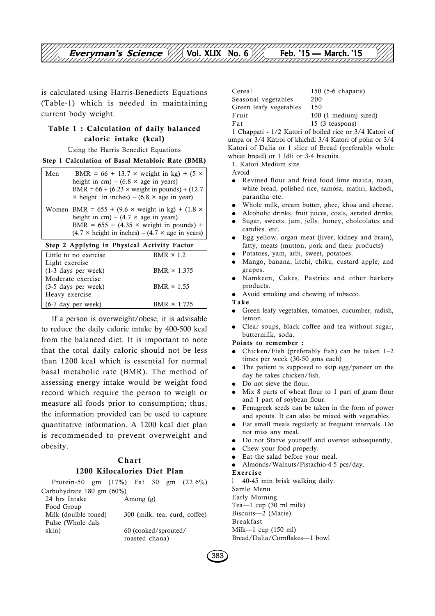

is calculated using Harris-Benedicts Equations (Table-1) which is needed in maintaining current body weight.

#### **Table 1 : Calculation of daily balanced caloric intake (kcal)**

Using the Harris Benedict Equations

|  | Step 1 Calculation of Basal Metabloic Rate (BMR) |  |  |  |  |  |
|--|--------------------------------------------------|--|--|--|--|--|
|--|--------------------------------------------------|--|--|--|--|--|

| Men | BMR = $66 + 13.7 \times$ weight in kg) + $(5 \times$<br>height in cm) – $(6.8 \times$ age in years)<br>BMR = $66 + (6.23 \times \text{weight in pounds}) + (12.7)$<br>$\times$ height in inches) – (6.8 $\times$ age in year)                    |
|-----|--------------------------------------------------------------------------------------------------------------------------------------------------------------------------------------------------------------------------------------------------|
|     | Women BMR = $655 + (9.6 \times \text{weight in kg}) + (1.8 \times$<br>height in cm) – $(4.7 \times$ age in years)<br>BMR = $655 + (4.35 \times weight in pounds) +$<br>$(4.7 \times \text{height in inches}) - (4.7 \times \text{age in years})$ |

#### **Step 2 Applying in Physical Activity Factor**

| Little to no exercise        | $BMR \times 1.2$   |
|------------------------------|--------------------|
| Light exercise               |                    |
| $(1-3$ days per week)        | BMR $\times$ 1.375 |
| Moderate exercise            |                    |
| $(3-5$ days per week)        | BMR $\times$ 1.55  |
| Heavy exercise               |                    |
| $(6-7 \text{ day per week})$ | BMR $\times$ 1.725 |

If a person is overweight/obese, it is advisable to reduce the daily caloric intake by 400-500 kcal from the balanced diet. It is important to note that the total daily caloric should not be less than 1200 kcal which is essential for normal basal metabolic rate (BMR). The method of assessing energy intake would be weight food record which require the person to weigh or measure all foods prior to consumption; thus, the information provided can be used to capture quantitative information. A 1200 kcal diet plan is recommended to prevent overweight and obesity.

#### **Chart**

#### **1200 Kilocalories Diet Plan**

|                           | Protein-50 gm (17%) Fat 30 gm (22.6%) |
|---------------------------|---------------------------------------|
| Carbohydrate 180 gm (60%) |                                       |
| 24 hrs Intake             | Among $(g)$                           |
| Food Group                |                                       |
| Milk (doulble toned)      | 300 (milk, tea, curd, coffee)         |
| Pulse (Whole dals         |                                       |
| skin)                     | 60 (cooked/sprouted/                  |
|                           | roasted chana)                        |

| Cereal                 | 150 $(5-6$ chapatis)  |
|------------------------|-----------------------|
| Seasonal vegetables    | 200                   |
| Green leafy vegetables | 150                   |
| Fruit                  | 100 (1 mediumi sized) |
| Fat                    | 15 (3 teaspons)       |
|                        |                       |

1 Chappati - 1/2 Katori of boiled rice or 3/4 Katori of umpa or 3/4 Katroi of khichdi 3/4 Katori of poha or 3/4 Katori of Dalia or 1 slice of Bread (preferably whole wheat bread) or 1 Idli or 3-4 biscuits.

1. Katori Medium size

Avoid

- Revined flour and fried food lime maida, naan, white bread, polished rice, samosa, mathri, kachodi, parantha etc.
- Whole milk, cream butter, ghee, khoa and cheese.
- Alcoholic drinks, fruit juices, coals, aerated drinks.
- Sugar, sweets, jam, jelly, honey, cholcolates and candies. etc.
- Egg yellow, organ meat (liver, kidney and brain), fatty, meats (mutton, pork and their products)
- Potatoes, yam, arbi, sweet, potatoes.
- Mango, banana, litchi, chiku, custard apple, and grapes.
- Namkeen, Cakes, Pastries and other barkery products.
- Avoid smoking and chewing of tobacco.

#### **Take**

- Green leafy vegetables, tomatoes, cucumber, radish, lemon
- Clear soups, black coffee and tea without sugar, buttermilk, soda.

#### **Points to remember :**

- Chicken/Fish (preferably fish) can be taken 1-2 times per week (30-50 gms each)
- The patient is supposed to skip egg/paneer on the day he takes chicken/fish.
- Do not sieve the flour.
- Mix 8 parts of wheat flour to 1 part of gram flour and 1 part of soybean flour.
- Fenugreek seeds can be taken in the form of power and spouts. It can also be mixed with vegetables.
- Eat small meals regularly at frequent intervals. Do not miss any meal.
- Do not Starve yourself and overeat subsequently,
- Chew your food properly.
- Eat the salad before your meal.
- Almonds/Walnuts/Pistachio-4-5 pcs/day.

#### **Exercise**

l 40-45 min brisk walking daily.

Samle Menu Early Morning Tea—1 cup (30 ml milk) Biscuits—2 (Marie) Breakfast Milk—1 cup (150 ml) Bread/Dalia/Cornflakes—1 bowl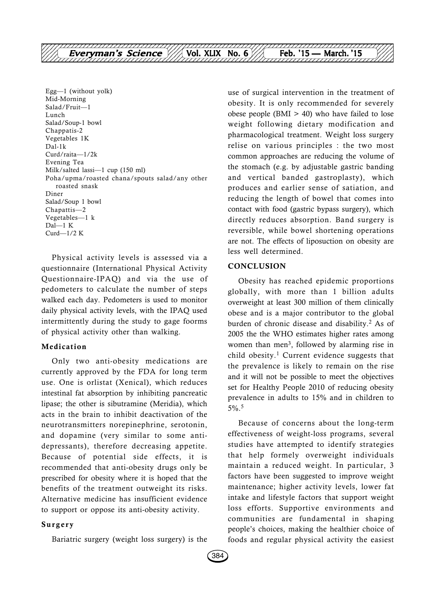

Egg—1 (without yolk) Mid-Morning Salad/Fruit—1 Lunch Salad/Soup-1 bowl Chappatis-2 Vegetables 1K Dal-1k Curd/raita—1/2k Evening Tea Milk/salted lassi—1 cup (150 ml) Poha/upma/roasted chana/spouts salad/any other roasted snask Diner Salad/Soup 1 bowl Chapattis—2 Vegetables—1 k Dal—1 K  $Curd - 1/2 K$ 

Physical activity levels is assessed via a questionnaire (International Physical Activity Questionnaire-IPAQ) and via the use of pedometers to calculate the number of steps walked each day. Pedometers is used to monitor daily physical activity levels, with the IPAQ used intermittently during the study to gage foorms of physical activity other than walking.

#### **Medication**

Only two anti-obesity medications are currently approved by the FDA for long term use. One is orlistat (Xenical), which reduces intestinal fat absorption by inhibiting pancreatic lipase; the other is sibutramine (Meridia), which acts in the brain to inhibit deactivation of the neurotransmitters norepinephrine, serotonin, and dopamine (very similar to some antidepressants), therefore decreasing appetite. Because of potential side effects, it is recommended that anti-obesity drugs only be prescribed for obesity where it is hoped that the benefits of the treatment outweight its risks. Alternative medicine has insufficient evidence to support or oppose its anti-obesity activity.

#### **Surgery**

Bariatric surgery (weight loss surgery) is the

use of surgical intervention in the treatment of obesity. It is only recommended for severely obese people (BMI  $> 40$ ) who have failed to lose weight following dietary modification and pharmacological treatment. Weight loss surgery relise on various principles : the two most common approaches are reducing the volume of the stomach (e.g. by adjustable gastric banding and vertical banded gastroplasty), which produces and earlier sense of satiation, and reducing the length of bowel that comes into contact with food (gastric bypass surgery), which directly reduces absorption. Band surgery is reversible, while bowel shortening operations are not. The effects of liposuction on obesity are less well determined.

#### **CONCLUSION**

Obesity has reached epidemic proportions globally, with more than 1 billion adults overweight at least 300 million of them clinically obese and is a major contributor to the global burden of chronic disease and disability.2 As of 2005 the the WHO estimates higher rates among women than men<sup>3</sup>, followed by alarming rise in child obesity.<sup>1</sup> Current evidence suggests that the prevalence is likely to remain on the rise and it will not be possible to meet the objectives set for Healthy People 2010 of reducing obesity prevalence in adults to 15% and in children to  $5\%$ .<sup>5</sup>

Because of concerns about the long-term effectiveness of weight-loss programs, several studies have attempted to identify strategies that help formely overweight individuals maintain a reduced weight. In particular, 3 factors have been suggested to improve weight maintenance; higher activity levels, lower fat intake and lifestyle factors that support weight loss efforts. Supportive environments and communities are fundamental in shaping people's choices, making the healthier choice of foods and regular physical activity the easiest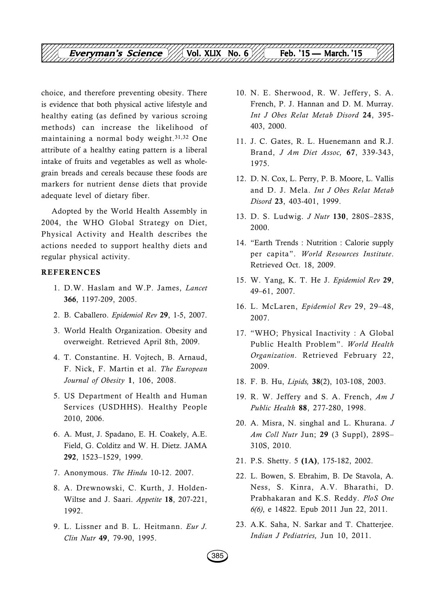#### 12345678901234567890123456789012123456789012345678901234567890121234567890123456789012345678 12345678901234567890123456789012123456789012345678901234567890121234567890123456789012345678 Which Everyman's Science  $\mathbb{V}/\mathbb{A}$  Vol. XLIX No. 6  $\mathbb{V}/\mathbb{A}$  Feb. '15 — March.'15  $\mathbb{V}/\mathbb{A}$ 12345678901234567890123456789012123456789012345678901234567890121234567890123456789012345678

choice, and therefore preventing obesity. There is evidence that both physical active lifestyle and healthy eating (as defined by various scroing methods) can increase the likelihood of maintaining a normal body weight.<sup>31,32</sup> One attribute of a healthy eating pattern is a liberal intake of fruits and vegetables as well as wholegrain breads and cereals because these foods are markers for nutrient dense diets that provide adequate level of dietary fiber.

Adopted by the World Health Assembly in 2004, the WHO Global Strategy on Diet, Physical Activity and Health describes the actions needed to support healthy diets and regular physical activity.

#### **REFERENCES**

- 1. D.W. Haslam and W.P. James, *Lancet* **366**, 1197-209, 2005.
- 2. B. Caballero. *Epidemiol Rev* **29**, 1-5, 2007.
- 3. World Health Organization. Obesity and overweight. Retrieved April 8th, 2009.
- 4. T. Constantine. H. Vojtech, B. Arnaud, F. Nick, F. Martin et al. *The European Journal of Obesity* **1**, 106, 2008.
- 5. US Department of Health and Human Services (USDHHS). Healthy People 2010, 2006.
- 6. A. Must, J. Spadano, E. H. Coakely, A.E. Field, G. Colditz and W. H. Dietz. JAMA **292**, 1523–1529, 1999.
- 7. Anonymous. *The Hindu* 10-12. 2007.
- 8. A. Drewnowski, C. Kurth, J. Holden-Wiltse and J. Saari. *Appetite* **18**, 207-221, 1992.
- 9. L. Lissner and B. L. Heitmann. *Eur J. Clin Nutr* **49**, 79-90, 1995.
- 10. N. E. Sherwood, R. W. Jeffery, S. A. French, P. J. Hannan and D. M. Murray. *Int J Obes Relat Metab Disord* **24**, 395- 403, 2000.
- 11. J. C. Gates, R. L. Huenemann and R.J. Brand, *J Am Diet Assoc,* **67**, 339-343, 1975.
- 12. D. N. Cox, L. Perry, P. B. Moore, L. Vallis and D. J. Mela. *Int J Obes Relat Metab Disord* **23**, 403-401, 1999.
- 13. D. S. Ludwig. *J Nutr* **130**, 280S–283S, 2000.
- 14. "Earth Trends : Nutrition : Calorie supply per capita". *World Resources Institute*. Retrieved Oct. 18, 2009.
- 15. W. Yang, K. T. He J. *Epidemiol Rev* **29**, 49–61, 2007.
- 16. L. McLaren, *Epidemiol Rev* 29, 29–48, 2007.
- 17. "WHO; Physical Inactivity : A Global Public Health Problem". *World Health Organization*. Retrieved February 22, 2009.
- 18. F. B. Hu, *Lipids,* **38**(2), 103-108, 2003.
- 19. R. W. Jeffery and S. A. French, *Am J Public Health* **88**, 277-280, 1998.
- 20. A. Misra, N. singhal and L. Khurana. *J Am Coll Nutr* Jun; **29** (3 Suppl), 289S– 310S, 2010.
- 21. P.S. Shetty. 5 **(1A)**, 175-182, 2002.
- 22. L. Bowen, S. Ebrahim, B. De Stavola, A. Ness, S. Kinra, A.V. Bharathi, D. Prabhakaran and K.S. Reddy. *PloS One 6(6)*, e 14822. Epub 2011 Jun 22, 2011.
- 23. A.K. Saha, N. Sarkar and T. Chatterjee. *Indian J Pediatries,* Jun 10, 2011.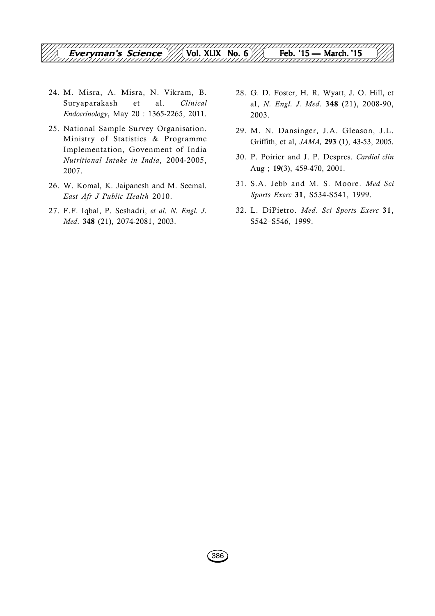#### 12345678901234567890123456789012123456789012345678901234567890121234567890123456789012345678 12345678901234567890123456789012123456789012345678901234567890121234567890123456789012345678 WA Everyman's Science  $\mathbb{V}/\mathbb{A}$  Vol. XLIX No. 6  $\mathbb{V}/\mathbb{A}$  Feb. '15 — March. '15  $\mathbb{V}/\mathbb{A}$ 12345678901234567890123456789012123456789012345678901234567890121234567890123456789012345678

- 24. M. Misra, A. Misra, N. Vikram, B. Suryaparakash et al. *Clinical Endocrinology*, May 20 : 1365-2265, 2011.
- 25. National Sample Survey Organisation. Ministry of Statistics & Programme Implementation, Govenment of India *Nutritional Intake in India*, 2004-2005, 2007.
- 26. W. Komal, K. Jaipanesh and M. Seemal. *East Afr J Public Health* 2010.
- 27. F.F. Iqbal, P. Seshadri, *et al*. *N. Engl. J. Med*. **348** (21), 2074-2081, 2003.
- 28. G. D. Foster, H. R. Wyatt, J. O. Hill, et al, *N. Engl. J. Med.* **348** (21), 2008-90, 2003.
- 29. M. N. Dansinger, J.A. Gleason, J.L. Griffith, et al, *JAMA,* **293** (1), 43-53, 2005.
- 30. P. Poirier and J. P. Despres. *Cardiol clin* Aug ; **19**(3), 459-470, 2001.
- 31. S.A. Jebb and M. S. Moore. *Med Sci Sports Exerc* **31**, S534-S541, 1999.
- 32. L. DiPietro. *Med. Sci Sports Exerc* **31**, S542–S546, 1999.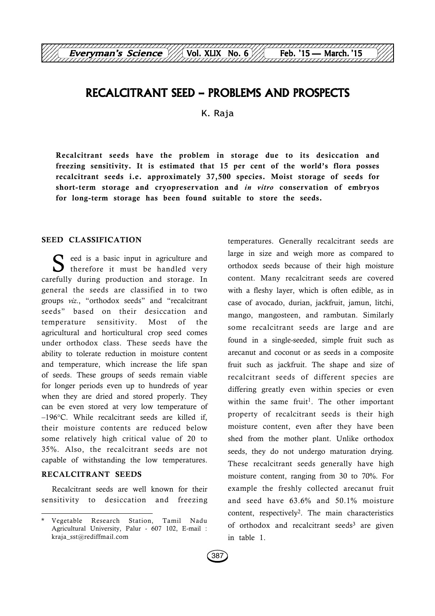12345678901234567890123456789012123456789012345678901234567890121234567890123456789012345678 12345678901234567890123456789012123456789012345678901234567890121234567890123456789012345678 Which Everyman's Science  $\mathbb{V}/\mathbb{A}$  Vol. XLIX No. 6  $\mathbb{V}/\mathbb{A}$  Feb. '15 — March.'15  $\mathbb{V}/\mathbb{A}$ 

K. Raja

RECALCITRANT SEED – PROBLEMS AND PROSPECTS

**Recalcitrant seeds have the problem in storage due to its desiccation and freezing sensitivity. It is estimated that 15 per cent of the world's flora posses recalcitrant seeds i.e. approximately 37,500 species. Moist storage of seeds for short-term storage and cryopreservation and** *in vitro* **conservation of embryos for long-term storage has been found suitable to store the seeds.**

#### **SEED CLASSIFICATION**

S eed is a basic input in agriculture and I therefore it must be handled very carefully during production and storage. In general the seeds are classified in to two groups *viz*., "orthodox seeds" and "recalcitrant seeds" based on their desiccation and temperature sensitivity. Most of the agricultural and horticultural crop seed comes under orthodox class. These seeds have the ability to tolerate reduction in moisture content and temperature, which increase the life span of seeds. These groups of seeds remain viable for longer periods even up to hundreds of year when they are dried and stored properly. They can be even stored at very low temperature of –196°C. While recalcitrant seeds are killed if, their moisture contents are reduced below some relatively high critical value of 20 to 35%. Also, the recalcitrant seeds are not capable of withstanding the low temperatures.

#### **RECALCITRANT SEEDS**

Recalcitrant seeds are well known for their sensitivity to desiccation and freezing temperatures. Generally recalcitrant seeds are large in size and weigh more as compared to orthodox seeds because of their high moisture content. Many recalcitrant seeds are covered with a fleshy layer, which is often edible, as in case of avocado, durian, jackfruit, jamun, litchi, mango, mangosteen, and rambutan. Similarly some recalcitrant seeds are large and are found in a single-seeded, simple fruit such as arecanut and coconut or as seeds in a composite fruit such as jackfruit. The shape and size of recalcitrant seeds of different species are differing greatly even within species or even within the same fruit<sup>1</sup>. The other important property of recalcitrant seeds is their high moisture content, even after they have been shed from the mother plant. Unlike orthodox seeds, they do not undergo maturation drying. These recalcitrant seeds generally have high moisture content, ranging from 30 to 70%. For example the freshly collected arecanut fruit and seed have 63.6% and 50.1% moisture content, respectively2. The main characteristics of orthodox and recalcitrant seeds<sup>3</sup> are given in table 1.

<del>-------------</del>

Vegetable Research Station, Tamil Nadu Agricultural University, Palur - 607 102, E-mail : kraja\_sst@rediffmail.com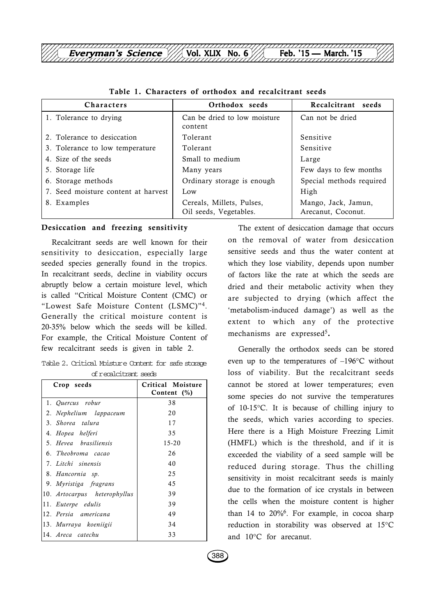#### 12345678901234567890123456789012123456789012345678901234567890121234567890123456789012345678 12345678901234567890123456789012123456789012345678901234567890121234567890123456789012345678 WA Everyman's Science  $\mathbb{V}/\mathbb{A}$  Vol. XLIX No. 6  $\mathbb{V}/\mathbb{A}$  Feb. '15 — March. '15  $\mathbb{V}/\mathbb{A}$ 12345678901234567890123456789012123456789012345678901234567890121234567890123456789012345678

| <b>Characters</b>                   | Orthodox seeds                                      | Recalcitrant seeds                        |
|-------------------------------------|-----------------------------------------------------|-------------------------------------------|
| 1. Tolerance to drying              | Can be dried to low moisture<br>content             | Can not be dried                          |
| 2. Tolerance to desiccation         | Tolerant                                            | Sensitive                                 |
| 3. Tolerance to low temperature     | Tolerant                                            | Sensitive                                 |
| 4. Size of the seeds                | Small to medium                                     | Large                                     |
| 5. Storage life                     | Many years                                          | Few days to few months                    |
| 6. Storage methods                  | Ordinary storage is enough                          | Special methods required                  |
| 7. Seed moisture content at harvest | Low                                                 | High                                      |
| 8. Examples                         | Cereals, Millets, Pulses,<br>Oil seeds, Vegetables. | Mango, Jack, Jamun,<br>Arecanut, Coconut. |

| Table 1. Characters of orthodox and recalcitrant seeds |
|--------------------------------------------------------|
|--------------------------------------------------------|

#### **Desiccation and freezing sensitivity**

Recalcitrant seeds are well known for their sensitivity to desiccation, especially large seeded species generally found in the tropics. In recalcitrant seeds, decline in viability occurs abruptly below a certain moisture level, which is called "Critical Moisture Content (CMC) or "Lowest Safe Moisture Content (LSMC)"4. Generally the critical moisture content is 20-35% below which the seeds will be killed. For example, the Critical Moisture Content of few recalcitrant seeds is given in table 2.

| Table 2. Critical Moisture Content for safe storage |  |
|-----------------------------------------------------|--|
| of recalcitrant seeds                               |  |

| Crop seeds                   | Critical Moisture<br>Content (%) |
|------------------------------|----------------------------------|
| 1. <i>Quercus</i> robur      | 38                               |
| 2. Nephelium lappaceum       | 20                               |
| 3. Shorea talura             | 17                               |
| 4. Hopea helferi             | 35                               |
| 5. Hevea brasiliensis        | $15 - 20$                        |
| 6. Theobroma cacao           | 26                               |
| 7. Litchi sinensis           | 40                               |
| 8. Hancornia sp.             | 25                               |
| 9. Myristiga fragrans        | 45                               |
| 10. Artocarpus heterophyllus | 39                               |
| 11. Euterpe edulis           | 39                               |
| 12. Persia americana         | 49                               |
| 13. Murraya koeniigii        | 34                               |
| 14. Areca catechu            | 33                               |

The extent of desiccation damage that occurs on the removal of water from desiccation sensitive seeds and thus the water content at which they lose viability, depends upon number of factors like the rate at which the seeds are dried and their metabolic activity when they are subjected to drying (which affect the 'metabolism-induced damage') as well as the extent to which any of the protective mechanisms are expressed5**.**

Generally the orthodox seeds can be stored even up to the temperatures of –196°C without loss of viability. But the recalcitrant seeds cannot be stored at lower temperatures; even some species do not survive the temperatures of 10-15°C. It is because of chilling injury to the seeds, which varies according to species. Here there is a High Moisture Freezing Limit (HMFL) which is the threshold, and if it is exceeded the viability of a seed sample will be reduced during storage. Thus the chilling sensitivity in moist recalcitrant seeds is mainly due to the formation of ice crystals in between the cells when the moisture content is higher than 14 to  $20\%$ <sup>6</sup>. For example, in cocoa sharp reduction in storability was observed at 15°C and 10°C for arecanut.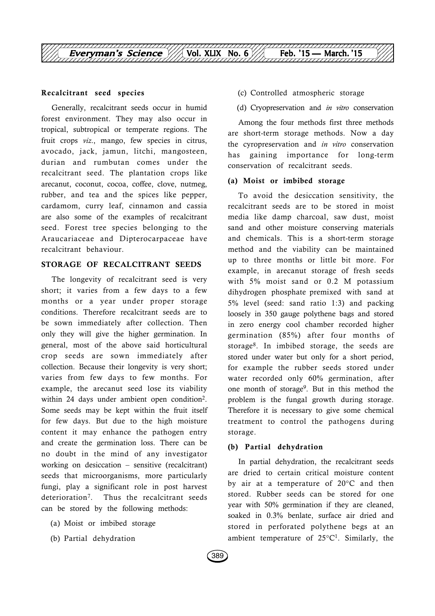

#### **Recalcitrant seed species**

Generally, recalcitrant seeds occur in humid forest environment. They may also occur in tropical, subtropical or temperate regions. The fruit crops *viz*., mango, few species in citrus, avocado, jack, jamun, litchi, mangosteen, durian and rumbutan comes under the recalcitrant seed. The plantation crops like arecanut, coconut, cocoa, coffee, clove, nutmeg, rubber, and tea and the spices like pepper, cardamom, curry leaf, cinnamon and cassia are also some of the examples of recalcitrant seed. Forest tree species belonging to the Araucariaceae and Dipterocarpaceae have recalcitrant behaviour.

#### **STORAGE OF RECALCITRANT SEEDS**

The longevity of recalcitrant seed is very short; it varies from a few days to a few months or a year under proper storage conditions. Therefore recalcitrant seeds are to be sown immediately after collection. Then only they will give the higher germination. In general, most of the above said horticultural crop seeds are sown immediately after collection. Because their longevity is very short; varies from few days to few months. For example, the arecanut seed lose its viability within 24 days under ambient open condition<sup>2</sup>. Some seeds may be kept within the fruit itself for few days. But due to the high moisture content it may enhance the pathogen entry and create the germination loss. There can be no doubt in the mind of any investigator working on desiccation – sensitive (recalcitrant) seeds that microorganisms, more particularly fungi, play a significant role in post harvest deterioration<sup>7</sup>. Thus the recalcitrant seeds can be stored by the following methods:

- (a) Moist or imbibed storage
- (b) Partial dehydration
- (c) Controlled atmospheric storage
- (d) Cryopreservation and *in vitro* conservation

Among the four methods first three methods are short-term storage methods. Now a day the cyropreservation and *in vitro* conservation has gaining importance for long-term conservation of recalcitrant seeds.

#### **(a) Moist or imbibed storage**

To avoid the desiccation sensitivity, the recalcitrant seeds are to be stored in moist media like damp charcoal, saw dust, moist sand and other moisture conserving materials and chemicals. This is a short-term storage method and the viability can be maintained up to three months or little bit more. For example, in arecanut storage of fresh seeds with 5% moist sand or 0.2 M potassium dihydrogen phosphate premixed with sand at 5% level (seed: sand ratio 1:3) and packing loosely in 350 gauge polythene bags and stored in zero energy cool chamber recorded higher germination (85%) after four months of storage8. In imbibed storage, the seeds are stored under water but only for a short period, for example the rubber seeds stored under water recorded only 60% germination, after one month of storage9. But in this method the problem is the fungal growth during storage. Therefore it is necessary to give some chemical treatment to control the pathogens during storage.

#### **(b) Partial dehydration**

In partial dehydration, the recalcitrant seeds are dried to certain critical moisture content by air at a temperature of 20°C and then stored. Rubber seeds can be stored for one year with 50% germination if they are cleaned, soaked in 0.3% benlate, surface air dried and stored in perforated polythene begs at an ambient temperature of  $25^{\circ}C^{1}$ . Similarly, the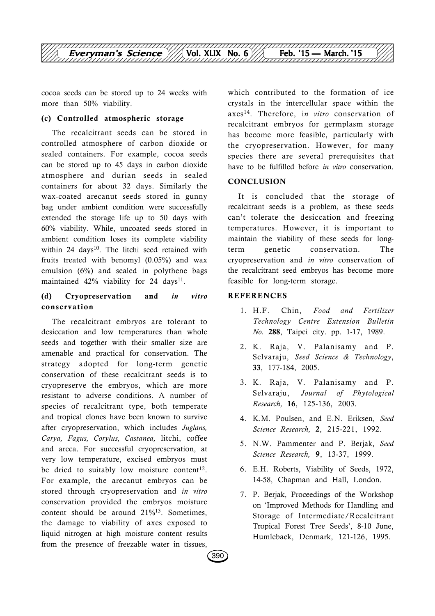

cocoa seeds can be stored up to 24 weeks with more than 50% viability.

#### **(c) Controlled atmospheric storage**

The recalcitrant seeds can be stored in controlled atmosphere of carbon dioxide or sealed containers. For example, cocoa seeds can be stored up to 45 days in carbon dioxide atmosphere and durian seeds in sealed containers for about 32 days. Similarly the wax-coated arecanut seeds stored in gunny bag under ambient condition were successfully extended the storage life up to 50 days with 60% viability. While, uncoated seeds stored in ambient condition loses its complete viability within 24 days<sup>10</sup>. The litchi seed retained with fruits treated with benomyl (0.05%) and wax emulsion (6%) and sealed in polythene bags maintained  $42\%$  viability for 24 days<sup>11</sup>.

#### **(d) Cryopreservation and** *in vitro* **conservation**

The recalcitrant embryos are tolerant to desiccation and low temperatures than whole seeds and together with their smaller size are amenable and practical for conservation. The strategy adopted for long-term genetic conservation of these recalcitrant seeds is to cryopreserve the embryos, which are more resistant to adverse conditions. A number of species of recalcitrant type, both temperate and tropical clones have been known to survive after cryopreservation, which includes *Juglans, Carya, Fagus, Corylus, Castanea,* litchi, coffee and areca. For successful cryopreservation, at very low temperature, excised embryos must be dried to suitably low moisture content<sup>12</sup>. For example, the arecanut embryos can be stored through cryopreservation and *in vitro* conservation provided the embryos moisture content should be around 21%13. Sometimes, the damage to viability of axes exposed to liquid nitrogen at high moisture content results from the presence of freezable water in tissues,

which contributed to the formation of ice crystals in the intercellular space within the axes14. Therefore, i*n vitro* conservation of recalcitrant embryos for germplasm storage has become more feasible, particularly with the cryopreservation. However, for many species there are several prerequisites that have to be fulfilled before *in vitro* conservation.

#### **CONCLUSION**

It is concluded that the storage of recalcitrant seeds is a problem, as these seeds can't tolerate the desiccation and freezing temperatures. However, it is important to maintain the viability of these seeds for longterm genetic conservation. The cryopreservation and *in vitro* conservation of the recalcitrant seed embryos has become more feasible for long-term storage.

#### **REFERENCES**

- 1. H.F. Chin, *Food and Fertilizer Technology Centre Extension Bulletin No.* **288**, Taipei city. pp. 1-17, 1989.
- 2. K. Raja, V. Palanisamy and P. Selvaraju, *Seed Science & Technology*, **33**, 177-184, 2005.
- 3. K. Raja, V. Palanisamy and P. Selvaraju, *Journal of Phytological Research,* **16**, 125-136, 2003.
- 4. K.M. Poulsen, and E.N. Eriksen, *Seed Science Research,* **2**, 215-221, 1992.
- 5. N.W. Pammenter and P. Berjak, *Seed Science Research,* **9**, 13-37, 1999.
- 6. E.H. Roberts, Viability of Seeds, 1972, 14-58, Chapman and Hall, London.
- 7. P. Berjak, Proceedings of the Workshop on 'Improved Methods for Handling and Storage of Intermediate/Recalcitrant Tropical Forest Tree Seeds', 8-10 June, Humlebaek, Denmark, 121-126, 1995.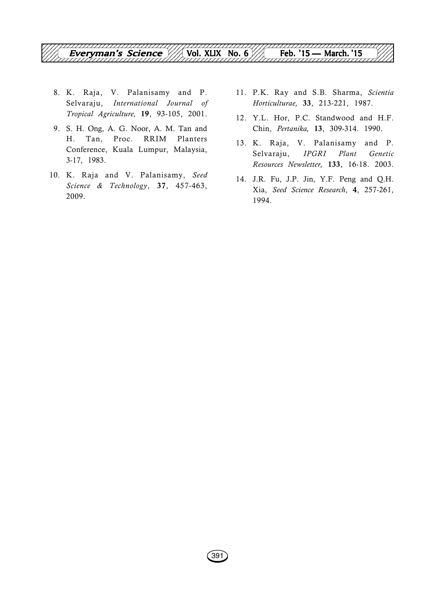#### 12345678901234567890123456789012123456789012345678901234567890121234567890123456789012345678 12345678901234567890123456789012123456789012345678901234567890121234567890123456789012345678 Which Everyman's Science  $\mathbb{V}/\mathbb{A}$  Vol. XLIX No. 6  $\mathbb{V}/\mathbb{A}$  Feb. '15 — March.'15  $\mathbb{V}/\mathbb{A}$ 12345678901234567890123456789012123456789012345678901234567890121234567890123456789012345678

- 8. K. Raja, V. Palanisamy and P. Selvaraju, *International Journal of Tropical Agriculture,* **19**, 93-105, 2001.
- 9. S. H. Ong, A. G. Noor, A. M. Tan and H. Tan, Proc. RRIM Planters Conference, Kuala Lumpur, Malaysia, 3-17, 1983.
- 10. K. Raja and V. Palanisamy, *Seed Science & Technology*, **37**, 457-463, 2009.
- 11. P.K. Ray and S.B. Sharma, *Scientia Horticulturae,* **33**, 213-221, 1987.
- 12. Y.L. Hor, P.C. Standwood and H.F. Chin, *Pertanika,* **13**, 309-314. 1990.
- 13. K. Raja, V. Palanisamy and P. Selvaraju, *IPGRI Plant Genetic Resources Newsletter,* **133**, 16-18. 2003.
- 14. J.R. Fu, J.P. Jin, Y.F. Peng and Q.H. Xia, *Seed Science Research*, **4**, 257-261, 1994.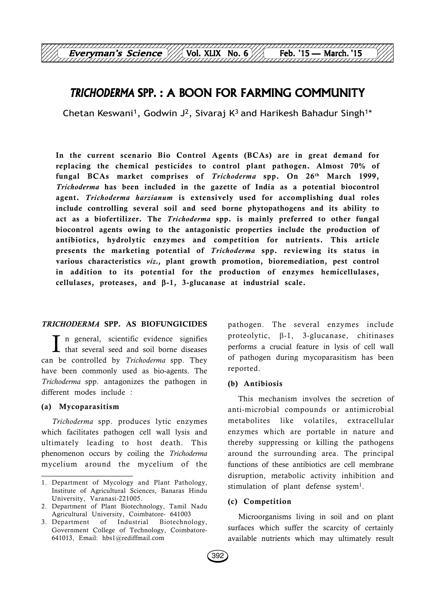## *TRICHODERMA* SPP. : A BOON FOR FARMING COMMUNITY

12345678901234567890123456789012123456789012345678901234567890121234567890123456789012345678 12345678901234567890123456789012123456789012345678901234567890121234567890123456789012345678 WA Everyman's Science  $\mathbb{V}/\mathbb{A}$  Vol. XLIX No. 6  $\mathbb{V}/\mathbb{A}$  Feb. '15 — March. '15  $\mathbb{V}/\mathbb{A}$ 12345678901234567891123456789123456789123456789123456789123456789123456789123456789123456789123456789012345678

Chetan Keswani<sup>1</sup>, Godwin J<sup>2</sup>, Sivaraj K<sup>3</sup> and Harikesh Bahadur Singh<sup>1\*</sup>

**In the current scenario Bio Control Agents (BCAs) are in great demand for replacing the chemical pesticides to control plant pathogen. Almost 70% of fungal BCAs market comprises of** *Trichoderma* **spp. On 26th March 1999,** *Trichoderma* **has been included in the gazette of India as a potential biocontrol agent.** *Trichoderma harzianum* **is extensively used for accomplishing dual roles include controlling several soil and seed borne phytopathogens and its ability to act as a biofertilizer. The** *Trichoderma* **spp. is mainly preferred to other fungal biocontrol agents owing to the antagonistic properties include the production of antibiotics, hydrolytic enzymes and competition for nutrients. This article presents the marketing potential of** *Trichoderma* **spp. reviewing its status in various characteristics** *viz.,* **plant growth promotion, bioremediation, pest control in addition to its potential for the production of enzymes hemicellulases, cellulases, proteases, and** β**-1, 3-glucanase at industrial scale.**

#### *TRICHODERMA* **SPP. AS BIOFUNGICIDES**

I n general, scientific evidence signifies that several seed and soil borne diseases can be controlled by *Trichoderma* spp. They have been commonly used as bio-agents. The *Trichoderma* spp. antagonizes the pathogen in different modes include :

#### **(a) Mycoparasitism**

*Trichoderma* spp. produces lytic enzymes which facilitates pathogen cell wall lysis and ultimately leading to host death. This phenomenon occurs by coiling the *Trichoderma* mycelium around the mycelium of the pathogen. The several enzymes include proteolytic, β-1, 3-glucanase, chitinases performs a crucial feature in lysis of cell wall of pathogen during mycoparasitism has been reported.

#### **(b) Antibiosis**

This mechanism involves the secretion of anti-microbial compounds or antimicrobial metabolites like volatiles, extracellular enzymes which are portable in nature and thereby suppressing or killing the pathogens around the surrounding area. The principal functions of these antibiotics are cell membrane disruption, metabolic activity inhibition and stimulation of plant defense system<sup>1</sup>.

#### **(c) Competition**

Microorganisms living in soil and on plant surfaces which suffer the scarcity of certainly available nutrients which may ultimately result

<sup>1.</sup> Department of Mycology and Plant Pathology, Institute of Agricultural Sciences, Banaras Hindu University, Varanasi-221005.

<sup>2.</sup> Department of Plant Biotechnology, Tamil Nadu Agricultural University, Coimbatore- 641003

<sup>3.</sup> Department of Industrial Biotechnology, Government College of Technology, Coimbatore-641013, Email: hbs1@rediffmail.com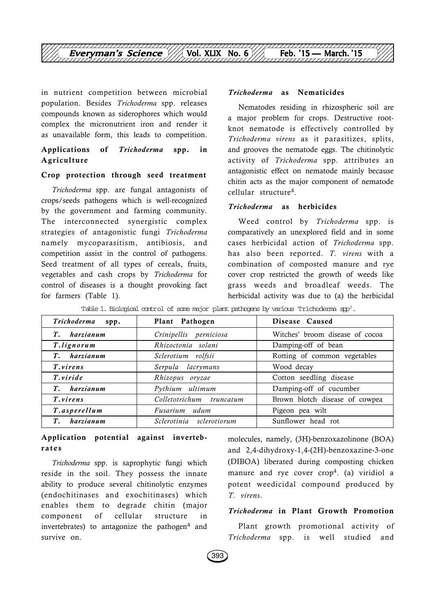

in nutrient competition between microbial population. Besides *Trichoderma* spp. releases compounds known as siderophores which would complex the micronutrient iron and render it as unavailable form, this leads to competition.

#### **Applications of** *Trichoderma* **spp. in Agriculture**

#### **Crop protection through seed treatment**

*Trichoderma* spp. are fungal antagonists of crops/seeds pathogens which is well-recognized by the government and farming community. The interconnected synergistic complex strategies of antagonistic fungi *Trichoderma* namely mycoparasitism, antibiosis, and competition assist in the control of pathogens. Seed treatment of all types of cereals, fruits, vegetables and cash crops by *Trichoderma* for control of diseases is a thought provoking fact for farmers (Table 1).

#### *Trichoderma* **as Nematicides**

Nematodes residing in rhizospheric soil are a major problem for crops. Destructive rootknot nematode is effectively controlled by *Trichoderma virens* as it parasitizes, splits, and grooves the nematode eggs. The chitinolytic activity of *Trichoderma* spp. attributes an antagonistic effect on nematode mainly because chitin acts as the major component of nematode cellular structure4.

#### *Trichoderma* **as herbicides**

Weed control by *Trichoderma* spp. is comparatively an unexplored field and in some cases herbicidal action of *Trichoderma* spp. has also been reported. *T. virens* with a combination of composted manure and rye cover crop restricted the growth of weeds like grass weeds and broadleaf weeds. The herbicidal activity was due to (a) the herbicidal

| Trichoderma spp. | Plant Pathogen           | Disease Caused                  |
|------------------|--------------------------|---------------------------------|
| T. harzianum     | Crinipellis perniciosa   | Witches' broom disease of cocoa |
| T.lignorum       | Rhizoctonia solani       | Damping-off of bean             |
| T. harzianum     | Sclerotium rolfsii       | Rotting of common vegetables    |
| T.virens         | Serpula lacrymans        | Wood decay                      |
| T.viride         | Rhizopus oryzae          | Cotton seedling disease         |
| T. harzianum     | Pythium ultimum          | Damping-off of cucumber         |
| T.virens         | Colletotrichum truncatum | Brown blotch disease of cowpea  |
| T.asperellum     | Fusarium udum            | Pigeon pea wilt                 |
| harzianum<br>T.  | Sclerotinia sclerotiorum | Sunflower head rot              |

Table 1. Biological control of some major plant pathogens by various Trichoderma  $\text{gp}^2$ .

#### **Application potential against invertebrates**

*Trichoderma* spp. is saprophytic fungi which reside in the soil. They possess the innate ability to produce several chitinolytic enzymes (endochitinases and exochitinases) which enables them to degrade chitin (major component of cellular structure in invertebrates) to antagonize the pathogen<sup>4</sup> and survive on.

molecules, namely, (3H)-benzoxazolinone (BOA) and 2,4-dihydroxy-1,4-(2H)-benzoxazine-3-one (DIBOA) liberated during composting chicken manure and rye cover crop<sup>4</sup>. (a) viridiol a potent weedicidal compound produced by *T. virens*.

#### *Trichoderma* **in Plant Growth Promotion**

Plant growth promotional activity of *Trichoderma* spp. is well studied and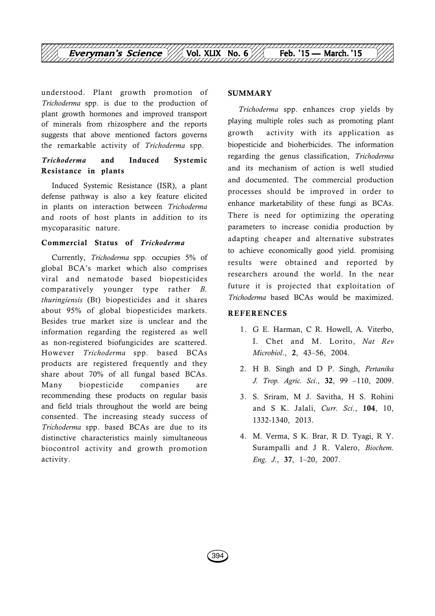

understood. Plant growth promotion of *Trichoderma* spp. is due to the production of plant growth hormones and improved transport of minerals from rhizosphere and the reports suggests that above mentioned factors governs the remarkable activity of *Trichoderma* spp.

#### *Trichoderma* **and Induced Systemic Resistance in plants**

Induced Systemic Resistance (ISR), a plant defense pathway is also a key feature elicited in plants on interaction between *Trichoderma* and roots of host plants in addition to its mycoparasitic nature.

#### **Commercial Status of** *Trichoderma*

Currently, *Trichoderma* spp. occupies 5% of global BCA's market which also comprises viral and nematode based biopesticides comparatively younger type rather *B. thuringiensis* (Bt) biopesticides and it shares about 95% of global biopesticides markets. Besides true market size is unclear and the information regarding the registered as well as non-registered biofungicides are scattered. However *Trichoderma* spp. based BCAs products are registered frequently and they share about 70% of all fungal based BCAs. Many biopesticide companies are recommending these products on regular basis and field trials throughout the world are being consented. The increasing steady success of *Trichoderma* spp. based BCAs are due to its distinctive characteristics mainly simultaneous biocontrol activity and growth promotion activity.

#### **SUMMARY**

*Trichoderma* spp. enhances crop yields by playing multiple roles such as promoting plant growth activity with its application as biopesticide and bioherbicides. The information regarding the genus classification, *Trichoderma* and its mechanism of action is well studied and documented. The commercial production processes should be improved in order to enhance marketability of these fungi as BCAs. There is need for optimizing the operating parameters to increase conidia production by adapting cheaper and alternative substrates to achieve economically good yield. promising results were obtained and reported by researchers around the world. In the near future it is projected that exploitation of *Trichoderma* based BCAs would be maximized.

#### **REFERENCES**

- 1. G E. Harman, C R. Howell, A. Viterbo, I. Chet and M. Lorito, *Nat Rev Microbiol*., **2**, 43–56, 2004.
- 2. H B. Singh and D P. Singh, *Pertanika J. Trop. Agric. Sci*., **32**, 99 –110, 2009.
- 3. S. Sriram, M J. Savitha, H S. Rohini and S K. Jalali, *Curr. Sci*., **104**, 10, 1332-1340, 2013.
- 4. M. Verma, S K. Brar, R D. Tyagi, R Y. Surampalli and J R. Valero, *Biochem. Eng. J.*, **37**, 1–20, 2007.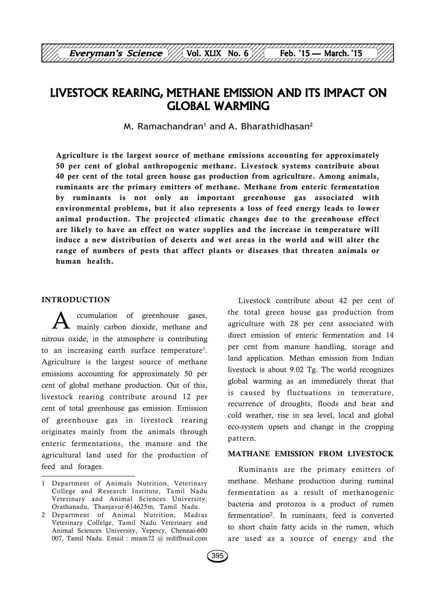# LIVESTOCK REARING, METHANE EMISSION AND ITS IMPACT ON GLOBAL WARMING

12345678901234567890123456789012123456789012345678901234567890121234567890123456789012345678 12345678901234567890123456789012123456789012345678901234567890121234567890123456789012345678 Which Everyman's Science  $\mathbb{V}/\mathbb{A}$  Vol. XLIX No. 6  $\mathbb{V}/\mathbb{A}$  Feb. '15 — March.'15  $\mathbb{V}/\mathbb{A}$ 

M. Ramachandran<sup>1</sup> and A. Bharathidhasan<sup>2</sup>

**Agriculture is the largest source of methane emissions accounting for approximately 50 per cent of global anthropogenic methane. Livestock systems contribute about 40 per cent of the total green house gas production from agriculture. Among animals, ruminants are the primary emitters of methane. Methane from enteric fermentation by ruminants is not only an important greenhouse gas associated with environmental problems, but it also represents a loss of feed energy leads to lower animal production. The projected climatic changes due to the greenhouse effect are likely to have an effect on water supplies and the increase in temperature will induce a new distribution of deserts and wet areas in the world and will alter the range of numbers of pests that affect plants or diseases that threaten animals or human health.**

#### **INTRODUCTION**

ccumulation of greenhouse gases, mainly carbon dioxide, methane and nitrous oxide, in the atmosphere is contributing to an increasing earth surface temperature<sup>3</sup>. Agriculture is the largest source of methane emissions accounting for approximately 50 per cent of global methane production. Out of this, livestock rearing contribute around 12 per cent of total greenhouse gas emission. Emission of greenhouse gas in livestock rearing originates mainly from the animals through enteric fermentations, the manure and the agricultural land used for the production of feed and forages.

Livestock contribute about 42 per cent of the total green house gas production from agriculture with 28 per cent associated with direct emission of enteric fermentation and 14 per cent from manure handling, storage and land application. Methan emission from Indian livestock is about 9.02 Tg. The world recognizes global warming as an immediately threat that is caused by fluctuations in temerature, recurrence of droughts, floods and heat and cold weather, rise in sea level, local and global eco-system upsets and change in the cropping pattern.

12345678901234567890123456789012123456789012345678901234567890121234567890123456789012345678

#### **MATHANE EMISSION FROM LIVESTOCK**

Ruminants are the primary emitters of methane. Methane production during ruminal fermentation as a result of methanogenic bacteria and protozoa is a product of rumen fermentation2. In ruminants, feed is converted to short chain fatty acids in the rumen, which are used as a source of energy and the

<sup>1</sup> Department of Animals Nutrition, Veterinary College and Research Institute, Tamil Nadu Veterinary and Animal Sciences University, Orathanadu, Thanjavur-614625m, Tamil Nadu.

<sup>2</sup> Department of Animal Nutrition, Madras Veterinary Collelge, Tamil Nadu Veterinary and Animal Sciences University, Vepercy, Chennai-600 007, Tamil Nadu. Email : mram72 @ rediffmail.com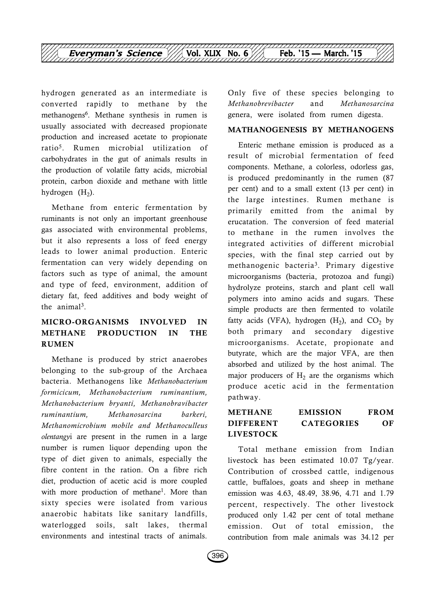

hydrogen generated as an intermediate is converted rapidly to methane by the methanogens<sup>6</sup>. Methane synthesis in rumen is usually associated with decreased propionate production and increased acetate to propionate ratio5. Rumen microbial utilization of carbohydrates in the gut of animals results in the production of volatile fatty acids, microbial protein, carbon dioxide and methane with little hydrogen  $(H<sub>2</sub>)$ .

Methane from enteric fermentation by ruminants is not only an important greenhouse gas associated with environmental problems, but it also represents a loss of feed energy leads to lower animal production. Enteric fermentation can very widely depending on factors such as type of animal, the amount and type of feed, environment, addition of dietary fat, feed additives and body weight of the animal3.

### **MICRO-ORGANISMS INVOLVED IN METHANE PRODUCTION IN THE RUMEN**

Methane is produced by strict anaerobes belonging to the sub-group of the Archaea bacteria. Methanogens like *Methanobacterium formicicum, Methanobacterium ruminantium, Methanobacterium bryanti, Methanobravibacter ruminantium, Methanosarcina barkeri, Methanomicrobium mobile and Methanoculleus olentangy*i are present in the rumen in a large number is rumen liquor depending upon the type of diet given to animals, especially the fibre content in the ration. On a fibre rich diet, production of acetic acid is more coupled with more production of methane<sup>1</sup>. More than sixty species were isolated from various anaerobic habitats like sanitary landfills, waterlogged soils, salt lakes, thermal environments and intestinal tracts of animals.

Only five of these species belonging to *Methanobrevibacter* and *Methanosarcina* genera, were isolated from rumen digesta.

#### **MATHANOGENESIS BY METHANOGENS**

Enteric methane emission is produced as a result of microbial fermentation of feed components. Methane, a colorless, odorless gas, is produced predominantly in the rumen (87 per cent) and to a small extent (13 per cent) in the large intestines. Rumen methane is primarily emitted from the animal by erucatation. The conversion of feed material to methane in the rumen involves the integrated activities of different microbial species, with the final step carried out by methanogenic bacteria3. Primary digestive microorganisms (bacteria, protozoa and fungi) hydrolyze proteins, starch and plant cell wall polymers into amino acids and sugars. These simple products are then fermented to volatile fatty acids (VFA), hydrogen  $(H_2)$ , and  $CO_2$  by both primary and secondary digestive microorganisms. Acetate, propionate and butyrate, which are the major VFA, are then absorbed and utilized by the host animal. The major producers of  $H<sub>2</sub>$  are the organisms which produce acetic acid in the fermentation pathway.

### **METHANE EMISSION FROM DIFFERENT CATEGORIES OF LIVESTOCK**

Total methane emission from Indian livestock has been estimated 10.07 Tg/year. Contribution of crossbed cattle, indigenous cattle, buffaloes, goats and sheep in methane emission was 4.63, 48.49, 38.96, 4.71 and 1.79 percent, respectively. The other livestock produced only 1.42 per cent of total methane emission. Out of total emission, the contribution from male animals was 34.12 per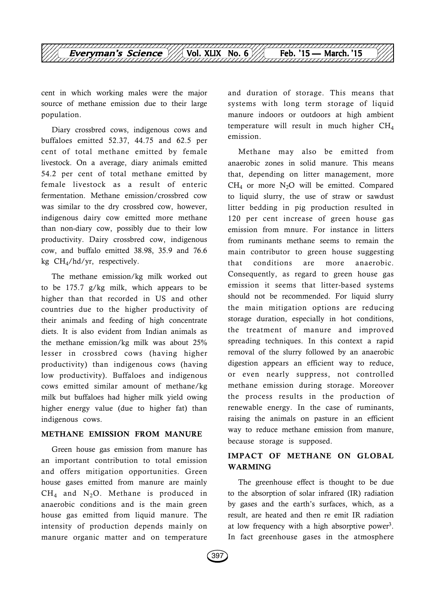

cent in which working males were the major source of methane emission due to their large population.

Diary crossbred cows, indigenous cows and buffaloes emitted 52.37, 44.75 and 62.5 per cent of total methane emitted by female livestock. On a average, diary animals emitted 54.2 per cent of total methane emitted by female livestock as a result of enteric fermentation. Methane emission/crossbred cow was similar to the dry crossbred cow, however, indigenous dairy cow emitted more methane than non-diary cow, possibly due to their low productivity. Dairy crossbred cow, indigenous cow, and buffalo emitted 38.98, 35.9 and 76.6 kg CH4/hd/yr, respectively.

The methane emission/kg milk worked out to be 175.7 g/kg milk, which appears to be higher than that recorded in US and other countries due to the higher productivity of their animals and feeding of high concentrate diets. It is also evident from Indian animals as the methane emission/kg milk was about 25% lesser in crossbred cows (having higher productivity) than indigenous cows (having low productivity). Buffaloes and indigenous cows emitted similar amount of methane/kg milk but buffaloes had higher milk yield owing higher energy value (due to higher fat) than indigenous cows.

#### **METHANE EMISSION FROM MANURE**

Green house gas emission from manure has an important contribution to total emission and offers mitigation opportunities. Green house gases emitted from manure are mainly  $CH<sub>4</sub>$  and N<sub>2</sub>O. Methane is produced in anaerobic conditions and is the main green house gas emitted from liquid manure. The intensity of production depends mainly on manure organic matter and on temperature and duration of storage. This means that systems with long term storage of liquid manure indoors or outdoors at high ambient temperature will result in much higher  $CH<sub>4</sub>$ emission.

Methane may also be emitted from anaerobic zones in solid manure. This means that, depending on litter management, more  $CH<sub>4</sub>$  or more N<sub>2</sub>O will be emitted. Compared to liquid slurry, the use of straw or sawdust litter bedding in pig production resulted in 120 per cent increase of green house gas emission from mnure. For instance in litters from ruminants methane seems to remain the main contributor to green house suggesting that conditions are more anaerobic. Consequently, as regard to green house gas emission it seems that litter-based systems should not be recommended. For liquid slurry the main mitigation options are reducing storage duration, especially in hot conditions, the treatment of manure and improved spreading techniques. In this context a rapid removal of the slurry followed by an anaerobic digestion appears an efficient way to reduce, or even nearly suppress, not controlled methane emission during storage. Moreover the process results in the production of renewable energy. In the case of ruminants, raising the animals on pasture in an efficient way to reduce methane emission from manure, because storage is supposed.

#### **IMPACT OF METHANE ON GLOBAL WARMING**

The greenhouse effect is thought to be due to the absorption of solar infrared (IR) radiation by gases and the earth's surfaces, which, as a result, are heated and then re emit IR radiation at low frequency with a high absorptive power3. In fact greenhouse gases in the atmosphere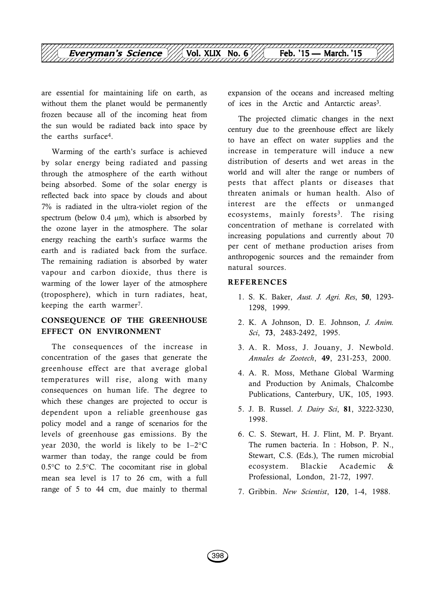

are essential for maintaining life on earth, as without them the planet would be permanently frozen because all of the incoming heat from the sun would be radiated back into space by the earths surface<sup>4</sup>.

Warming of the earth's surface is achieved by solar energy being radiated and passing through the atmosphere of the earth without being absorbed. Some of the solar energy is reflected back into space by clouds and about 7% is radiated in the ultra-violet region of the spectrum (below 0.4 μm), which is absorbed by the ozone layer in the atmosphere. The solar energy reaching the earth's surface warms the earth and is radiated back from the surface. The remaining radiation is absorbed by water vapour and carbon dioxide, thus there is warming of the lower layer of the atmosphere (troposphere), which in turn radiates, heat, keeping the earth warmer<sup>7</sup>.

#### **CONSEQUENCE OF THE GREENHOUSE EFFECT ON ENVIRONMENT**

The consequences of the increase in concentration of the gases that generate the greenhouse effect are that average global temperatures will rise, along with many consequences on human life. The degree to which these changes are projected to occur is dependent upon a reliable greenhouse gas policy model and a range of scenarios for the levels of greenhouse gas emissions. By the year 2030, the world is likely to be  $1-2$ <sup>o</sup>C warmer than today, the range could be from 0.5°C to 2.5°C. The cocomitant rise in global mean sea level is 17 to 26 cm, with a full range of 5 to 44 cm, due mainly to thermal

expansion of the oceans and increased melting of ices in the Arctic and Antarctic areas<sup>3</sup>.

The projected climatic changes in the next century due to the greenhouse effect are likely to have an effect on water supplies and the increase in temperature will induce a new distribution of deserts and wet areas in the world and will alter the range or numbers of pests that affect plants or diseases that threaten animals or human health. Also of interest are the effects or unmanged ecosystems, mainly forests3. The rising concentration of methane is correlated with increasing populations and currently about 70 per cent of methane production arises from anthropogenic sources and the remainder from natural sources.

#### **REFERENCES**

- 1. S. K. Baker, *Aust. J. Agri. Res*, **50**, 1293- 1298, 1999.
- 2. K. A Johnson, D. E. Johnson, *J. Anim. Sci*, **73**, 2483-2492, 1995.
- 3. A. R. Moss, J. Jouany, J. Newbold. *Annales de Zootech*, **49**, 231-253, 2000.
- 4. A. R. Moss, Methane Global Warming and Production by Animals, Chalcombe Publications, Canterbury, UK, 105, 1993.
- 5. J. B. Russel. *J. Dairy Sci*, **81**, 3222-3230, 1998.
- 6. C. S. Stewart, H. J. Flint, M. P. Bryant. The rumen bacteria. In : Hobson, P. N., Stewart, C.S. (Eds.), The rumen microbial ecosystem. Blackie Academic & Professional, London, 21-72, 1997.
- 7. Gribbin. *New Scientist*, **120**, 1-4, 1988.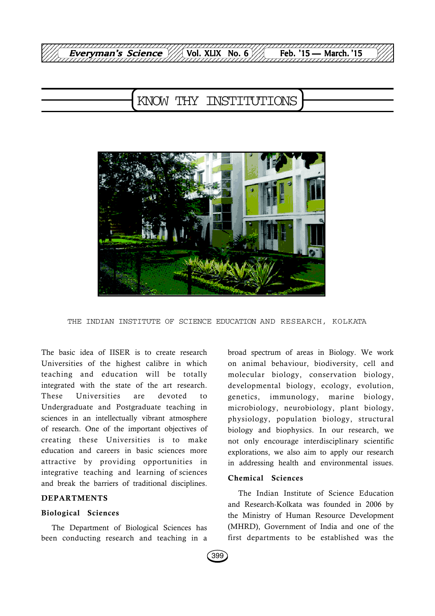

# KNOW THY INSTITUTIONS



THE INDIAN INSTITUTE OF SCIENCE EDUCATION AND RESEARCH, KOLKATA

The basic idea of IISER is to create research Universities of the highest calibre in which teaching and education will be totally integrated with the state of the art research. These Universities are devoted to Undergraduate and Postgraduate teaching in sciences in an intellectually vibrant atmosphere of research. One of the important objectives of creating these Universities is to make education and careers in basic sciences more attractive by providing opportunities in integrative teaching and learning of sciences and break the barriers of traditional disciplines.

#### **DEPARTMENTS**

#### **Biological Sciences**

The Department of Biological Sciences has been conducting research and teaching in a broad spectrum of areas in Biology. We work on animal behaviour, biodiversity, cell and molecular biology, conservation biology, developmental biology, ecology, evolution, genetics, immunology, marine biology, microbiology, neurobiology, plant biology, physiology, population biology, structural biology and biophysics. In our research, we not only encourage interdisciplinary scientific explorations, we also aim to apply our research in addressing health and environmental issues.

#### **Chemical Sciences**

The Indian Institute of Science Education and Research-Kolkata was founded in 2006 by the Ministry of Human Resource Development (MHRD), Government of India and one of the first departments to be established was the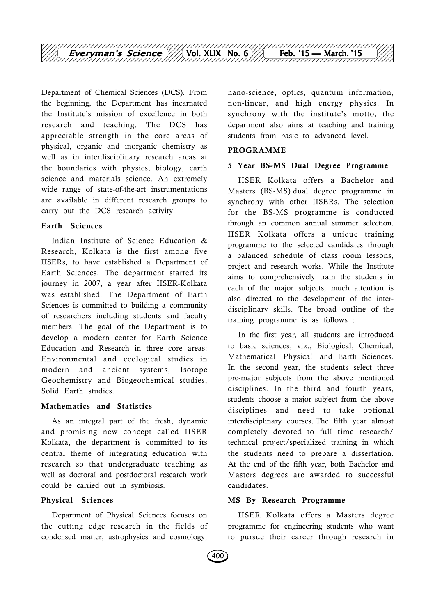

Department of Chemical Sciences (DCS). From the beginning, the Department has incarnated the Institute's mission of excellence in both research and teaching. The DCS has appreciable strength in the core areas of physical, organic and inorganic chemistry as well as in interdisciplinary research areas at the boundaries with physics, biology, earth science and materials science. An extremely wide range of state-of-the-art instrumentations are available in different research groups to carry out the DCS research activity.

#### **Earth Sciences**

Indian Institute of Science Education & Research, Kolkata is the first among five IISERs, to have established a Department of Earth Sciences. The department started its journey in 2007, a year after IISER-Kolkata was established. The Department of Earth Sciences is committed to building a community of researchers including students and faculty members. The goal of the Department is to develop a modern center for Earth Science Education and Research in three core areas: Environmental and ecological studies in modern and ancient systems, Isotope Geochemistry and Biogeochemical studies, Solid Earth studies.

#### **Mathematics and Statistics**

As an integral part of the fresh, dynamic and promising new concept called IISER Kolkata, the department is committed to its central theme of integrating education with research so that undergraduate teaching as well as doctoral and postdoctoral research work could be carried out in symbiosis.

#### **Physical Sciences**

Department of Physical Sciences focuses on the cutting edge research in the fields of condensed matter, astrophysics and cosmology,

nano-science, optics, quantum information, non-linear, and high energy physics. In synchrony with the institute's motto, the department also aims at teaching and training students from basic to advanced level.

#### **PROGRAMME**

#### **5 Year BS-MS Dual Degree Programme**

IISER Kolkata offers a Bachelor and Masters (BS-MS) dual degree programme in synchrony with other IISERs. The selection for the BS-MS programme is conducted through an common annual summer selection. IISER Kolkata offers a unique training programme to the selected candidates through a balanced schedule of class room lessons, project and research works. While the Institute aims to comprehensively train the students in each of the major subjects, much attention is also directed to the development of the interdisciplinary skills. The broad outline of the training programme is as follows :

In the first year, all students are introduced to basic sciences, viz., Biological, Chemical, Mathematical, Physical and Earth Sciences. In the second year, the students select three pre-major subjects from the above mentioned disciplines. In the third and fourth years, students choose a major subject from the above disciplines and need to take optional interdisciplinary courses. The fifth year almost completely devoted to full time research/ technical project/specialized training in which the students need to prepare a dissertation. At the end of the fifth year, both Bachelor and Masters degrees are awarded to successful candidates.

#### **MS By Research Programme**

IISER Kolkata offers a Masters degree programme for engineering students who want to pursue their career through research in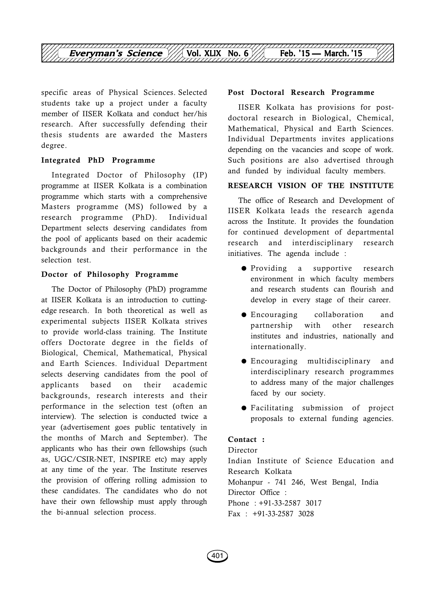

specific areas of Physical Sciences. Selected students take up a project under a faculty member of IISER Kolkata and conduct her/his research. After successfully defending their thesis students are awarded the Masters degree.

#### **Integrated PhD Programme**

Integrated Doctor of Philosophy (IP) programme at IISER Kolkata is a combination programme which starts with a comprehensive Masters programme (MS) followed by a research programme (PhD). Individual Department selects deserving candidates from the pool of applicants based on their academic backgrounds and their performance in the selection test.

#### **Doctor of Philosophy Programme**

The Doctor of Philosophy (PhD) programme at IISER Kolkata is an introduction to cuttingedge research. In both theoretical as well as experimental subjects IISER Kolkata strives to provide world-class training. The Institute offers Doctorate degree in the fields of Biological, Chemical, Mathematical, Physical and Earth Sciences. Individual Department selects deserving candidates from the pool of applicants based on their academic backgrounds, research interests and their performance in the selection test (often an interview). The selection is conducted twice a year (advertisement goes public tentatively in the months of March and September). The applicants who has their own fellowships (such as, UGC/CSIR-NET, INSPIRE etc) may apply at any time of the year. The Institute reserves the provision of offering rolling admission to these candidates. The candidates who do not have their own fellowship must apply through the bi-annual selection process.

#### **Post Doctoral Research Programme**

IISER Kolkata has provisions for postdoctoral research in Biological, Chemical, Mathematical, Physical and Earth Sciences. Individual Departments invites applications depending on the vacancies and scope of work. Such positions are also advertised through and funded by individual faculty members.

#### **RESEARCH VISION OF THE INSTITUTE**

The office of Research and Development of IISER Kolkata leads the research agenda across the Institute. It provides the foundation for continued development of departmental research and interdisciplinary research initiatives. The agenda include :

- Providing a supportive research environment in which faculty members and research students can flourish and develop in every stage of their career.
- Encouraging collaboration and partnership with other research institutes and industries, nationally and internationally.
- Encouraging multidisciplinary and interdisciplinary research programmes to address many of the major challenges faced by our society.
- Facilitating submission of project proposals to external funding agencies.

#### **Contact :**

Director Indian Institute of Science Education and Research Kolkata Mohanpur - 741 246, West Bengal, India Director Office : Phone : +91-33-2587 3017 Fax : +91-33-2587 3028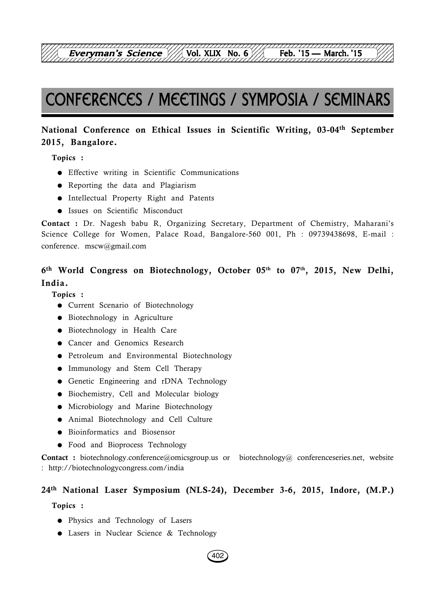12345678901234567890123456789012123456789012345678901234567890121234567890123456789012345678

WA Everyman's Science  $\mathbb{V}/\mathbb{A}$  Vol. XLIX No. 6  $\mathbb{V}/\mathbb{A}$  Feb. '15 — March. '15  $\mathbb{V}/\mathbb{A}$ 

<del>. . . . . . . . . . . .</del>

# Conferences / Meetings / Symposia / Seminars

12345678901234567890123456789012123456789012345678901234567890121234567890123456789012345678

### **National Conference on Ethical Issues in Scientific Writing, 03-04th September 2015, Bangalore.**

**Topics :**

- Effective writing in Scientific Communications
- Reporting the data and Plagiarism
- Intellectual Property Right and Patents
- Issues on Scientific Misconduct

**Contact :** Dr. Nagesh babu R, Organizing Secretary, Department of Chemistry, Maharani's Science College for Women, Palace Road, Bangalore-560 001, Ph : 09739438698, E-mail : conference. mscw@gmail.com

### **6th World Congress on Biotechnology, October 05th to 07th, 2015, New Delhi, India.**

#### **Topics :**

- Current Scenario of Biotechnology
- Biotechnology in Agriculture
- Biotechnology in Health Care
- Cancer and Genomics Research
- Petroleum and Environmental Biotechnology
- Immunology and Stem Cell Therapy
- Genetic Engineering and rDNA Technology
- Biochemistry, Cell and Molecular biology
- Microbiology and Marine Biotechnology
- Animal Biotechnology and Cell Culture
- Bioinformatics and Biosensor
- Food and Bioprocess Technology

**Contact :** biotechnology.conference@omicsgroup.us or biotechnology@ conferenceseries.net, website : http://biotechnologycongress.com/india

#### **24th National Laser Symposium (NLS-24), December 3-6, 2015, Indore, (M.P.)**

**Topics :**

- Physics and Technology of Lasers
- Lasers in Nuclear Science & Technology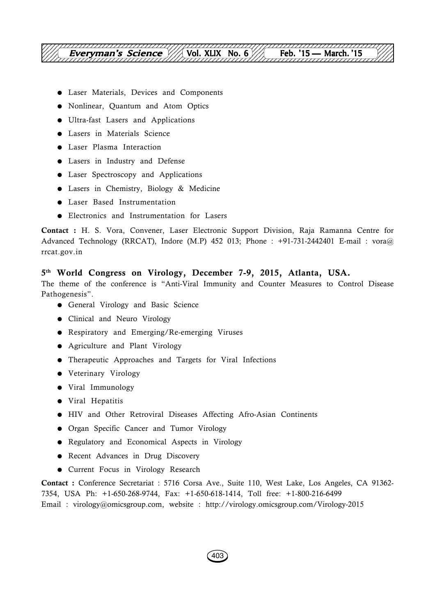#### ● Laser Materials, Devices and Components

- Nonlinear, Quantum and Atom Optics
- Ultra-fast Lasers and Applications
- Lasers in Materials Science
- Laser Plasma Interaction
- Lasers in Industry and Defense
- Laser Spectroscopy and Applications
- Lasers in Chemistry, Biology & Medicine
- Laser Based Instrumentation
- Electronics and Instrumentation for Lasers

**Contact :** H. S. Vora, Convener, Laser Electronic Support Division, Raja Ramanna Centre for Advanced Technology (RRCAT), Indore (M.P) 452 013; Phone : +91-731-2442401 E-mail : vora@ rrcat.gov.in

12345678901234567890123456789012123456789012345678901234567890121234567890123456789012345678 12345678901234567890123456789012123456789012345678901234567890121234567890123456789012345678 **Everyman's Science**  $\frac{1}{2}$  Vol. XLIX No. 6  $\frac{1}{2}$  Feb. '15 — March.'15  $\frac{1}{2}$ 

#### **5th World Congress on Virology, December 7-9, 2015, Atlanta, USA.**

The theme of the conference is "Anti-Viral Immunity and Counter Measures to Control Disease Pathogenesis".

- General Virology and Basic Science
- Clinical and Neuro Virology
- Respiratory and Emerging/Re-emerging Viruses
- Agriculture and Plant Virology
- Therapeutic Approaches and Targets for Viral Infections
- Veterinary Virology
- Viral Immunology
- Viral Hepatitis
- HIV and Other Retroviral Diseases Affecting Afro-Asian Continents
- Organ Specific Cancer and Tumor Virology
- Regulatory and Economical Aspects in Virology
- Recent Advances in Drug Discovery
- Current Focus in Virology Research

**Contact :** Conference Secretariat : 5716 Corsa Ave., Suite 110, West Lake, Los Angeles, CA 91362- 7354, USA Ph: +1-650-268-9744, Fax: +1-650-618-1414, Toll free: +1-800-216-6499 Email : virology@omicsgroup.com, website : http://virology.omicsgroup.com/Virology-2015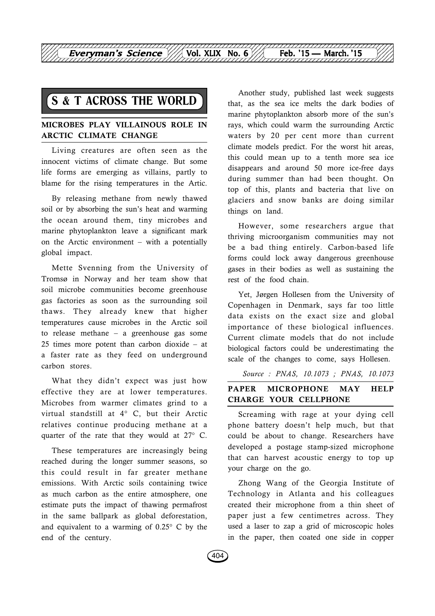12345678901234567890123456789012123456789012345678901234567890121234567890123456789012345678 WA Everyman's Science  $\mathbb{V}/\mathbb{A}$  Vol. XLIX No. 6  $\mathbb{V}/\mathbb{A}$  Feb. '15 — March. '15  $\mathbb{V}/\mathbb{A}$ 12345678901234567890123456789012123456789012345678901234567890121234567890123456789012345678

12345678901234567890123456789012123456789012345678901234567890121234567890123456789012345678

# **S & T ACROSS THE WORLD**

#### **MICROBES PLAY VILLAINOUS ROLE IN ARCTIC CLIMATE CHANGE**

Living creatures are often seen as the innocent victims of climate change. But some life forms are emerging as villains, partly to blame for the rising temperatures in the Artic.

By releasing methane from newly thawed soil or by absorbing the sun's heat and warming the ocean around them, tiny microbes and marine phytoplankton leave a significant mark on the Arctic environment – with a potentially global impact.

Mette Svenning from the University of Tromsø in Norway and her team show that soil microbe communities become greenhouse gas factories as soon as the surrounding soil thaws. They already knew that higher temperatures cause microbes in the Arctic soil to release methane – a greenhouse gas some 25 times more potent than carbon dioxide – at a faster rate as they feed on underground carbon stores.

What they didn't expect was just how effective they are at lower temperatures. Microbes from warmer climates grind to a virtual standstill at 4° C, but their Arctic relatives continue producing methane at a quarter of the rate that they would at 27° C.

These temperatures are increasingly being reached during the longer summer seasons, so this could result in far greater methane emissions. With Arctic soils containing twice as much carbon as the entire atmosphere, one estimate puts the impact of thawing permafrost in the same ballpark as global deforestation, and equivalent to a warming of 0.25° C by the end of the century.

Another study, published last week suggests that, as the sea ice melts the dark bodies of marine phytoplankton absorb more of the sun's rays, which could warm the surrounding Arctic waters by 20 per cent more than current climate models predict. For the worst hit areas, this could mean up to a tenth more sea ice disappears and around 50 more ice-free days during summer than had been thought. On top of this, plants and bacteria that live on glaciers and snow banks are doing similar things on land.

However, some researchers argue that thriving microorganism communities may not be a bad thing entirely. Carbon-based life forms could lock away dangerous greenhouse gases in their bodies as well as sustaining the rest of the food chain.

Yet, Jørgen Hollesen from the University of Copenhagen in Denmark, says far too little data exists on the exact size and global importance of these biological influences. Current climate models that do not include biological factors could be underestimating the scale of the changes to come, says Hollesen.

*Source : PNAS, 10.1073 ; PNAS, 10.1073*

#### **PAPER MICROPHONE MAY HELP CHARGE YOUR CELLPHONE**

Screaming with rage at your dying cell phone battery doesn't help much, but that could be about to change. Researchers have developed a postage stamp-sized microphone that can harvest acoustic energy to top up your charge on the go.

Zhong Wang of the Georgia Institute of Technology in Atlanta and his colleagues created their microphone from a thin sheet of paper just a few centimetres across. They used a laser to zap a grid of microscopic holes in the paper, then coated one side in copper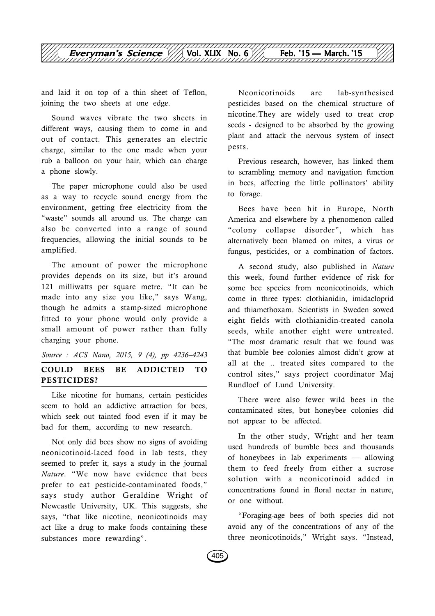

and laid it on top of a thin sheet of Teflon, joining the two sheets at one edge.

Sound waves vibrate the two sheets in different ways, causing them to come in and out of contact. This generates an electric charge, similar to the one made when your rub a balloon on your hair, which can charge a phone slowly.

The paper microphone could also be used as a way to recycle sound energy from the environment, getting free electricity from the "waste" sounds all around us. The charge can also be converted into a range of sound frequencies, allowing the initial sounds to be amplified.

The amount of power the microphone provides depends on its size, but it's around 121 milliwatts per square metre. "It can be made into any size you like," says Wang, though he admits a stamp-sized microphone fitted to your phone would only provide a small amount of power rather than fully charging your phone.

*Source : ACS Nano, 2015, 9 (4), pp 4236–4243* **COULD BEES BE ADDICTED TO**

**PESTICIDES?**

Like nicotine for humans, certain pesticides seem to hold an addictive attraction for bees, which seek out tainted food even if it may be bad for them, according to new research.

Not only did bees show no signs of avoiding neonicotinoid-laced food in lab tests, they seemed to prefer it, says a study in the journal *Nature*. "We now have evidence that bees prefer to eat pesticide-contaminated foods," says study author Geraldine Wright of Newcastle University, UK. This suggests, she says, "that like nicotine, neonicotinoids may act like a drug to make foods containing these substances more rewarding".

Neonicotinoids are lab-synthesised pesticides based on the chemical structure of nicotine.They are widely used to treat crop seeds - designed to be absorbed by the growing plant and attack the nervous system of insect pests.

Previous research, however, has linked them to scrambling memory and navigation function in bees, affecting the little pollinators' ability to forage.

Bees have been hit in Europe, North America and elsewhere by a phenomenon called "colony collapse disorder", which has alternatively been blamed on mites, a virus or fungus, pesticides, or a combination of factors.

A second study, also published in *Nature* this week, found further evidence of risk for some bee species from neonicotinoids, which come in three types: clothianidin, imidacloprid and thiamethoxam. Scientists in Sweden sowed eight fields with clothianidin-treated canola seeds, while another eight were untreated. "The most dramatic result that we found was that bumble bee colonies almost didn't grow at all at the .. treated sites compared to the control sites," says project coordinator Maj Rundloef of Lund University.

There were also fewer wild bees in the contaminated sites, but honeybee colonies did not appear to be affected.

In the other study, Wright and her team used hundreds of bumble bees and thousands of honeybees in lab experiments — allowing them to feed freely from either a sucrose solution with a neonicotinoid added in concentrations found in floral nectar in nature, or one without.

"Foraging-age bees of both species did not avoid any of the concentrations of any of the three neonicotinoids," Wright says. "Instead,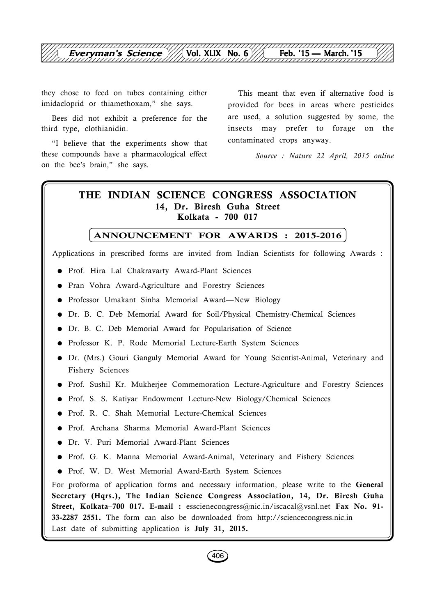

they chose to feed on tubes containing either imidacloprid or thiamethoxam," she says.

Bees did not exhibit a preference for the third type, clothianidin.

"I believe that the experiments show that these compounds have a pharmacological effect on the bee's brain," she says.

This meant that even if alternative food is provided for bees in areas where pesticides are used, a solution suggested by some, the insects may prefer to forage on the contaminated crops anyway.

*Source : Nature 22 April, 2015 online*

### **THE INDIAN SCIENCE CONGRESS ASSOCIATION 14, Dr. Biresh Guha Street Kolkata - 700 017**

#### **ANNOUNCEMENT FOR AWARDS : 2015-2016**

Applications in prescribed forms are invited from Indian Scientists for following Awards :

- Prof. Hira Lal Chakravarty Award-Plant Sciences
- Pran Vohra Award-Agriculture and Forestry Sciences
- Professor Umakant Sinha Memorial Award—New Biology
- Dr. B. C. Deb Memorial Award for Soil/Physical Chemistry-Chemical Sciences
- Dr. B. C. Deb Memorial Award for Popularisation of Science
- Professor K. P. Rode Memorial Lecture-Earth System Sciences
- Dr. (Mrs.) Gouri Ganguly Memorial Award for Young Scientist-Animal, Veterinary and Fishery Sciences
- Prof. Sushil Kr. Mukherjee Commemoration Lecture-Agriculture and Forestry Sciences
- Prof. S. S. Katiyar Endowment Lecture-New Biology/Chemical Sciences
- Prof. R. C. Shah Memorial Lecture-Chemical Sciences
- Prof. Archana Sharma Memorial Award-Plant Sciences
- Dr. V. Puri Memorial Award-Plant Sciences
- Prof. G. K. Manna Memorial Award-Animal, Veterinary and Fishery Sciences
- Prof. W. D. West Memorial Award-Earth System Sciences

For proforma of application forms and necessary information, please write to the **General Secretary (Hqrs.), The Indian Science Congress Association, 14, Dr. Biresh Guha Street, Kolkata–700 017. E-mail :** esscienecongress@nic.in/iscacal@vsnl.net **Fax No. 91- 33-2287 2551.** The form can also be downloaded from http://sciencecongress.nic.in Last date of submitting application is **July 31, 2015.**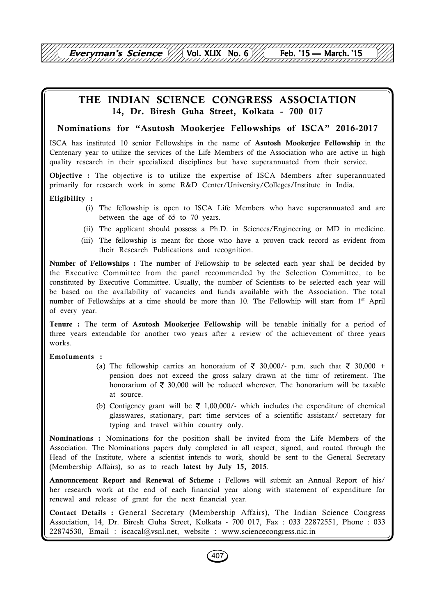12345678901234567890123456789012123456789012345678901234567890121234567890123456789012345678 **Everyman's Science**  $\frac{1}{2}$  Vol. XLIX No. 6  $\frac{1}{2}$  Feb. '15 — March.'15  $\frac{1}{2}$ 

### **THE INDIAN SCIENCE CONGRESS ASSOCIATION 14, Dr. Biresh Guha Street, Kolkata - 700 017**

12345678901234567890123456789012123456789012345678901234567890121234567890123456789012345678

#### **Nominations for "Asutosh Mookerjee Fellowships of ISCA" 2016-2017**

ISCA has instituted 10 senior Fellowships in the name of **Asutosh Mookerjee Fellowship** in the Centenary year to utilize the services of the Life Members of the Association who are active in high quality research in their specialized disciplines but have superannuated from their service.

**Objective :** The objective is to utilize the expertise of ISCA Members after superannuated primarily for research work in some R&D Center/University/Colleges/Institute in India.

**Eligibility :**

- (i) The fellowship is open to ISCA Life Members who have superannuated and are between the age of 65 to 70 years.
- (ii) The applicant should possess a Ph.D. in Sciences/Engineering or MD in medicine.
- (iii) The fellowship is meant for those who have a proven track record as evident from their Research Publications and recognition.

**Number of Fellowships :** The number of Fellowship to be selected each year shall be decided by the Executive Committee from the panel recommended by the Selection Committee, to be constituted by Executive Committee. Usually, the number of Scientists to be selected each year will be based on the availability of vacancies and funds available with the Association. The total number of Fellowships at a time should be more than 10. The Fellowhip will start from 1st April of every year.

**Tenure :** The term of **Asutosh Mookerjee Fellowship** will be tenable initially for a period of three years extendable for another two years after a review of the achievement of three years works.

**Emoluments :**

- (a) The fellowship carries an honoraium of  $\bar{\tau}$  30,000/- p.m. such that  $\bar{\tau}$  30,000 + pension does not exceed the gross salary drawn at the timr of retirement. The honorarium of  $\bar{\tau}$  30,000 will be reduced wherever. The honorarium will be taxable at source.
- (b) Contigency grant will be  $\overline{\zeta}$  1,00,000/- which includes the expenditure of chemical glasswares, stationary, part time services of a scientific assistant/ secretary for typing and travel within country only.

**Nominations :** Nominations for the position shall be invited from the Life Members of the Association. The Nominations papers duly completed in all respect, signed, and routed through the Head of the Institute, where a scientist intends to work, should be sent to the General Secretary (Membership Affairs), so as to reach **latest by July 15, 2015**.

**Announcement Report and Renewal of Scheme :** Fellows will submit an Annual Report of his/ her research work at the end of each financial year along with statement of expenditure for renewal and release of grant for the next financial year.

**Contact Details :** General Secretary (Membership Affairs), The Indian Science Congress Association, 14, Dr. Biresh Guha Street, Kolkata - 700 017, Fax : 033 22872551, Phone : 033 22874530, Email : iscacal@vsnl.net, website : www.sciencecongress.nic.in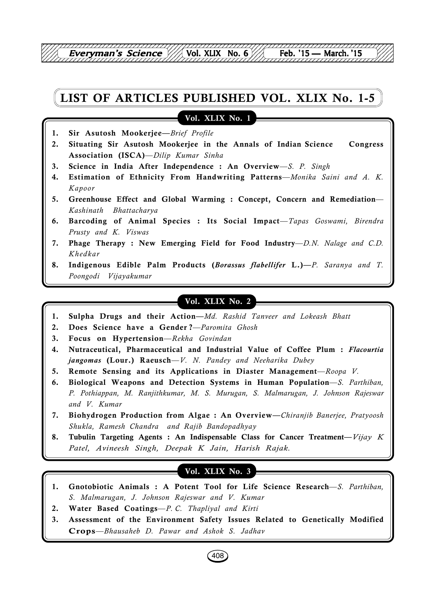12345678901234567890123456789012123456789012345678901234567890121234567890123456789012345678

**Everyman's Science**  $\frac{1}{2}$  Vol. XLIX No. 6  $\frac{1}{2}$  Feb. '15 — March.'15  $\frac{1}{2}$ 

# **LIST OF ARTICLES PUBLISHED VOL. XLIX No. 1-5**

12345678901234567890123456789012123456789012345678901234567890121234567890123456789012345678

#### **Vol. XLIX No. 1**

- **1. Sir Asutosh Mookerjee—***Brief Profile*
- **2. Situating Sir Asutosh Mookerjee in the Annals of Indian Science Congress Association (ISCA)**—*Dilip Kumar Sinha*
- **3. Science in India After Independence : An Overview**—*S. P. Singh*
- **4. Estimation of Ethnicity From Handwriting Patterns**—*Monika Saini and A. K. Kapoor*
- **5. Greenhouse Effect and Global Warming : Concept, Concern and Remediation** *Kashinath Bhattacharya*
- **6. Barcoding of Animal Species : Its Social Impact**—*Tapas Goswami, Birendra Prusty and K. Viswas*
- **7. Phage Therapy : New Emerging Field for Food Industry**—*D.N. Nalage and C.D. Khedkar*
- **8. Indigenous Edible Palm Products (***Borassus flabellifer* **L.)—***P. Saranya and T. Poongodi Vijayakumar*

**Vol. XLIX No. 2**

- **1. Sulpha Drugs and their Action—***Md. Rashid Tanveer and Lokeash Bhatt*
- **2. Does Science have a Gender ?**—*Paromita Ghosh*
- **3. Focus on Hypertension**—*Rekha Govindan*
- **4. Nutraceutical, Pharmaceutical and Industrial Value of Coffee Plum :** *Flacourtia jangomas* **(Lour.) Raeusch**—*V. N. Pandey and Neeharika Dubey*
- **5. Remote Sensing and its Applications in Diaster Management**—*Roopa V.*
- **6. Biological Weapons and Detection Systems in Human Population**—*S. Parthiban, P. Pothiappan, M. Ranjithkumar, M. S. Murugan, S. Malmarugan, J. Johnson Rajeswar and V. Kumar*
- **7. Biohydrogen Production from Algae : An Overview—***Chiranjib Banerjee, Pratyoosh Shukla, Ramesh Chandra and Rajib Bandopadhyay*
- **8. Tubulin Targeting Agents : An Indispensable Class for Cancer Treatment—***Vijay K Patel, Avineesh Singh, Deepak K Jain, Harish Rajak.*

### **Vol. XLIX No. 3**

- **1. Gnotobiotic Animals : A Potent Tool for Life Science Research**—*S. Parthiban, S. Malmarugan, J. Johnson Rajeswar and V. Kumar*
- **2. Water Based Coatings**—*P. C. Thapliyal and Kirti*
- **3. Assessment of the Environment Safety Issues Related to Genetically Modified Crops**—*Bhausaheb D. Pawar and Ashok S. Jadhav*